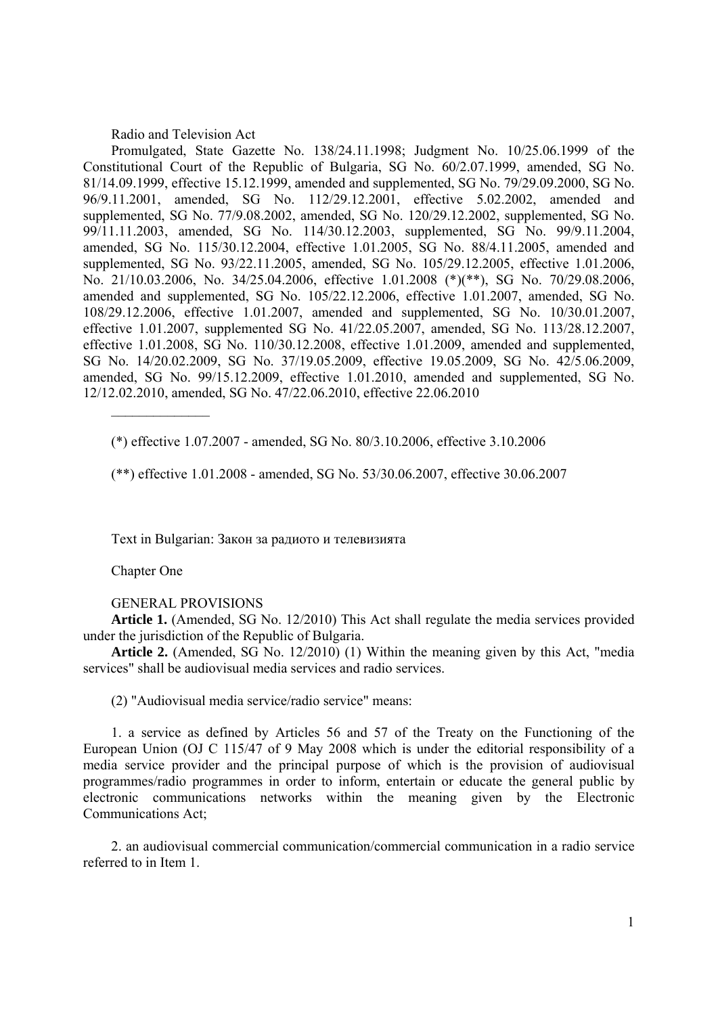## Radio and Television Act

Promulgated, State Gazette No. 138/24.11.1998; Judgment No. 10/25.06.1999 of the Constitutional Court of the Republic of Bulgaria, SG No. 60/2.07.1999, amended, SG No. 81/14.09.1999, effective 15.12.1999, amended and supplemented, SG No. 79/29.09.2000, SG No. 96/9.11.2001, amended, SG No. 112/29.12.2001, effective 5.02.2002, amended and supplemented, SG No. 77/9.08.2002, amended, SG No. 120/29.12.2002, supplemented, SG No. 99/11.11.2003, amended, SG No. 114/30.12.2003, supplemented, SG No. 99/9.11.2004, amended, SG No. 115/30.12.2004, effective 1.01.2005, SG No. 88/4.11.2005, amended and supplemented, SG No. 93/22.11.2005, amended, SG No. 105/29.12.2005, effective 1.01.2006, No. 21/10.03.2006, No. 34/25.04.2006, effective 1.01.2008 (\*)(\*\*), SG No. 70/29.08.2006, amended and supplemented, SG No. 105/22.12.2006, effective 1.01.2007, amended, SG No. 108/29.12.2006, effective 1.01.2007, amended and supplemented, SG No. 10/30.01.2007, effective 1.01.2007, supplemented SG No. 41/22.05.2007, amended, SG No. 113/28.12.2007, effective 1.01.2008, SG No. 110/30.12.2008, effective 1.01.2009, amended and supplemented, SG No. 14/20.02.2009, SG No. 37/19.05.2009, effective 19.05.2009, SG No. 42/5.06.2009, amended, SG No. 99/15.12.2009, effective 1.01.2010, amended and supplemented, SG No. 12/12.02.2010, amended, SG No. 47/22.06.2010, effective 22.06.2010

(\*) effective 1.07.2007 - amended, SG No. 80/3.10.2006, effective 3.10.2006

(\*\*) effective 1.01.2008 - amended, SG No. 53/30.06.2007, effective 30.06.2007

Text in Bulgarian: Закон за радиото и телевизията

Chapter One

 $\frac{1}{2}$ 

### GENERAL PROVISIONS

**Article 1.** (Amended, SG No. 12/2010) This Act shall regulate the media services provided under the jurisdiction of the Republic of Bulgaria.

**Article 2.** (Amended, SG No. 12/2010) (1) Within the meaning given by this Act, "media services" shall be audiovisual media services and radio services.

(2) "Audiovisual media service/radio service" means:

1. a service as defined by Articles 56 and 57 of the Treaty on the Functioning of the European Union (OJ C 115/47 of 9 May 2008 which is under the editorial responsibility of a media service provider and the principal purpose of which is the provision of audiovisual programmes/radio programmes in order to inform, entertain or educate the general public by electronic communications networks within the meaning given by the Electronic Communications Act;

2. an audiovisual commercial communication/commercial communication in a radio service referred to in Item 1.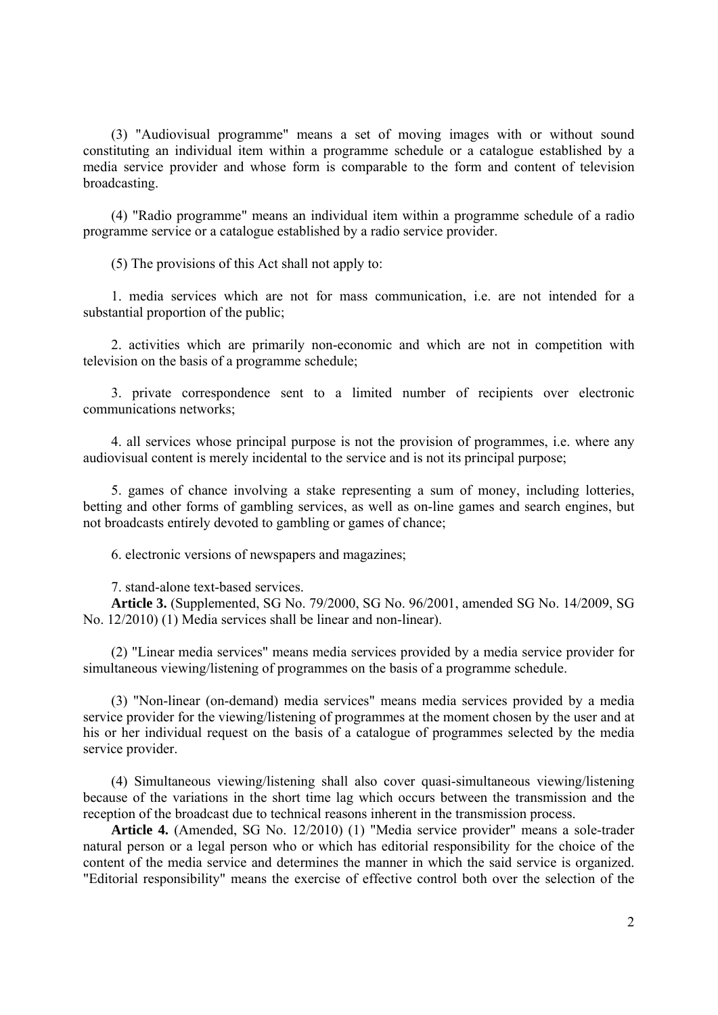(3) "Audiovisual programme" means a set of moving images with or without sound constituting an individual item within a programme schedule or a catalogue established by a media service provider and whose form is comparable to the form and content of television broadcasting.

(4) "Radio programme" means an individual item within a programme schedule of a radio programme service or a catalogue established by a radio service provider.

(5) The provisions of this Act shall not apply to:

1. media services which are not for mass communication, i.e. are not intended for a substantial proportion of the public;

2. activities which are primarily non-economic and which are not in competition with television on the basis of a programme schedule;

3. private correspondence sent to a limited number of recipients over electronic communications networks;

4. all services whose principal purpose is not the provision of programmes, i.e. where any audiovisual content is merely incidental to the service and is not its principal purpose;

5. games of chance involving a stake representing a sum of money, including lotteries, betting and other forms of gambling services, as well as on-line games and search engines, but not broadcasts entirely devoted to gambling or games of chance;

6. electronic versions of newspapers and magazines;

7. stand-alone text-based services.

**Article 3.** (Supplemented, SG No. 79/2000, SG No. 96/2001, amended SG No. 14/2009, SG No. 12/2010) (1) Media services shall be linear and non-linear).

(2) "Linear media services" means media services provided by a media service provider for simultaneous viewing/listening of programmes on the basis of a programme schedule.

(3) "Non-linear (on-demand) media services" means media services provided by a media service provider for the viewing/listening of programmes at the moment chosen by the user and at his or her individual request on the basis of a catalogue of programmes selected by the media service provider.

(4) Simultaneous viewing/listening shall also cover quasi-simultaneous viewing/listening because of the variations in the short time lag which occurs between the transmission and the reception of the broadcast due to technical reasons inherent in the transmission process.

**Article 4.** (Amended, SG No. 12/2010) (1) "Media service provider" means a sole-trader natural person or a legal person who or which has editorial responsibility for the choice of the content of the media service and determines the manner in which the said service is organized. "Editorial responsibility" means the exercise of effective control both over the selection of the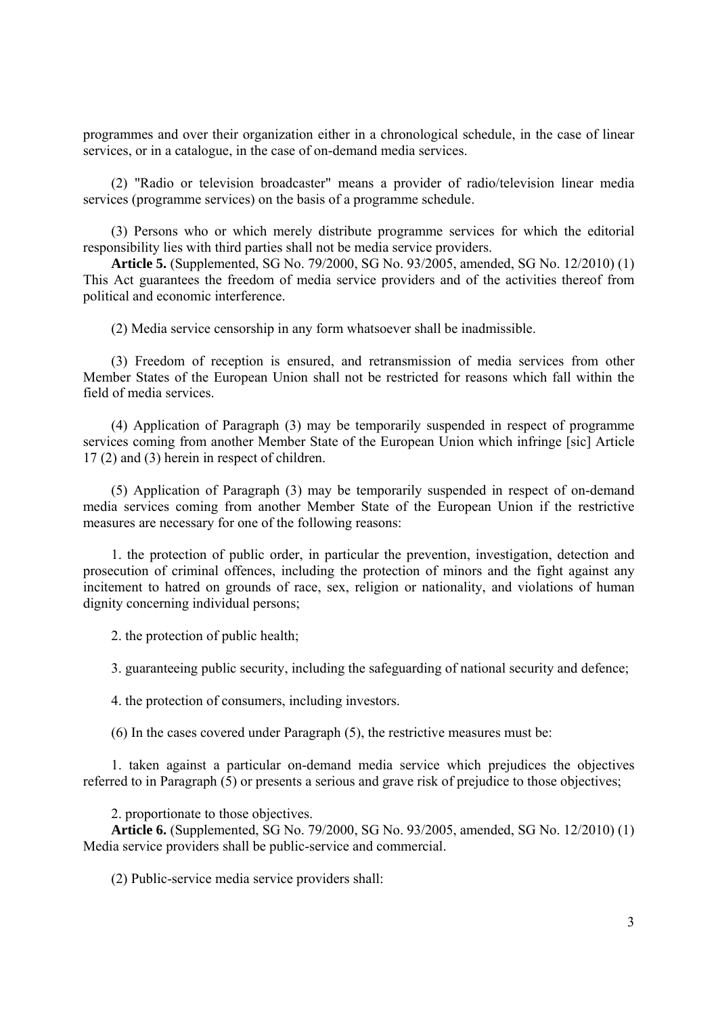programmes and over their organization either in a chronological schedule, in the case of linear services, or in a catalogue, in the case of on-demand media services.

(2) "Radio or television broadcaster" means a provider of radio/television linear media services (programme services) on the basis of a programme schedule.

(3) Persons who or which merely distribute programme services for which the editorial responsibility lies with third parties shall not be media service providers.

**Article 5.** (Supplemented, SG No. 79/2000, SG No. 93/2005, amended, SG No. 12/2010) (1) This Act guarantees the freedom of media service providers and of the activities thereof from political and economic interference.

(2) Media service censorship in any form whatsoever shall be inadmissible.

(3) Freedom of reception is ensured, and retransmission of media services from other Member States of the European Union shall not be restricted for reasons which fall within the field of media services.

(4) Application of Paragraph (3) may be temporarily suspended in respect of programme services coming from another Member State of the European Union which infringe [sic] Article 17 (2) and (3) herein in respect of children.

(5) Application of Paragraph (3) may be temporarily suspended in respect of on-demand media services coming from another Member State of the European Union if the restrictive measures are necessary for one of the following reasons:

1. the protection of public order, in particular the prevention, investigation, detection and prosecution of criminal offences, including the protection of minors and the fight against any incitement to hatred on grounds of race, sex, religion or nationality, and violations of human dignity concerning individual persons;

2. the protection of public health;

3. guaranteeing public security, including the safeguarding of national security and defence;

4. the protection of consumers, including investors.

(6) In the cases covered under Paragraph (5), the restrictive measures must be:

1. taken against a particular on-demand media service which prejudices the objectives referred to in Paragraph (5) or presents a serious and grave risk of prejudice to those objectives;

2. proportionate to those objectives.

**Article 6.** (Supplemented, SG No. 79/2000, SG No. 93/2005, amended, SG No. 12/2010) (1) Media service providers shall be public-service and commercial.

(2) Public-service media service providers shall: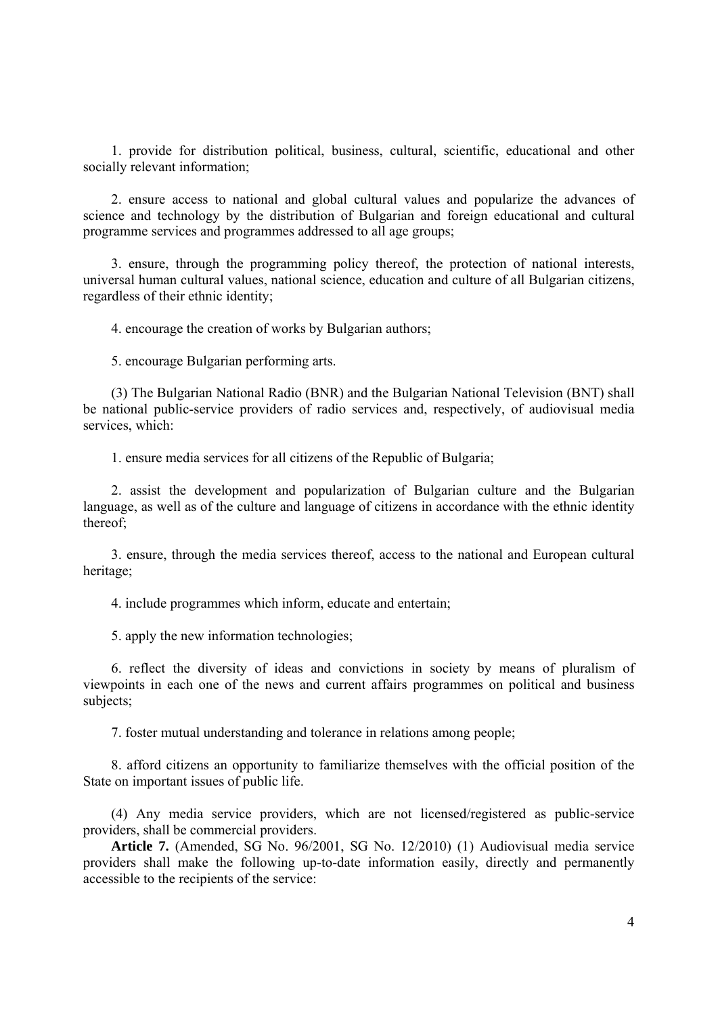1. provide for distribution political, business, cultural, scientific, educational and other socially relevant information;

2. ensure access to national and global cultural values and popularize the advances of science and technology by the distribution of Bulgarian and foreign educational and cultural programme services and programmes addressed to all age groups;

3. ensure, through the programming policy thereof, the protection of national interests, universal human cultural values, national science, education and culture of all Bulgarian citizens, regardless of their ethnic identity;

4. encourage the creation of works by Bulgarian authors;

5. encourage Bulgarian performing arts.

(3) The Bulgarian National Radio (BNR) and the Bulgarian National Television (BNT) shall be national public-service providers of radio services and, respectively, of audiovisual media services, which:

1. ensure media services for all citizens of the Republic of Bulgaria;

2. assist the development and popularization of Bulgarian culture and the Bulgarian language, as well as of the culture and language of citizens in accordance with the ethnic identity thereof;

3. ensure, through the media services thereof, access to the national and European cultural heritage;

4. include programmes which inform, educate and entertain;

5. apply the new information technologies;

6. reflect the diversity of ideas and convictions in society by means of pluralism of viewpoints in each one of the news and current affairs programmes on political and business subjects;

7. foster mutual understanding and tolerance in relations among people;

8. afford citizens an opportunity to familiarize themselves with the official position of the State on important issues of public life.

(4) Any media service providers, which are not licensed/registered as public-service providers, shall be commercial providers.

**Article 7.** (Amended, SG No. 96/2001, SG No. 12/2010) (1) Audiovisual media service providers shall make the following up-to-date information easily, directly and permanently accessible to the recipients of the service: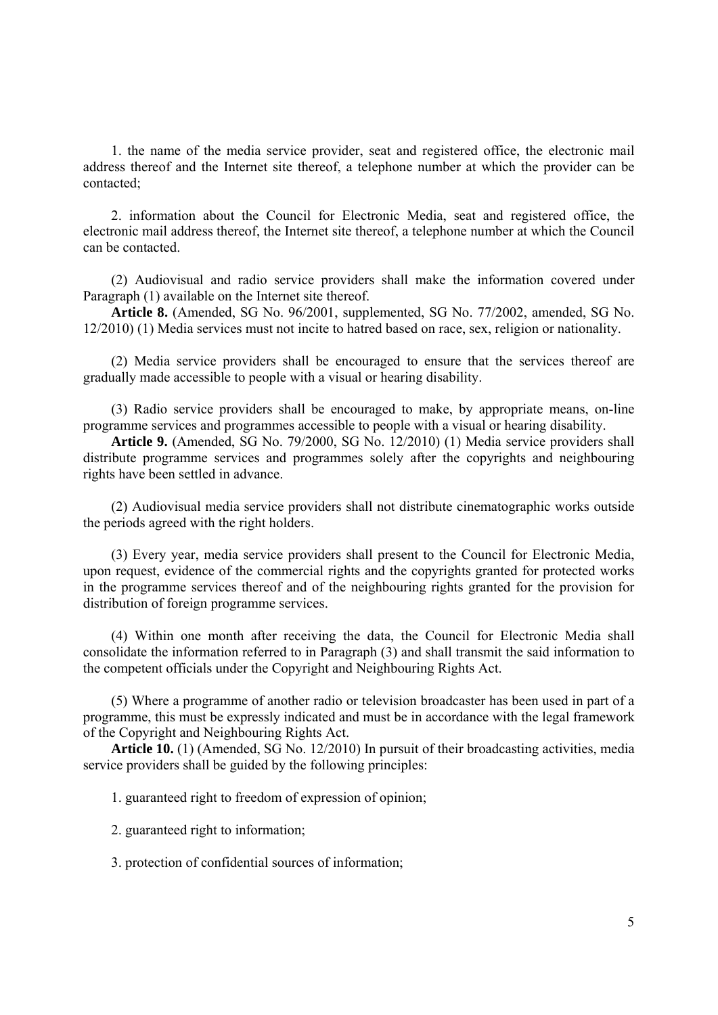1. the name of the media service provider, seat and registered office, the electronic mail address thereof and the Internet site thereof, a telephone number at which the provider can be contacted;

2. information about the Council for Electronic Media, seat and registered office, the electronic mail address thereof, the Internet site thereof, a telephone number at which the Council can be contacted.

(2) Audiovisual and radio service providers shall make the information covered under Paragraph (1) available on the Internet site thereof.

**Article 8.** (Amended, SG No. 96/2001, supplemented, SG No. 77/2002, amended, SG No. 12/2010) (1) Media services must not incite to hatred based on race, sex, religion or nationality.

(2) Media service providers shall be encouraged to ensure that the services thereof are gradually made accessible to people with a visual or hearing disability.

(3) Radio service providers shall be encouraged to make, by appropriate means, on-line programme services and programmes accessible to people with a visual or hearing disability.

**Article 9.** (Amended, SG No. 79/2000, SG No. 12/2010) (1) Media service providers shall distribute programme services and programmes solely after the copyrights and neighbouring rights have been settled in advance.

(2) Audiovisual media service providers shall not distribute cinematographic works outside the periods agreed with the right holders.

(3) Every year, media service providers shall present to the Council for Electronic Media, upon request, evidence of the commercial rights and the copyrights granted for protected works in the programme services thereof and of the neighbouring rights granted for the provision for distribution of foreign programme services.

(4) Within one month after receiving the data, the Council for Electronic Media shall consolidate the information referred to in Paragraph (3) and shall transmit the said information to the competent officials under the Copyright and Neighbouring Rights Act.

(5) Where a programme of another radio or television broadcaster has been used in part of a programme, this must be expressly indicated and must be in accordance with the legal framework of the Copyright and Neighbouring Rights Act.

**Article 10.** (1) (Amended, SG No. 12/2010) In pursuit of their broadcasting activities, media service providers shall be guided by the following principles:

1. guaranteed right to freedom of expression of opinion;

2. guaranteed right to information;

3. protection of confidential sources of information;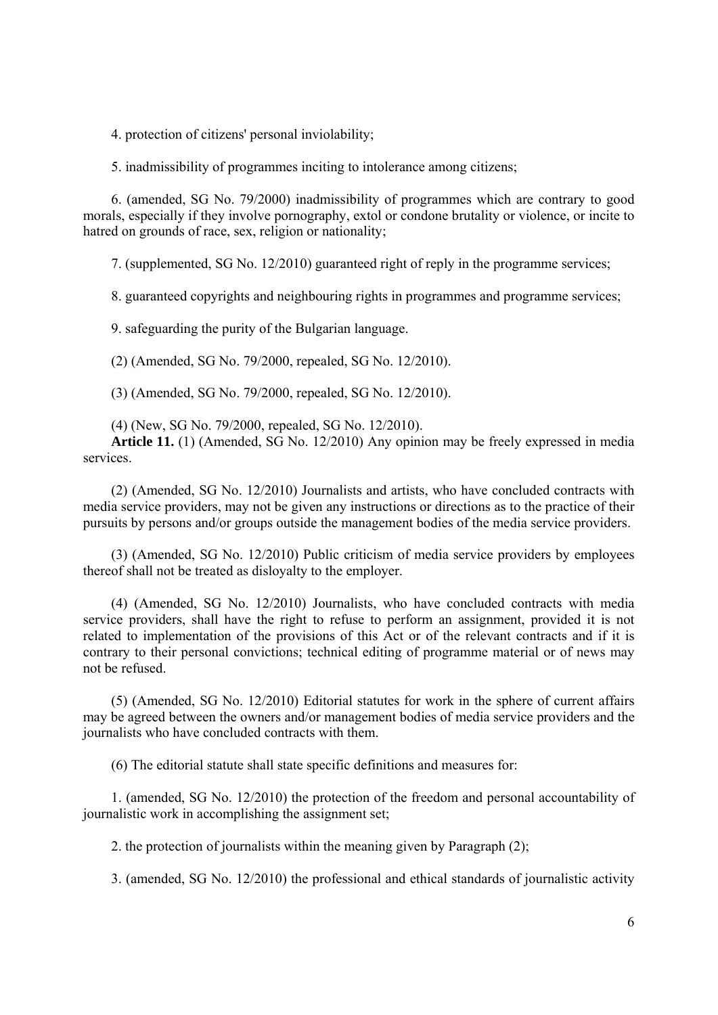4. protection of citizens' personal inviolability;

5. inadmissibility of programmes inciting to intolerance among citizens;

6. (amended, SG No. 79/2000) inadmissibility of programmes which are contrary to good morals, especially if they involve pornography, extol or condone brutality or violence, or incite to hatred on grounds of race, sex, religion or nationality;

7. (supplemented, SG No. 12/2010) guaranteed right of reply in the programme services;

8. guaranteed copyrights and neighbouring rights in programmes and programme services;

9. safeguarding the purity of the Bulgarian language.

(2) (Amended, SG No. 79/2000, repealed, SG No. 12/2010).

(3) (Amended, SG No. 79/2000, repealed, SG No. 12/2010).

(4) (New, SG No. 79/2000, repealed, SG No. 12/2010).

**Article 11.** (1) (Amended, SG No. 12/2010) Any opinion may be freely expressed in media services.

(2) (Amended, SG No. 12/2010) Journalists and artists, who have concluded contracts with media service providers, may not be given any instructions or directions as to the practice of their pursuits by persons and/or groups outside the management bodies of the media service providers.

(3) (Amended, SG No. 12/2010) Public criticism of media service providers by employees thereof shall not be treated as disloyalty to the employer.

(4) (Amended, SG No. 12/2010) Journalists, who have concluded contracts with media service providers, shall have the right to refuse to perform an assignment, provided it is not related to implementation of the provisions of this Act or of the relevant contracts and if it is contrary to their personal convictions; technical editing of programme material or of news may not be refused.

(5) (Amended, SG No. 12/2010) Editorial statutes for work in the sphere of current affairs may be agreed between the owners and/or management bodies of media service providers and the journalists who have concluded contracts with them.

(6) The editorial statute shall state specific definitions and measures for:

1. (amended, SG No. 12/2010) the protection of the freedom and personal accountability of journalistic work in accomplishing the assignment set;

2. the protection of journalists within the meaning given by Paragraph (2);

3. (amended, SG No. 12/2010) the professional and ethical standards of journalistic activity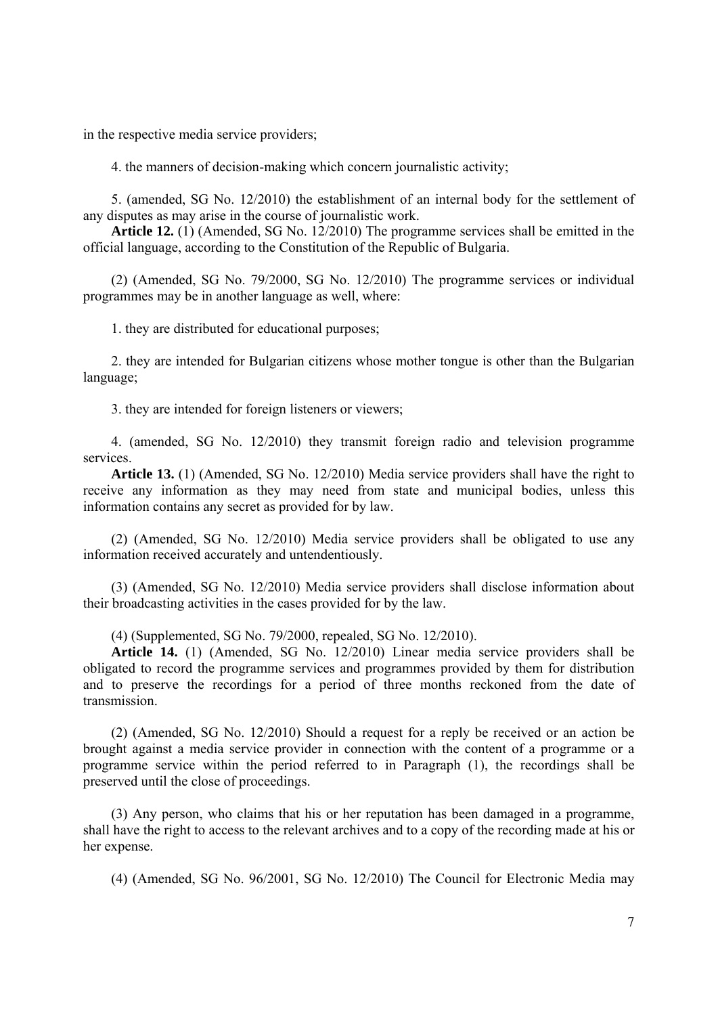in the respective media service providers;

4. the manners of decision-making which concern journalistic activity;

5. (amended, SG No. 12/2010) the establishment of an internal body for the settlement of any disputes as may arise in the course of journalistic work.

**Article 12.** (1) (Amended, SG No. 12/2010) The programme services shall be emitted in the official language, according to the Constitution of the Republic of Bulgaria.

(2) (Amended, SG No. 79/2000, SG No. 12/2010) The programme services or individual programmes may be in another language as well, where:

1. they are distributed for educational purposes;

2. they are intended for Bulgarian citizens whose mother tongue is other than the Bulgarian language;

3. they are intended for foreign listeners or viewers;

4. (amended, SG No. 12/2010) they transmit foreign radio and television programme services.

**Article 13.** (1) (Amended, SG No. 12/2010) Media service providers shall have the right to receive any information as they may need from state and municipal bodies, unless this information contains any secret as provided for by law.

(2) (Amended, SG No. 12/2010) Media service providers shall be obligated to use any information received accurately and untendentiously.

(3) (Amended, SG No. 12/2010) Media service providers shall disclose information about their broadcasting activities in the cases provided for by the law.

(4) (Supplemented, SG No. 79/2000, repealed, SG No. 12/2010).

**Article 14.** (1) (Amended, SG No. 12/2010) Linear media service providers shall be obligated to record the programme services and programmes provided by them for distribution and to preserve the recordings for a period of three months reckoned from the date of transmission.

(2) (Amended, SG No. 12/2010) Should a request for a reply be received or an action be brought against a media service provider in connection with the content of a programme or a programme service within the period referred to in Paragraph (1), the recordings shall be preserved until the close of proceedings.

(3) Any person, who claims that his or her reputation has been damaged in a programme, shall have the right to access to the relevant archives and to a copy of the recording made at his or her expense.

(4) (Amended, SG No. 96/2001, SG No. 12/2010) The Council for Electronic Media may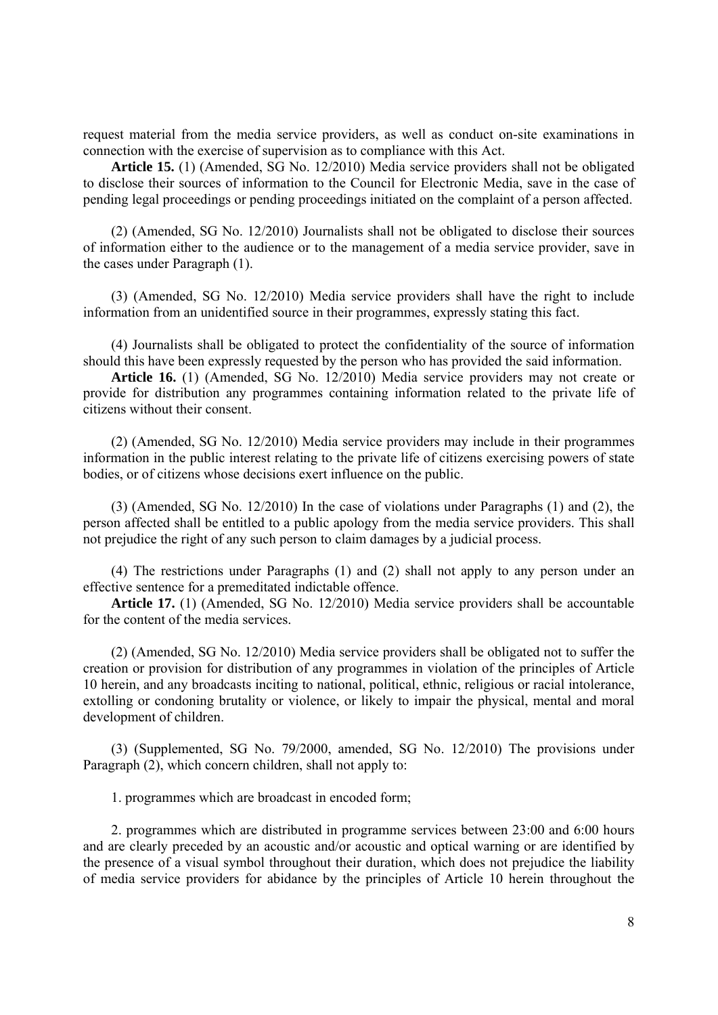request material from the media service providers, as well as conduct on-site examinations in connection with the exercise of supervision as to compliance with this Act.

**Article 15.** (1) (Amended, SG No. 12/2010) Media service providers shall not be obligated to disclose their sources of information to the Council for Electronic Media, save in the case of pending legal proceedings or pending proceedings initiated on the complaint of a person affected.

(2) (Amended, SG No. 12/2010) Journalists shall not be obligated to disclose their sources of information either to the audience or to the management of a media service provider, save in the cases under Paragraph (1).

(3) (Amended, SG No. 12/2010) Media service providers shall have the right to include information from an unidentified source in their programmes, expressly stating this fact.

(4) Journalists shall be obligated to protect the confidentiality of the source of information should this have been expressly requested by the person who has provided the said information.

**Article 16.** (1) (Amended, SG No. 12/2010) Media service providers may not create or provide for distribution any programmes containing information related to the private life of citizens without their consent.

(2) (Amended, SG No. 12/2010) Media service providers may include in their programmes information in the public interest relating to the private life of citizens exercising powers of state bodies, or of citizens whose decisions exert influence on the public.

(3) (Amended, SG No. 12/2010) In the case of violations under Paragraphs (1) and (2), the person affected shall be entitled to a public apology from the media service providers. This shall not prejudice the right of any such person to claim damages by a judicial process.

(4) The restrictions under Paragraphs (1) and (2) shall not apply to any person under an effective sentence for a premeditated indictable offence.

**Article 17.** (1) (Amended, SG No. 12/2010) Media service providers shall be accountable for the content of the media services.

(2) (Amended, SG No. 12/2010) Media service providers shall be obligated not to suffer the creation or provision for distribution of any programmes in violation of the principles of Article 10 herein, and any broadcasts inciting to national, political, ethnic, religious or racial intolerance, extolling or condoning brutality or violence, or likely to impair the physical, mental and moral development of children.

(3) (Supplemented, SG No. 79/2000, amended, SG No. 12/2010) The provisions under Paragraph (2), which concern children, shall not apply to:

1. programmes which are broadcast in encoded form;

2. programmes which are distributed in programme services between 23:00 and 6:00 hours and are clearly preceded by an acoustic and/or acoustic and optical warning or are identified by the presence of a visual symbol throughout their duration, which does not prejudice the liability of media service providers for abidance by the principles of Article 10 herein throughout the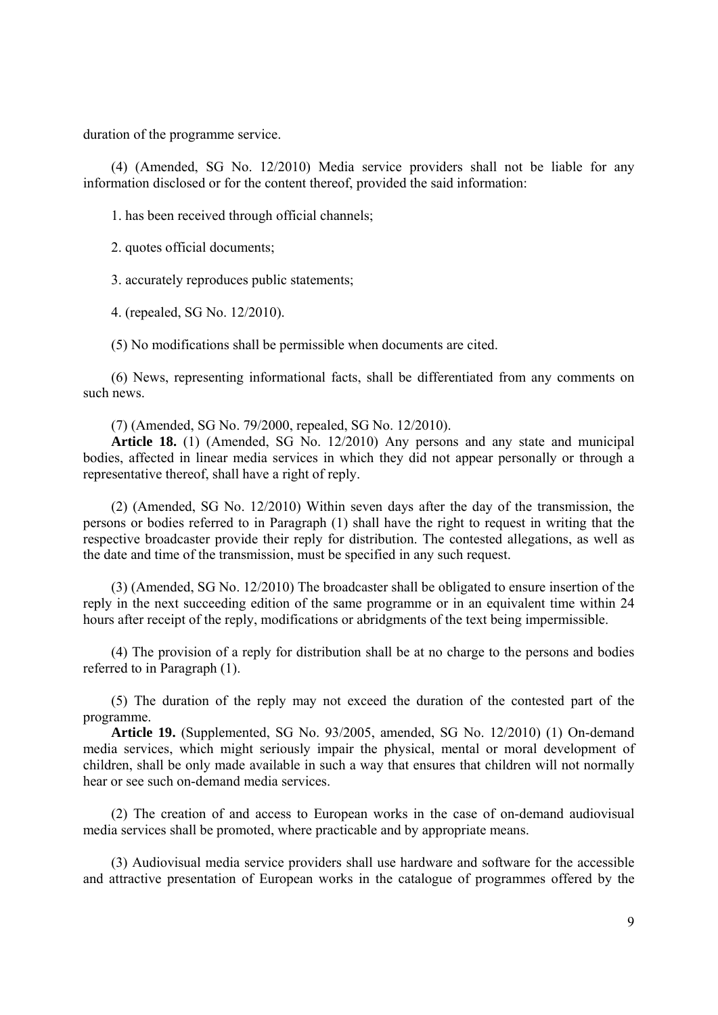duration of the programme service.

(4) (Amended, SG No. 12/2010) Media service providers shall not be liable for any information disclosed or for the content thereof, provided the said information:

1. has been received through official channels;

2. quotes official documents;

3. accurately reproduces public statements;

4. (repealed, SG No. 12/2010).

(5) No modifications shall be permissible when documents are cited.

(6) News, representing informational facts, shall be differentiated from any comments on such news.

(7) (Amended, SG No. 79/2000, repealed, SG No. 12/2010).

**Article 18.** (1) (Amended, SG No. 12/2010) Any persons and any state and municipal bodies, affected in linear media services in which they did not appear personally or through a representative thereof, shall have a right of reply.

(2) (Amended, SG No. 12/2010) Within seven days after the day of the transmission, the persons or bodies referred to in Paragraph (1) shall have the right to request in writing that the respective broadcaster provide their reply for distribution. The contested allegations, as well as the date and time of the transmission, must be specified in any such request.

(3) (Amended, SG No. 12/2010) The broadcaster shall be obligated to ensure insertion of the reply in the next succeeding edition of the same programme or in an equivalent time within 24 hours after receipt of the reply, modifications or abridgments of the text being impermissible.

(4) The provision of a reply for distribution shall be at no charge to the persons and bodies referred to in Paragraph (1).

(5) The duration of the reply may not exceed the duration of the contested part of the programme.

**Article 19.** (Supplemented, SG No. 93/2005, amended, SG No. 12/2010) (1) On-demand media services, which might seriously impair the physical, mental or moral development of children, shall be only made available in such a way that ensures that children will not normally hear or see such on-demand media services.

(2) The creation of and access to European works in the case of on-demand audiovisual media services shall be promoted, where practicable and by appropriate means.

(3) Audiovisual media service providers shall use hardware and software for the accessible and attractive presentation of European works in the catalogue of programmes offered by the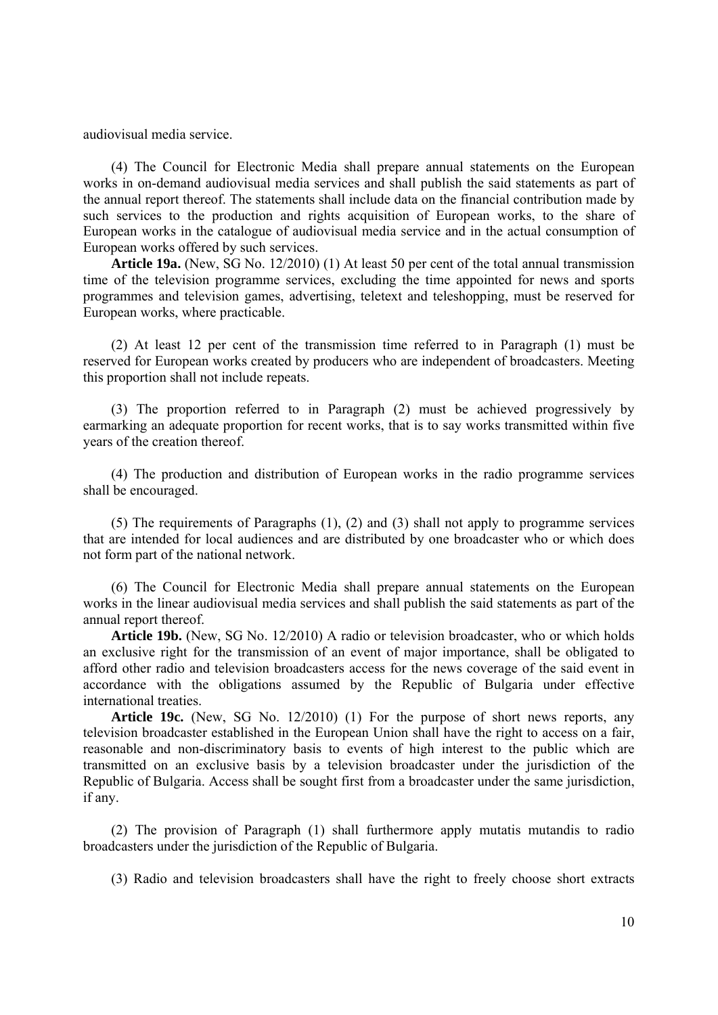audiovisual media service.

(4) The Council for Electronic Media shall prepare annual statements on the European works in on-demand audiovisual media services and shall publish the said statements as part of the annual report thereof. The statements shall include data on the financial contribution made by such services to the production and rights acquisition of European works, to the share of European works in the catalogue of audiovisual media service and in the actual consumption of European works offered by such services.

**Article 19a.** (New, SG No. 12/2010) (1) At least 50 per cent of the total annual transmission time of the television programme services, excluding the time appointed for news and sports programmes and television games, advertising, teletext and teleshopping, must be reserved for European works, where practicable.

(2) At least 12 per cent of the transmission time referred to in Paragraph (1) must be reserved for European works created by producers who are independent of broadcasters. Meeting this proportion shall not include repeats.

(3) The proportion referred to in Paragraph (2) must be achieved progressively by earmarking an adequate proportion for recent works, that is to say works transmitted within five years of the creation thereof.

(4) The production and distribution of European works in the radio programme services shall be encouraged.

(5) The requirements of Paragraphs (1), (2) and (3) shall not apply to programme services that are intended for local audiences and are distributed by one broadcaster who or which does not form part of the national network.

(6) The Council for Electronic Media shall prepare annual statements on the European works in the linear audiovisual media services and shall publish the said statements as part of the annual report thereof.

**Article 19b.** (New, SG No. 12/2010) A radio or television broadcaster, who or which holds an exclusive right for the transmission of an event of major importance, shall be obligated to afford other radio and television broadcasters access for the news coverage of the said event in accordance with the obligations assumed by the Republic of Bulgaria under effective international treaties.

**Article 19c.** (New, SG No. 12/2010) (1) For the purpose of short news reports, any television broadcaster established in the European Union shall have the right to access on a fair, reasonable and non-discriminatory basis to events of high interest to the public which are transmitted on an exclusive basis by a television broadcaster under the jurisdiction of the Republic of Bulgaria. Access shall be sought first from a broadcaster under the same jurisdiction, if any.

(2) The provision of Paragraph (1) shall furthermore apply mutatis mutandis to radio broadcasters under the jurisdiction of the Republic of Bulgaria.

(3) Radio and television broadcasters shall have the right to freely choose short extracts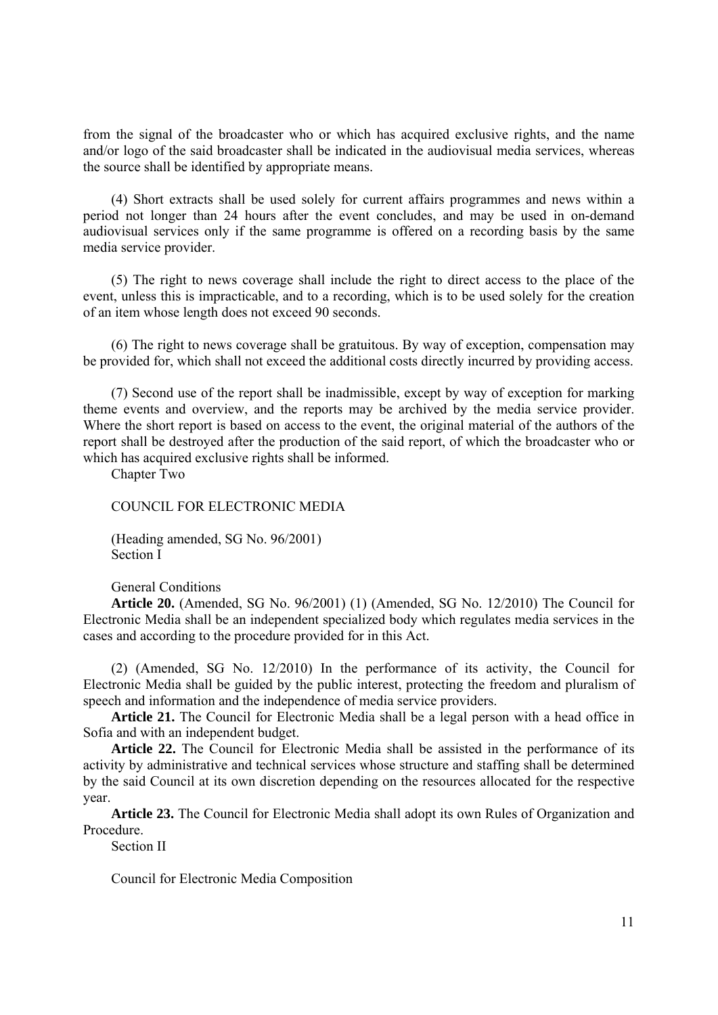from the signal of the broadcaster who or which has acquired exclusive rights, and the name and/or logo of the said broadcaster shall be indicated in the audiovisual media services, whereas the source shall be identified by appropriate means.

(4) Short extracts shall be used solely for current affairs programmes and news within a period not longer than 24 hours after the event concludes, and may be used in on-demand audiovisual services only if the same programme is offered on a recording basis by the same media service provider.

(5) The right to news coverage shall include the right to direct access to the place of the event, unless this is impracticable, and to a recording, which is to be used solely for the creation of an item whose length does not exceed 90 seconds.

(6) The right to news coverage shall be gratuitous. By way of exception, compensation may be provided for, which shall not exceed the additional costs directly incurred by providing access.

(7) Second use of the report shall be inadmissible, except by way of exception for marking theme events and overview, and the reports may be archived by the media service provider. Where the short report is based on access to the event, the original material of the authors of the report shall be destroyed after the production of the said report, of which the broadcaster who or which has acquired exclusive rights shall be informed.

Chapter Two

COUNCIL FOR ELECTRONIC MEDIA

(Heading amended, SG No. 96/2001) Section I

General Conditions

**Article 20.** (Amended, SG No. 96/2001) (1) (Amended, SG No. 12/2010) The Council for Electronic Media shall be an independent specialized body which regulates media services in the cases and according to the procedure provided for in this Act.

(2) (Amended, SG No. 12/2010) In the performance of its activity, the Council for Electronic Media shall be guided by the public interest, protecting the freedom and pluralism of speech and information and the independence of media service providers.

**Article 21.** The Council for Electronic Media shall be a legal person with a head office in Sofia and with an independent budget.

**Article 22.** The Council for Electronic Media shall be assisted in the performance of its activity by administrative and technical services whose structure and staffing shall be determined by the said Council at its own discretion depending on the resources allocated for the respective year.

**Article 23.** The Council for Electronic Media shall adopt its own Rules of Organization and Procedure.

Section II

Council for Electronic Media Composition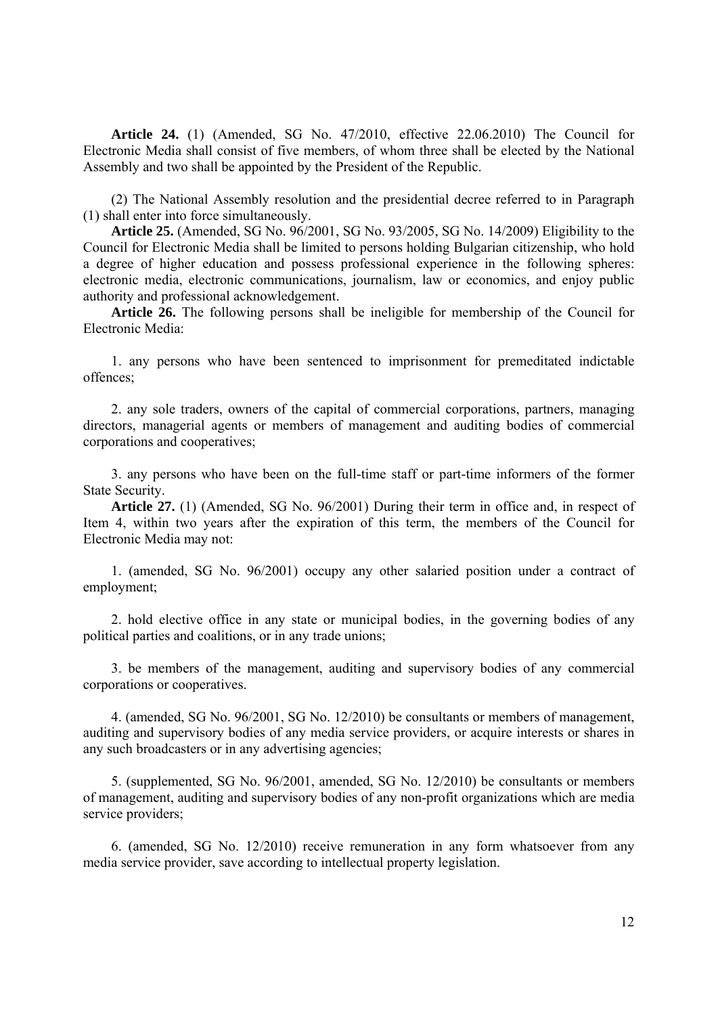**Article 24.** (1) (Amended, SG No. 47/2010, effective 22.06.2010) The Council for Electronic Media shall consist of five members, of whom three shall be elected by the National Assembly and two shall be appointed by the President of the Republic.

(2) The National Assembly resolution and the presidential decree referred to in Paragraph (1) shall enter into force simultaneously.

**Article 25.** (Amended, SG No. 96/2001, SG No. 93/2005, SG No. 14/2009) Eligibility to the Council for Electronic Media shall be limited to persons holding Bulgarian citizenship, who hold a degree of higher education and possess professional experience in the following spheres: electronic media, electronic communications, journalism, law or economics, and enjoy public authority and professional acknowledgement.

**Article 26.** The following persons shall be ineligible for membership of the Council for Electronic Media:

1. any persons who have been sentenced to imprisonment for premeditated indictable offences;

2. any sole traders, owners of the capital of commercial corporations, partners, managing directors, managerial agents or members of management and auditing bodies of commercial corporations and cooperatives;

3. any persons who have been on the full-time staff or part-time informers of the former State Security.

**Article 27.** (1) (Amended, SG No. 96/2001) During their term in office and, in respect of Item 4, within two years after the expiration of this term, the members of the Council for Electronic Media may not:

1. (amended, SG No. 96/2001) occupy any other salaried position under a contract of employment;

2. hold elective office in any state or municipal bodies, in the governing bodies of any political parties and coalitions, or in any trade unions;

3. be members of the management, auditing and supervisory bodies of any commercial corporations or cooperatives.

4. (amended, SG No. 96/2001, SG No. 12/2010) be consultants or members of management, auditing and supervisory bodies of any media service providers, or acquire interests or shares in any such broadcasters or in any advertising agencies;

5. (supplemented, SG No. 96/2001, amended, SG No. 12/2010) be consultants or members of management, auditing and supervisory bodies of any non-profit organizations which are media service providers;

6. (amended, SG No. 12/2010) receive remuneration in any form whatsoever from any media service provider, save according to intellectual property legislation.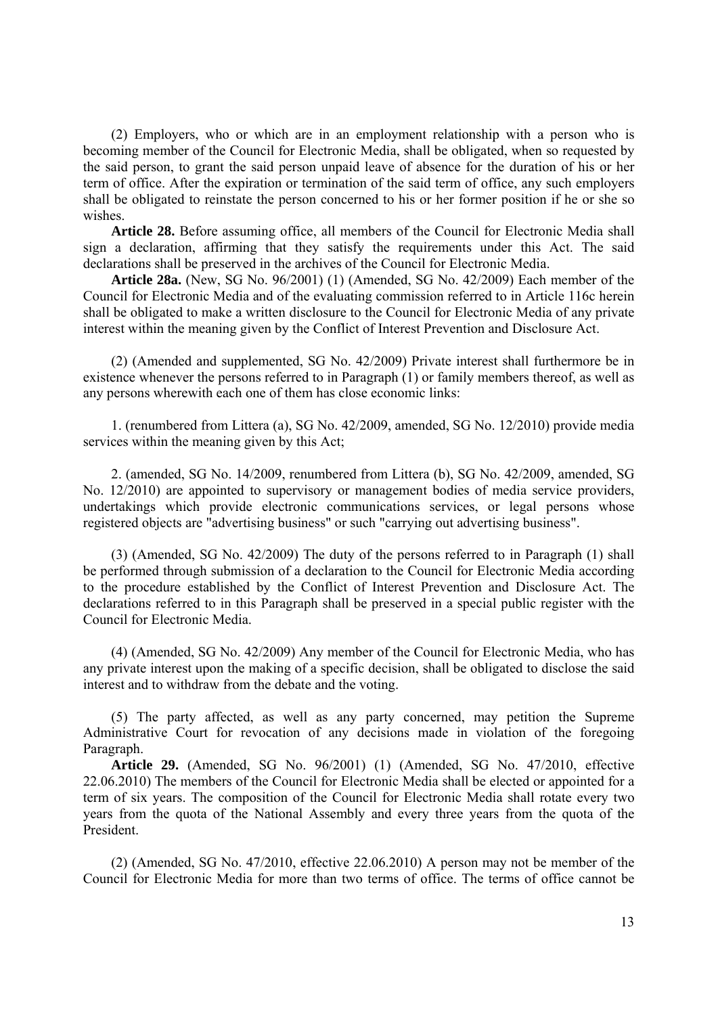(2) Employers, who or which are in an employment relationship with a person who is becoming member of the Council for Electronic Media, shall be obligated, when so requested by the said person, to grant the said person unpaid leave of absence for the duration of his or her term of office. After the expiration or termination of the said term of office, any such employers shall be obligated to reinstate the person concerned to his or her former position if he or she so wishes.

**Article 28.** Before assuming office, all members of the Council for Electronic Media shall sign a declaration, affirming that they satisfy the requirements under this Act. The said declarations shall be preserved in the archives of the Council for Electronic Media.

**Article 28a.** (New, SG No. 96/2001) (1) (Amended, SG No. 42/2009) Each member of the Council for Electronic Media and of the evaluating commission referred to in Article 116c herein shall be obligated to make a written disclosure to the Council for Electronic Media of any private interest within the meaning given by the Conflict of Interest Prevention and Disclosure Act.

(2) (Amended and supplemented, SG No. 42/2009) Private interest shall furthermore be in existence whenever the persons referred to in Paragraph (1) or family members thereof, as well as any persons wherewith each one of them has close economic links:

1. (renumbered from Littera (a), SG No. 42/2009, amended, SG No. 12/2010) provide media services within the meaning given by this Act;

2. (amended, SG No. 14/2009, renumbered from Littera (b), SG No. 42/2009, amended, SG No. 12/2010) are appointed to supervisory or management bodies of media service providers, undertakings which provide electronic communications services, or legal persons whose registered objects are "advertising business" or such "carrying out advertising business".

(3) (Amended, SG No. 42/2009) The duty of the persons referred to in Paragraph (1) shall be performed through submission of a declaration to the Council for Electronic Media according to the procedure established by the Conflict of Interest Prevention and Disclosure Act. The declarations referred to in this Paragraph shall be preserved in a special public register with the Council for Electronic Media.

(4) (Amended, SG No. 42/2009) Any member of the Council for Electronic Media, who has any private interest upon the making of a specific decision, shall be obligated to disclose the said interest and to withdraw from the debate and the voting.

(5) The party affected, as well as any party concerned, may petition the Supreme Administrative Court for revocation of any decisions made in violation of the foregoing Paragraph.

**Article 29.** (Amended, SG No. 96/2001) (1) (Amended, SG No. 47/2010, effective 22.06.2010) The members of the Council for Electronic Media shall be elected or appointed for a term of six years. The composition of the Council for Electronic Media shall rotate every two years from the quota of the National Assembly and every three years from the quota of the President.

(2) (Amended, SG No. 47/2010, effective 22.06.2010) A person may not be member of the Council for Electronic Media for more than two terms of office. The terms of office cannot be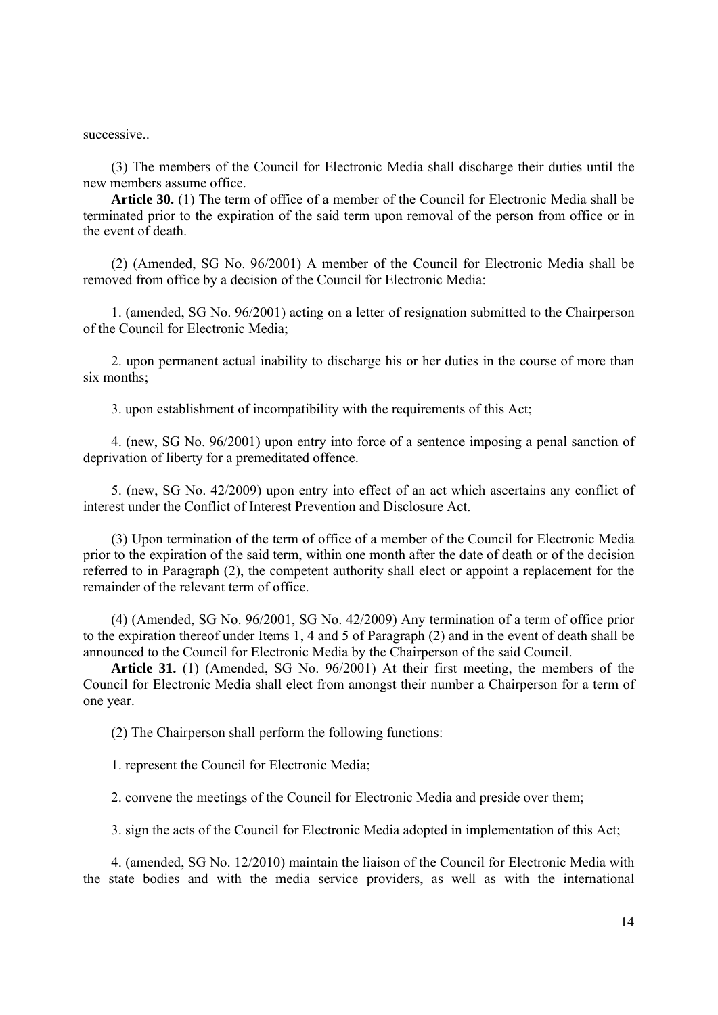successive..

(3) The members of the Council for Electronic Media shall discharge their duties until the new members assume office.

**Article 30.** (1) The term of office of a member of the Council for Electronic Media shall be terminated prior to the expiration of the said term upon removal of the person from office or in the event of death.

(2) (Amended, SG No. 96/2001) A member of the Council for Electronic Media shall be removed from office by a decision of the Council for Electronic Media:

1. (amended, SG No. 96/2001) acting on a letter of resignation submitted to the Chairperson of the Council for Electronic Media;

2. upon permanent actual inability to discharge his or her duties in the course of more than six months:

3. upon establishment of incompatibility with the requirements of this Act;

4. (new, SG No. 96/2001) upon entry into force of a sentence imposing a penal sanction of deprivation of liberty for a premeditated offence.

5. (new, SG No. 42/2009) upon entry into effect of an act which ascertains any conflict of interest under the Conflict of Interest Prevention and Disclosure Act.

(3) Upon termination of the term of office of a member of the Council for Electronic Media prior to the expiration of the said term, within one month after the date of death or of the decision referred to in Paragraph (2), the competent authority shall elect or appoint a replacement for the remainder of the relevant term of office.

(4) (Amended, SG No. 96/2001, SG No. 42/2009) Any termination of a term of office prior to the expiration thereof under Items 1, 4 and 5 of Paragraph (2) and in the event of death shall be announced to the Council for Electronic Media by the Chairperson of the said Council.

**Article 31.** (1) (Amended, SG No. 96/2001) At their first meeting, the members of the Council for Electronic Media shall elect from amongst their number a Chairperson for a term of one year.

(2) The Chairperson shall perform the following functions:

1. represent the Council for Electronic Media;

2. convene the meetings of the Council for Electronic Media and preside over them;

3. sign the acts of the Council for Electronic Media adopted in implementation of this Act;

4. (amended, SG No. 12/2010) maintain the liaison of the Council for Electronic Media with the state bodies and with the media service providers, as well as with the international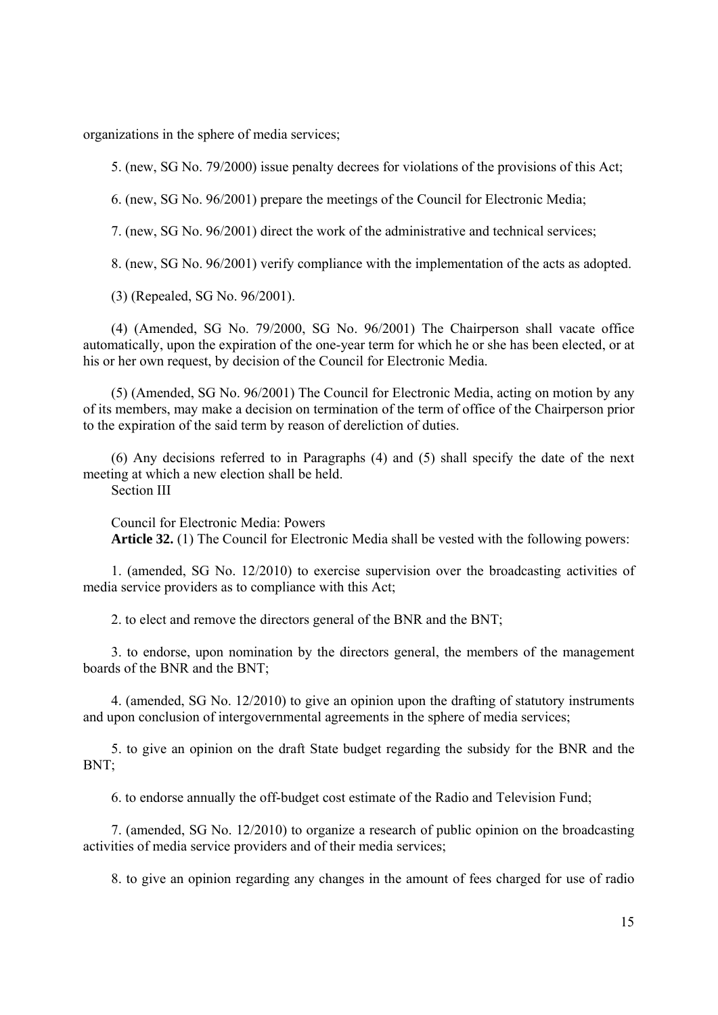organizations in the sphere of media services;

5. (new, SG No. 79/2000) issue penalty decrees for violations of the provisions of this Act;

6. (new, SG No. 96/2001) prepare the meetings of the Council for Electronic Media;

7. (new, SG No. 96/2001) direct the work of the administrative and technical services;

8. (new, SG No. 96/2001) verify compliance with the implementation of the acts as adopted.

(3) (Repealed, SG No. 96/2001).

(4) (Amended, SG No. 79/2000, SG No. 96/2001) The Chairperson shall vacate office automatically, upon the expiration of the one-year term for which he or she has been elected, or at his or her own request, by decision of the Council for Electronic Media.

(5) (Amended, SG No. 96/2001) The Council for Electronic Media, acting on motion by any of its members, may make a decision on termination of the term of office of the Chairperson prior to the expiration of the said term by reason of dereliction of duties.

(6) Any decisions referred to in Paragraphs (4) and (5) shall specify the date of the next meeting at which a new election shall be held.

Section III

Council for Electronic Media: Powers **Article 32.** (1) The Council for Electronic Media shall be vested with the following powers:

1. (amended, SG No. 12/2010) to exercise supervision over the broadcasting activities of media service providers as to compliance with this Act;

2. to elect and remove the directors general of the BNR and the BNT;

3. to endorse, upon nomination by the directors general, the members of the management boards of the BNR and the BNT;

4. (amended, SG No. 12/2010) to give an opinion upon the drafting of statutory instruments and upon conclusion of intergovernmental agreements in the sphere of media services;

5. to give an opinion on the draft State budget regarding the subsidy for the BNR and the BNT;

6. to endorse annually the off-budget cost estimate of the Radio and Television Fund;

7. (amended, SG No. 12/2010) to organize a research of public opinion on the broadcasting activities of media service providers and of their media services;

8. to give an opinion regarding any changes in the amount of fees charged for use of radio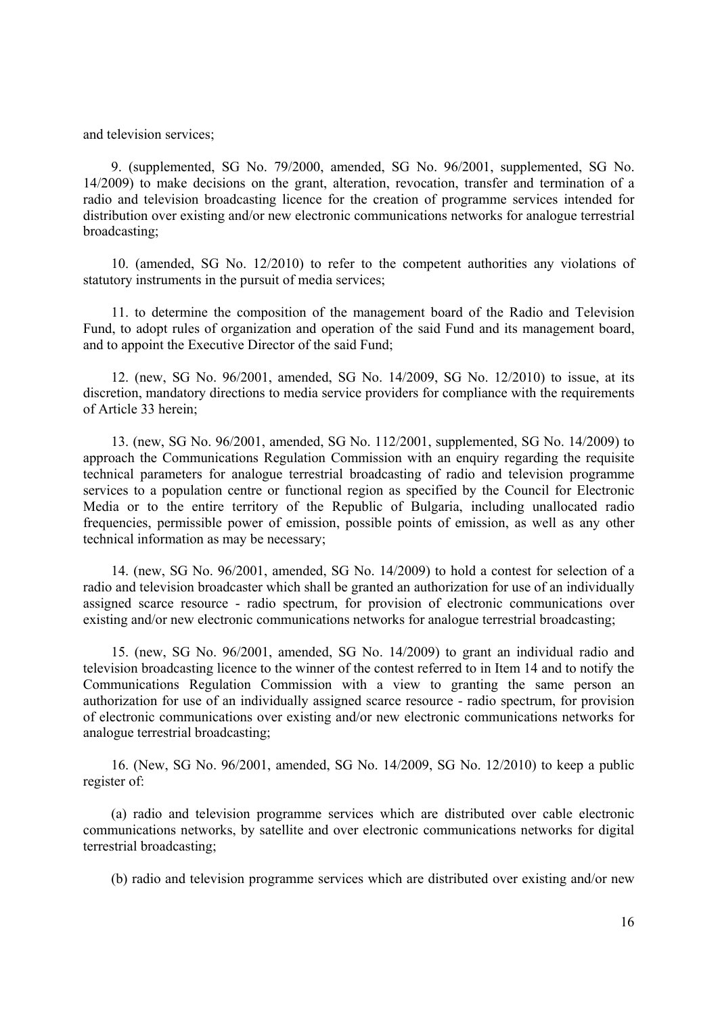and television services;

9. (supplemented, SG No. 79/2000, amended, SG No. 96/2001, supplemented, SG No. 14/2009) to make decisions on the grant, alteration, revocation, transfer and termination of a radio and television broadcasting licence for the creation of programme services intended for distribution over existing and/or new electronic communications networks for analogue terrestrial broadcasting;

10. (amended, SG No. 12/2010) to refer to the competent authorities any violations of statutory instruments in the pursuit of media services;

11. to determine the composition of the management board of the Radio and Television Fund, to adopt rules of organization and operation of the said Fund and its management board, and to appoint the Executive Director of the said Fund;

12. (new, SG No. 96/2001, amended, SG No. 14/2009, SG No. 12/2010) to issue, at its discretion, mandatory directions to media service providers for compliance with the requirements of Article 33 herein;

13. (new, SG No. 96/2001, amended, SG No. 112/2001, supplemented, SG No. 14/2009) to approach the Communications Regulation Commission with an enquiry regarding the requisite technical parameters for analogue terrestrial broadcasting of radio and television programme services to a population centre or functional region as specified by the Council for Electronic Media or to the entire territory of the Republic of Bulgaria, including unallocated radio frequencies, permissible power of emission, possible points of emission, as well as any other technical information as may be necessary;

14. (new, SG No. 96/2001, amended, SG No. 14/2009) to hold a contest for selection of a radio and television broadcaster which shall be granted an authorization for use of an individually assigned scarce resource - radio spectrum, for provision of electronic communications over existing and/or new electronic communications networks for analogue terrestrial broadcasting;

15. (new, SG No. 96/2001, amended, SG No. 14/2009) to grant an individual radio and television broadcasting licence to the winner of the contest referred to in Item 14 and to notify the Communications Regulation Commission with a view to granting the same person an authorization for use of an individually assigned scarce resource - radio spectrum, for provision of electronic communications over existing and/or new electronic communications networks for analogue terrestrial broadcasting;

16. (New, SG No. 96/2001, amended, SG No. 14/2009, SG No. 12/2010) to keep a public register of:

(a) radio and television programme services which are distributed over cable electronic communications networks, by satellite and over electronic communications networks for digital terrestrial broadcasting;

(b) radio and television programme services which are distributed over existing and/or new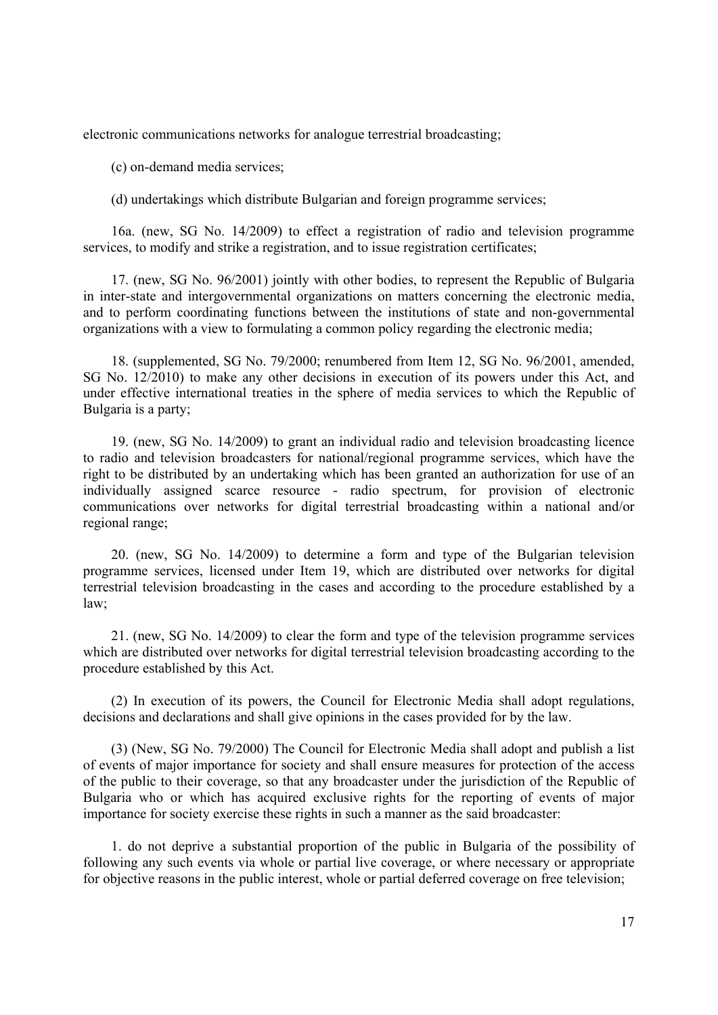electronic communications networks for analogue terrestrial broadcasting;

(c) on-demand media services;

(d) undertakings which distribute Bulgarian and foreign programme services;

16a. (new, SG No. 14/2009) to effect a registration of radio and television programme services, to modify and strike a registration, and to issue registration certificates;

17. (new, SG No. 96/2001) jointly with other bodies, to represent the Republic of Bulgaria in inter-state and intergovernmental organizations on matters concerning the electronic media, and to perform coordinating functions between the institutions of state and non-governmental organizations with a view to formulating a common policy regarding the electronic media;

18. (supplemented, SG No. 79/2000; renumbered from Item 12, SG No. 96/2001, amended, SG No. 12/2010) to make any other decisions in execution of its powers under this Act, and under effective international treaties in the sphere of media services to which the Republic of Bulgaria is a party;

19. (new, SG No. 14/2009) to grant an individual radio and television broadcasting licence to radio and television broadcasters for national/regional programme services, which have the right to be distributed by an undertaking which has been granted an authorization for use of an individually assigned scarce resource - radio spectrum, for provision of electronic communications over networks for digital terrestrial broadcasting within a national and/or regional range;

20. (new, SG No. 14/2009) to determine a form and type of the Bulgarian television programme services, licensed under Item 19, which are distributed over networks for digital terrestrial television broadcasting in the cases and according to the procedure established by a law;

21. (new, SG No. 14/2009) to clear the form and type of the television programme services which are distributed over networks for digital terrestrial television broadcasting according to the procedure established by this Act.

(2) In execution of its powers, the Council for Electronic Media shall adopt regulations, decisions and declarations and shall give opinions in the cases provided for by the law.

(3) (New, SG No. 79/2000) The Council for Electronic Media shall adopt and publish a list of events of major importance for society and shall ensure measures for protection of the access of the public to their coverage, so that any broadcaster under the jurisdiction of the Republic of Bulgaria who or which has acquired exclusive rights for the reporting of events of major importance for society exercise these rights in such a manner as the said broadcaster:

1. do not deprive a substantial proportion of the public in Bulgaria of the possibility of following any such events via whole or partial live coverage, or where necessary or appropriate for objective reasons in the public interest, whole or partial deferred coverage on free television;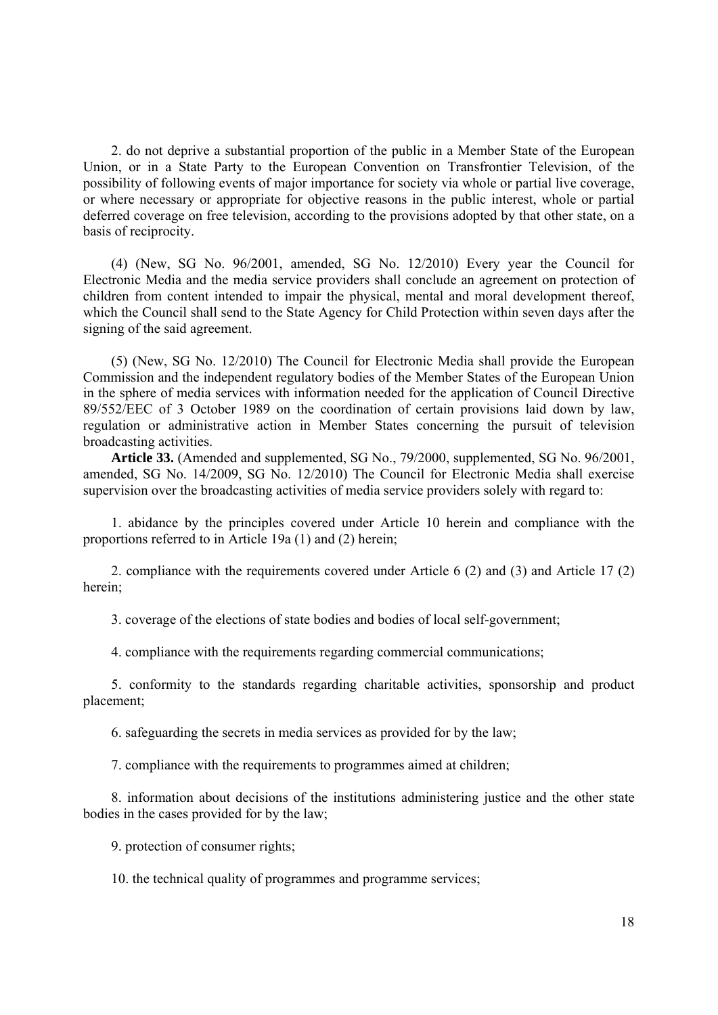2. do not deprive a substantial proportion of the public in a Member State of the European Union, or in a State Party to the European Convention on Transfrontier Television, of the possibility of following events of major importance for society via whole or partial live coverage, or where necessary or appropriate for objective reasons in the public interest, whole or partial deferred coverage on free television, according to the provisions adopted by that other state, on a basis of reciprocity.

(4) (New, SG No. 96/2001, amended, SG No. 12/2010) Every year the Council for Electronic Media and the media service providers shall conclude an agreement on protection of children from content intended to impair the physical, mental and moral development thereof, which the Council shall send to the State Agency for Child Protection within seven days after the signing of the said agreement.

(5) (New, SG No. 12/2010) The Council for Electronic Media shall provide the European Commission and the independent regulatory bodies of the Member States of the European Union in the sphere of media services with information needed for the application of Council Directive 89/552/EEC of 3 October 1989 on the coordination of certain provisions laid down by law, regulation or administrative action in Member States concerning the pursuit of television broadcasting activities.

**Article 33.** (Amended and supplemented, SG No., 79/2000, supplemented, SG No. 96/2001, amended, SG No. 14/2009, SG No. 12/2010) The Council for Electronic Media shall exercise supervision over the broadcasting activities of media service providers solely with regard to:

1. abidance by the principles covered under Article 10 herein and compliance with the proportions referred to in Article 19a (1) and (2) herein;

2. compliance with the requirements covered under Article 6 (2) and (3) and Article 17 (2) herein;

3. coverage of the elections of state bodies and bodies of local self-government;

4. compliance with the requirements regarding commercial communications;

5. conformity to the standards regarding charitable activities, sponsorship and product placement;

6. safeguarding the secrets in media services as provided for by the law;

7. compliance with the requirements to programmes aimed at children;

8. information about decisions of the institutions administering justice and the other state bodies in the cases provided for by the law;

9. protection of consumer rights;

10. the technical quality of programmes and programme services;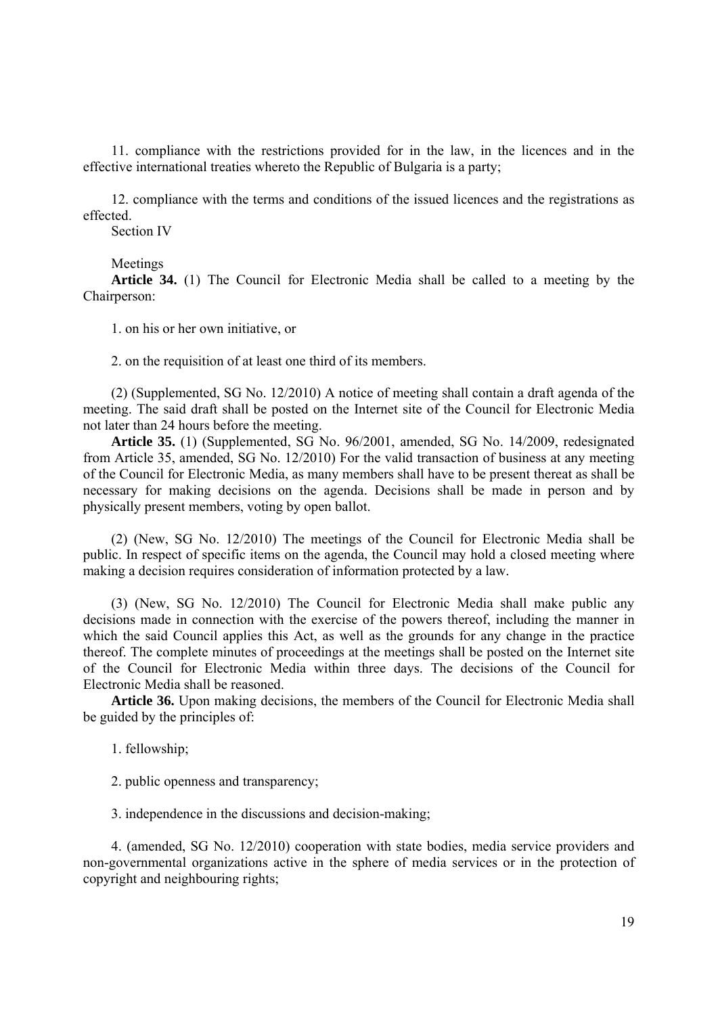11. compliance with the restrictions provided for in the law, in the licences and in the effective international treaties whereto the Republic of Bulgaria is a party;

12. compliance with the terms and conditions of the issued licences and the registrations as effected.

Section IV

#### Meetings

**Article 34.** (1) The Council for Electronic Media shall be called to a meeting by the Chairperson:

1. on his or her own initiative, or

2. on the requisition of at least one third of its members.

(2) (Supplemented, SG No. 12/2010) A notice of meeting shall contain a draft agenda of the meeting. The said draft shall be posted on the Internet site of the Council for Electronic Media not later than 24 hours before the meeting.

**Article 35.** (1) (Supplemented, SG No. 96/2001, amended, SG No. 14/2009, redesignated from Article 35, amended, SG No. 12/2010) For the valid transaction of business at any meeting of the Council for Electronic Media, as many members shall have to be present thereat as shall be necessary for making decisions on the agenda. Decisions shall be made in person and by physically present members, voting by open ballot.

(2) (New, SG No. 12/2010) The meetings of the Council for Electronic Media shall be public. In respect of specific items on the agenda, the Council may hold a closed meeting where making a decision requires consideration of information protected by a law.

(3) (New, SG No. 12/2010) The Council for Electronic Media shall make public any decisions made in connection with the exercise of the powers thereof, including the manner in which the said Council applies this Act, as well as the grounds for any change in the practice thereof. The complete minutes of proceedings at the meetings shall be posted on the Internet site of the Council for Electronic Media within three days. The decisions of the Council for Electronic Media shall be reasoned.

**Article 36.** Upon making decisions, the members of the Council for Electronic Media shall be guided by the principles of:

1. fellowship;

2. public openness and transparency;

3. independence in the discussions and decision-making;

4. (amended, SG No. 12/2010) cooperation with state bodies, media service providers and non-governmental organizations active in the sphere of media services or in the protection of copyright and neighbouring rights;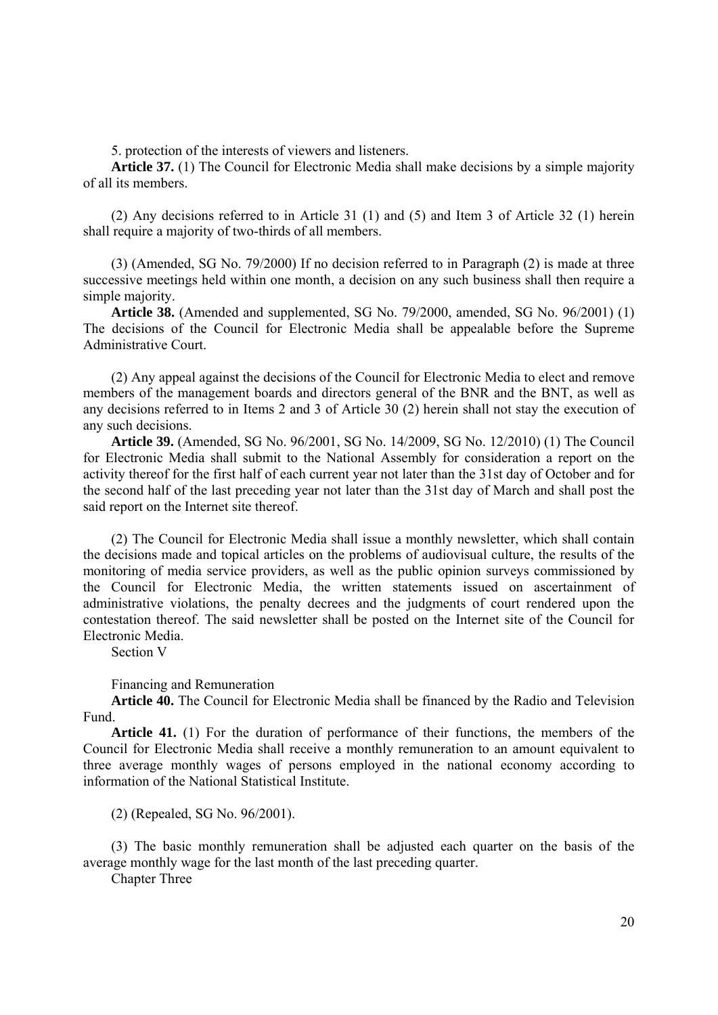5. protection of the interests of viewers and listeners.

**Article 37.** (1) The Council for Electronic Media shall make decisions by a simple majority of all its members.

(2) Any decisions referred to in Article 31 (1) and (5) and Item 3 of Article 32 (1) herein shall require a majority of two-thirds of all members.

(3) (Amended, SG No. 79/2000) If no decision referred to in Paragraph (2) is made at three successive meetings held within one month, a decision on any such business shall then require a simple majority.

**Article 38.** (Amended and supplemented, SG No. 79/2000, amended, SG No. 96/2001) (1) The decisions of the Council for Electronic Media shall be appealable before the Supreme Administrative Court.

(2) Any appeal against the decisions of the Council for Electronic Media to elect and remove members of the management boards and directors general of the BNR and the BNT, as well as any decisions referred to in Items 2 and 3 of Article 30 (2) herein shall not stay the execution of any such decisions.

**Article 39.** (Amended, SG No. 96/2001, SG No. 14/2009, SG No. 12/2010) (1) The Council for Electronic Media shall submit to the National Assembly for consideration a report on the activity thereof for the first half of each current year not later than the 31st day of October and for the second half of the last preceding year not later than the 31st day of March and shall post the said report on the Internet site thereof.

(2) The Council for Electronic Media shall issue a monthly newsletter, which shall contain the decisions made and topical articles on the problems of audiovisual culture, the results of the monitoring of media service providers, as well as the public opinion surveys commissioned by the Council for Electronic Media, the written statements issued on ascertainment of administrative violations, the penalty decrees and the judgments of court rendered upon the contestation thereof. The said newsletter shall be posted on the Internet site of the Council for Electronic Media.

Section V

Financing and Remuneration

**Article 40.** The Council for Electronic Media shall be financed by the Radio and Television Fund.

**Article 41.** (1) For the duration of performance of their functions, the members of the Council for Electronic Media shall receive a monthly remuneration to an amount equivalent to three average monthly wages of persons employed in the national economy according to information of the National Statistical Institute.

(2) (Repealed, SG No. 96/2001).

(3) The basic monthly remuneration shall be adjusted each quarter on the basis of the average monthly wage for the last month of the last preceding quarter.

Chapter Three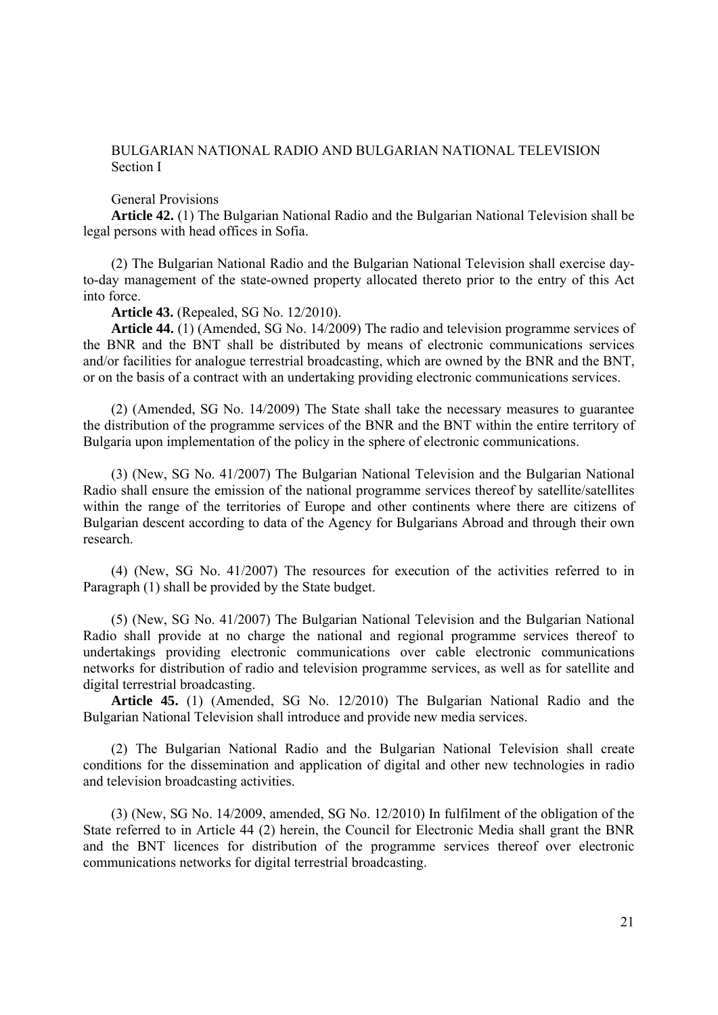# BULGARIAN NATIONAL RADIO AND BULGARIAN NATIONAL TELEVISION Section I

General Provisions

**Article 42.** (1) The Bulgarian National Radio and the Bulgarian National Television shall be legal persons with head offices in Sofia.

(2) The Bulgarian National Radio and the Bulgarian National Television shall exercise dayto-day management of the state-owned property allocated thereto prior to the entry of this Act into force.

**Article 43.** (Repealed, SG No. 12/2010).

**Article 44.** (1) (Amended, SG No. 14/2009) The radio and television programme services of the BNR and the BNT shall be distributed by means of electronic communications services and/or facilities for analogue terrestrial broadcasting, which are owned by the BNR and the BNT, or on the basis of a contract with an undertaking providing electronic communications services.

(2) (Amended, SG No. 14/2009) The State shall take the necessary measures to guarantee the distribution of the programme services of the BNR and the BNT within the entire territory of Bulgaria upon implementation of the policy in the sphere of electronic communications.

(3) (New, SG No. 41/2007) The Bulgarian National Television and the Bulgarian National Radio shall ensure the emission of the national programme services thereof by satellite/satellites within the range of the territories of Europe and other continents where there are citizens of Bulgarian descent according to data of the Agency for Bulgarians Abroad and through their own research.

(4) (New, SG No. 41/2007) The resources for execution of the activities referred to in Paragraph (1) shall be provided by the State budget.

(5) (New, SG No. 41/2007) The Bulgarian National Television and the Bulgarian National Radio shall provide at no charge the national and regional programme services thereof to undertakings providing electronic communications over cable electronic communications networks for distribution of radio and television programme services, as well as for satellite and digital terrestrial broadcasting.

**Article 45.** (1) (Amended, SG No. 12/2010) The Bulgarian National Radio and the Bulgarian National Television shall introduce and provide new media services.

(2) The Bulgarian National Radio and the Bulgarian National Television shall create conditions for the dissemination and application of digital and other new technologies in radio and television broadcasting activities.

(3) (New, SG No. 14/2009, amended, SG No. 12/2010) In fulfilment of the obligation of the State referred to in Article 44 (2) herein, the Council for Electronic Media shall grant the BNR and the BNT licences for distribution of the programme services thereof over electronic communications networks for digital terrestrial broadcasting.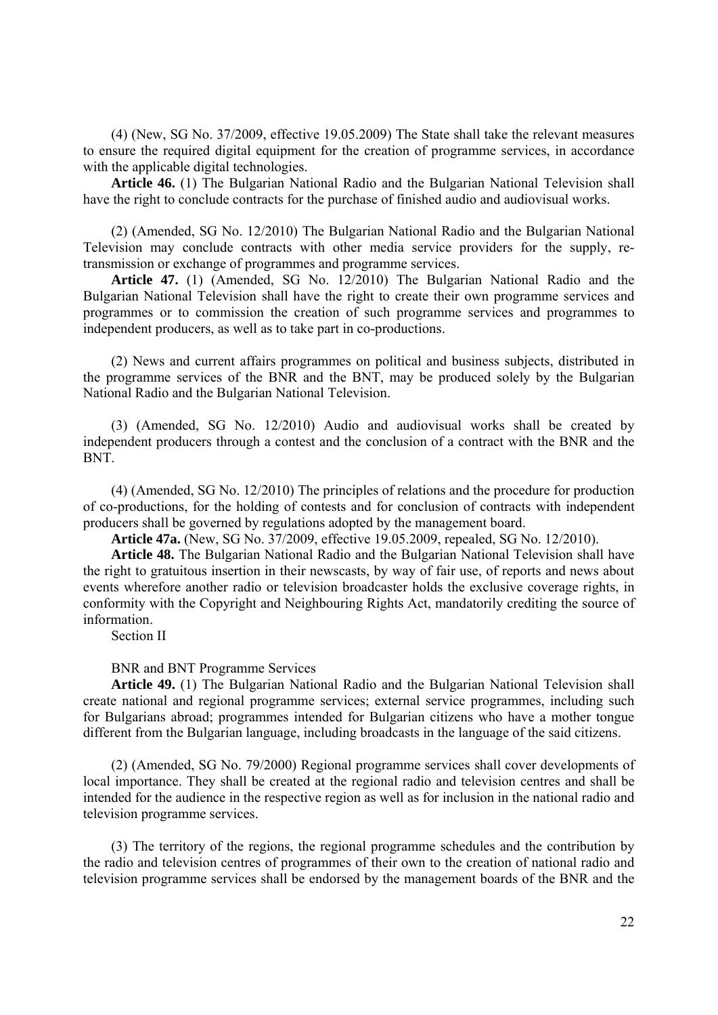(4) (New, SG No. 37/2009, effective 19.05.2009) The State shall take the relevant measures to ensure the required digital equipment for the creation of programme services, in accordance with the applicable digital technologies.

**Article 46.** (1) The Bulgarian National Radio and the Bulgarian National Television shall have the right to conclude contracts for the purchase of finished audio and audiovisual works.

(2) (Amended, SG No. 12/2010) The Bulgarian National Radio and the Bulgarian National Television may conclude contracts with other media service providers for the supply, retransmission or exchange of programmes and programme services.

**Article 47.** (1) (Amended, SG No. 12/2010) The Bulgarian National Radio and the Bulgarian National Television shall have the right to create their own programme services and programmes or to commission the creation of such programme services and programmes to independent producers, as well as to take part in co-productions.

(2) News and current affairs programmes on political and business subjects, distributed in the programme services of the BNR and the BNT, may be produced solely by the Bulgarian National Radio and the Bulgarian National Television.

(3) (Amended, SG No. 12/2010) Audio and audiovisual works shall be created by independent producers through a contest and the conclusion of a contract with the BNR and the BNT.

(4) (Amended, SG No. 12/2010) The principles of relations and the procedure for production of co-productions, for the holding of contests and for conclusion of contracts with independent producers shall be governed by regulations adopted by the management board.

**Article 47a.** (New, SG No. 37/2009, effective 19.05.2009, repealed, SG No. 12/2010).

**Article 48.** The Bulgarian National Radio and the Bulgarian National Television shall have the right to gratuitous insertion in their newscasts, by way of fair use, of reports and news about events wherefore another radio or television broadcaster holds the exclusive coverage rights, in conformity with the Copyright and Neighbouring Rights Act, mandatorily crediting the source of information.

Section II

BNR and BNT Programme Services

**Article 49.** (1) The Bulgarian National Radio and the Bulgarian National Television shall create national and regional programme services; external service programmes, including such for Bulgarians abroad; programmes intended for Bulgarian citizens who have a mother tongue different from the Bulgarian language, including broadcasts in the language of the said citizens.

(2) (Amended, SG No. 79/2000) Regional programme services shall cover developments of local importance. They shall be created at the regional radio and television centres and shall be intended for the audience in the respective region as well as for inclusion in the national radio and television programme services.

(3) The territory of the regions, the regional programme schedules and the contribution by the radio and television centres of programmes of their own to the creation of national radio and television programme services shall be endorsed by the management boards of the BNR and the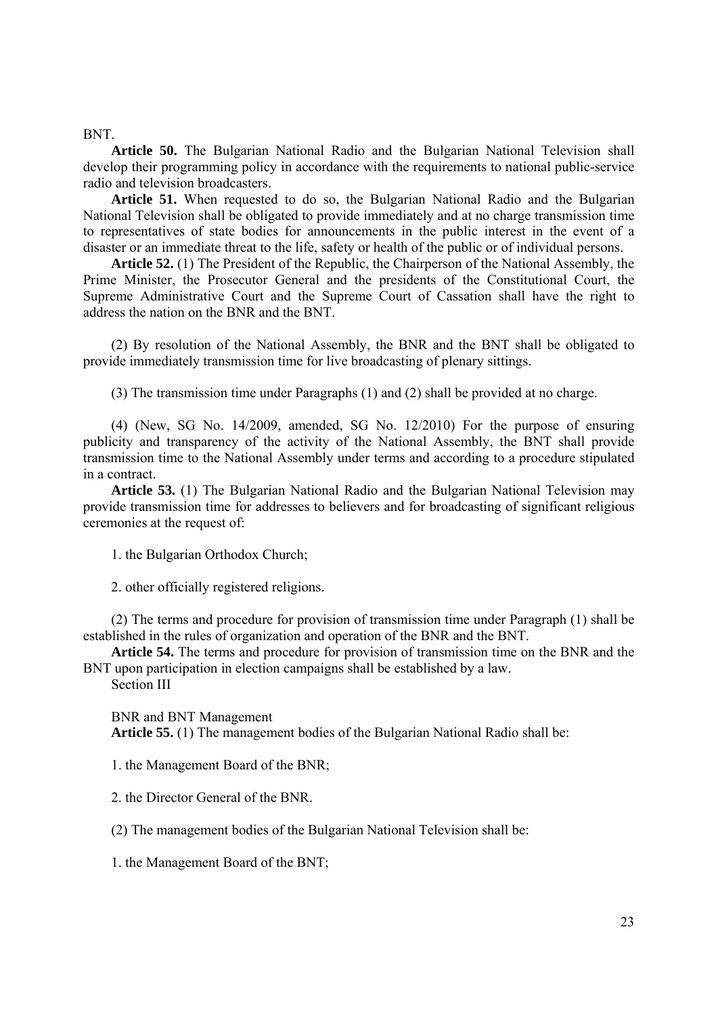BNT.

**Article 50.** The Bulgarian National Radio and the Bulgarian National Television shall develop their programming policy in accordance with the requirements to national public-service radio and television broadcasters.

**Article 51.** When requested to do so, the Bulgarian National Radio and the Bulgarian National Television shall be obligated to provide immediately and at no charge transmission time to representatives of state bodies for announcements in the public interest in the event of a disaster or an immediate threat to the life, safety or health of the public or of individual persons.

**Article 52.** (1) The President of the Republic, the Chairperson of the National Assembly, the Prime Minister, the Prosecutor General and the presidents of the Constitutional Court, the Supreme Administrative Court and the Supreme Court of Cassation shall have the right to address the nation on the BNR and the BNT.

(2) By resolution of the National Assembly, the BNR and the BNT shall be obligated to provide immediately transmission time for live broadcasting of plenary sittings.

(3) The transmission time under Paragraphs (1) and (2) shall be provided at no charge.

(4) (New, SG No. 14/2009, amended, SG No. 12/2010) For the purpose of ensuring publicity and transparency of the activity of the National Assembly, the BNT shall provide transmission time to the National Assembly under terms and according to a procedure stipulated in a contract.

**Article 53.** (1) The Bulgarian National Radio and the Bulgarian National Television may provide transmission time for addresses to believers and for broadcasting of significant religious ceremonies at the request of:

1. the Bulgarian Orthodox Church;

2. other officially registered religions.

(2) The terms and procedure for provision of transmission time under Paragraph (1) shall be established in the rules of organization and operation of the BNR and the BNT.

**Article 54.** The terms and procedure for provision of transmission time on the BNR and the BNT upon participation in election campaigns shall be established by a law.

Section III

BNR and BNT Management **Article 55.** (1) The management bodies of the Bulgarian National Radio shall be:

1. the Management Board of the BNR;

2. the Director General of the BNR.

(2) The management bodies of the Bulgarian National Television shall be:

1. the Management Board of the BNT;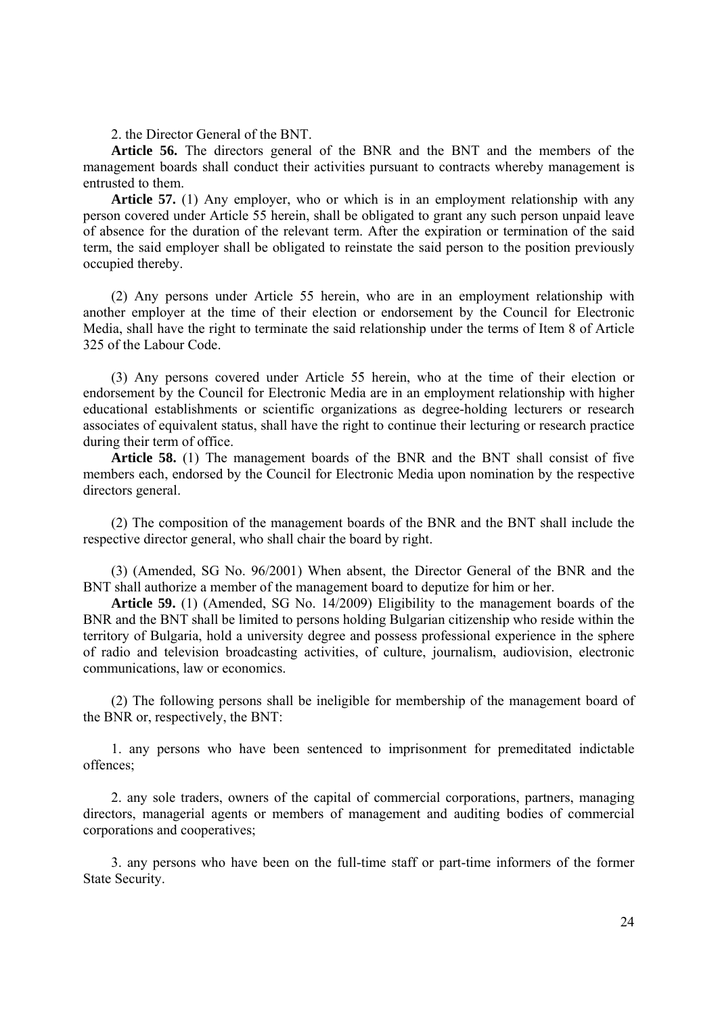2. the Director General of the BNT.

**Article 56.** The directors general of the BNR and the BNT and the members of the management boards shall conduct their activities pursuant to contracts whereby management is entrusted to them.

**Article 57.** (1) Any employer, who or which is in an employment relationship with any person covered under Article 55 herein, shall be obligated to grant any such person unpaid leave of absence for the duration of the relevant term. After the expiration or termination of the said term, the said employer shall be obligated to reinstate the said person to the position previously occupied thereby.

(2) Any persons under Article 55 herein, who are in an employment relationship with another employer at the time of their election or endorsement by the Council for Electronic Media, shall have the right to terminate the said relationship under the terms of Item 8 of Article 325 of the Labour Code.

(3) Any persons covered under Article 55 herein, who at the time of their election or endorsement by the Council for Electronic Media are in an employment relationship with higher educational establishments or scientific organizations as degree-holding lecturers or research associates of equivalent status, shall have the right to continue their lecturing or research practice during their term of office.

**Article 58.** (1) The management boards of the BNR and the BNT shall consist of five members each, endorsed by the Council for Electronic Media upon nomination by the respective directors general.

(2) The composition of the management boards of the BNR and the BNT shall include the respective director general, who shall chair the board by right.

(3) (Amended, SG No. 96/2001) When absent, the Director General of the BNR and the BNT shall authorize a member of the management board to deputize for him or her.

**Article 59.** (1) (Amended, SG No. 14/2009) Eligibility to the management boards of the BNR and the BNT shall be limited to persons holding Bulgarian citizenship who reside within the territory of Bulgaria, hold a university degree and possess professional experience in the sphere of radio and television broadcasting activities, of culture, journalism, audiovision, electronic communications, law or economics.

(2) The following persons shall be ineligible for membership of the management board of the BNR or, respectively, the BNT:

1. any persons who have been sentenced to imprisonment for premeditated indictable offences;

2. any sole traders, owners of the capital of commercial corporations, partners, managing directors, managerial agents or members of management and auditing bodies of commercial corporations and cooperatives;

3. any persons who have been on the full-time staff or part-time informers of the former State Security.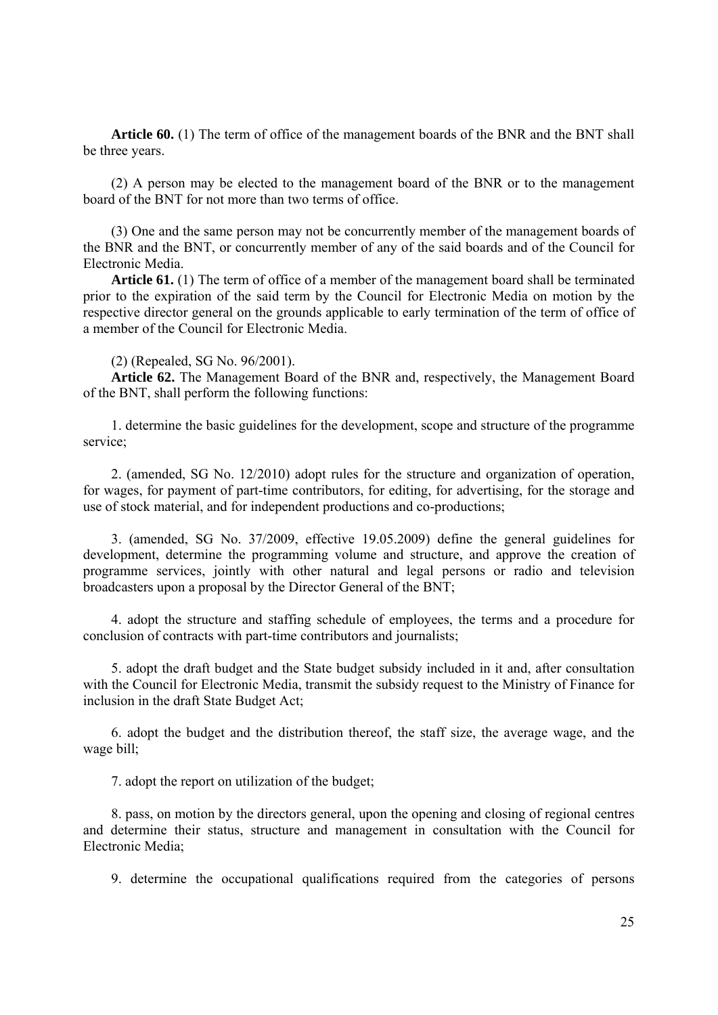**Article 60.** (1) The term of office of the management boards of the BNR and the BNT shall be three years.

(2) A person may be elected to the management board of the BNR or to the management board of the BNT for not more than two terms of office.

(3) One and the same person may not be concurrently member of the management boards of the BNR and the BNT, or concurrently member of any of the said boards and of the Council for Electronic Media.

**Article 61.** (1) The term of office of a member of the management board shall be terminated prior to the expiration of the said term by the Council for Electronic Media on motion by the respective director general on the grounds applicable to early termination of the term of office of a member of the Council for Electronic Media.

### (2) (Repealed, SG No. 96/2001).

**Article 62.** The Management Board of the BNR and, respectively, the Management Board of the BNT, shall perform the following functions:

1. determine the basic guidelines for the development, scope and structure of the programme service;

2. (amended, SG No. 12/2010) adopt rules for the structure and organization of operation, for wages, for payment of part-time contributors, for editing, for advertising, for the storage and use of stock material, and for independent productions and co-productions;

3. (amended, SG No. 37/2009, effective 19.05.2009) define the general guidelines for development, determine the programming volume and structure, and approve the creation of programme services, jointly with other natural and legal persons or radio and television broadcasters upon a proposal by the Director General of the BNT;

4. adopt the structure and staffing schedule of employees, the terms and a procedure for conclusion of contracts with part-time contributors and journalists;

5. adopt the draft budget and the State budget subsidy included in it and, after consultation with the Council for Electronic Media, transmit the subsidy request to the Ministry of Finance for inclusion in the draft State Budget Act;

6. adopt the budget and the distribution thereof, the staff size, the average wage, and the wage bill;

7. adopt the report on utilization of the budget;

8. pass, on motion by the directors general, upon the opening and closing of regional centres and determine their status, structure and management in consultation with the Council for Electronic Media;

9. determine the occupational qualifications required from the categories of persons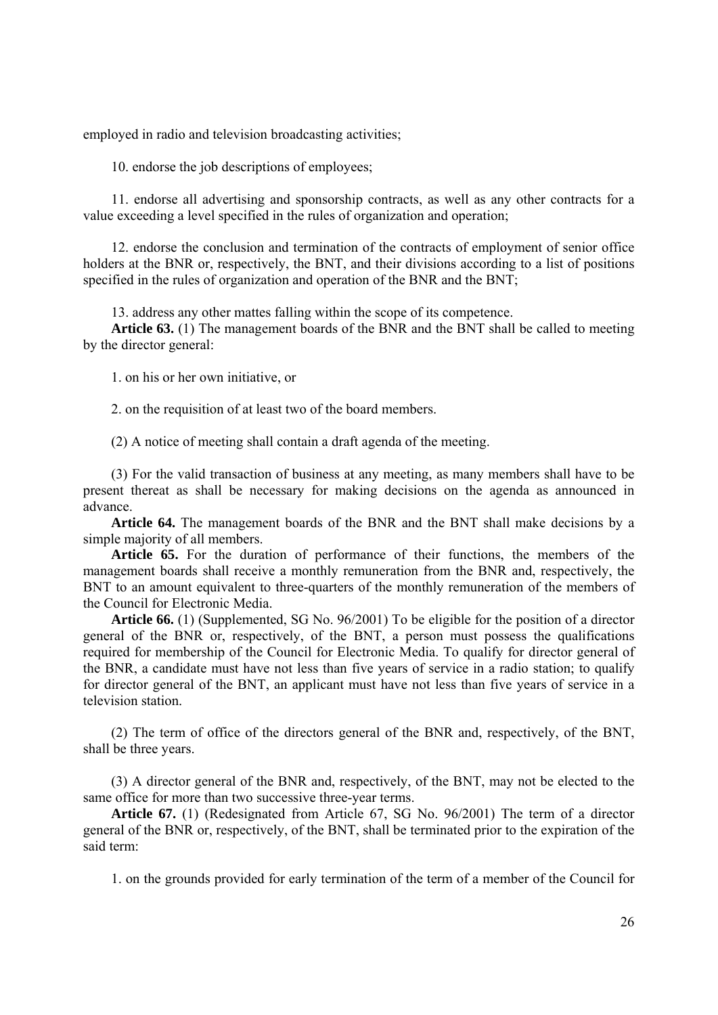employed in radio and television broadcasting activities;

10. endorse the job descriptions of employees;

11. endorse all advertising and sponsorship contracts, as well as any other contracts for a value exceeding a level specified in the rules of organization and operation;

12. endorse the conclusion and termination of the contracts of employment of senior office holders at the BNR or, respectively, the BNT, and their divisions according to a list of positions specified in the rules of organization and operation of the BNR and the BNT;

13. address any other mattes falling within the scope of its competence.

**Article 63.** (1) The management boards of the BNR and the BNT shall be called to meeting by the director general:

1. on his or her own initiative, or

2. on the requisition of at least two of the board members.

(2) A notice of meeting shall contain a draft agenda of the meeting.

(3) For the valid transaction of business at any meeting, as many members shall have to be present thereat as shall be necessary for making decisions on the agenda as announced in advance.

**Article 64.** The management boards of the BNR and the BNT shall make decisions by a simple majority of all members.

**Article 65.** For the duration of performance of their functions, the members of the management boards shall receive a monthly remuneration from the BNR and, respectively, the BNT to an amount equivalent to three-quarters of the monthly remuneration of the members of the Council for Electronic Media.

**Article 66.** (1) (Supplemented, SG No. 96/2001) To be eligible for the position of a director general of the BNR or, respectively, of the BNT, a person must possess the qualifications required for membership of the Council for Electronic Media. To qualify for director general of the BNR, a candidate must have not less than five years of service in a radio station; to qualify for director general of the BNT, an applicant must have not less than five years of service in a television station.

(2) The term of office of the directors general of the BNR and, respectively, of the BNT, shall be three years.

(3) A director general of the BNR and, respectively, of the BNT, may not be elected to the same office for more than two successive three-year terms.

**Article 67.** (1) (Redesignated from Article 67, SG No. 96/2001) The term of a director general of the BNR or, respectively, of the BNT, shall be terminated prior to the expiration of the said term:

1. on the grounds provided for early termination of the term of a member of the Council for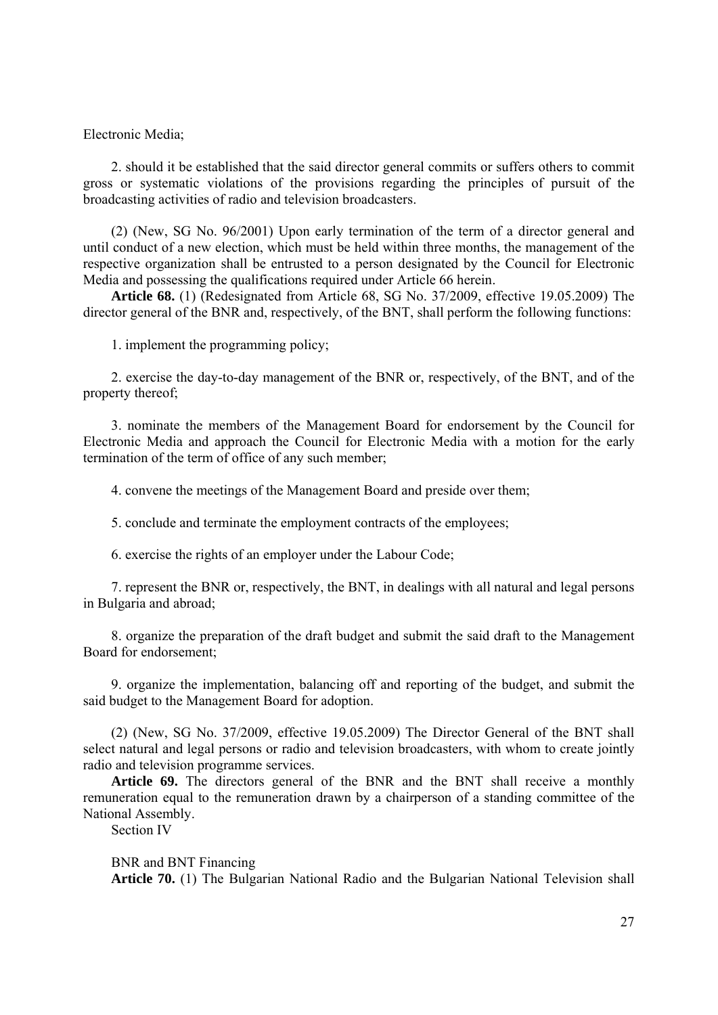Electronic Media;

2. should it be established that the said director general commits or suffers others to commit gross or systematic violations of the provisions regarding the principles of pursuit of the broadcasting activities of radio and television broadcasters.

(2) (New, SG No. 96/2001) Upon early termination of the term of a director general and until conduct of a new election, which must be held within three months, the management of the respective organization shall be entrusted to a person designated by the Council for Electronic Media and possessing the qualifications required under Article 66 herein.

**Article 68.** (1) (Redesignated from Article 68, SG No. 37/2009, effective 19.05.2009) The director general of the BNR and, respectively, of the BNT, shall perform the following functions:

1. implement the programming policy;

2. exercise the day-to-day management of the BNR or, respectively, of the BNT, and of the property thereof;

3. nominate the members of the Management Board for endorsement by the Council for Electronic Media and approach the Council for Electronic Media with a motion for the early termination of the term of office of any such member;

4. convene the meetings of the Management Board and preside over them;

5. conclude and terminate the employment contracts of the employees;

6. exercise the rights of an employer under the Labour Code;

7. represent the BNR or, respectively, the BNT, in dealings with all natural and legal persons in Bulgaria and abroad;

8. organize the preparation of the draft budget and submit the said draft to the Management Board for endorsement;

9. organize the implementation, balancing off and reporting of the budget, and submit the said budget to the Management Board for adoption.

(2) (New, SG No. 37/2009, effective 19.05.2009) The Director General of the BNT shall select natural and legal persons or radio and television broadcasters, with whom to create jointly radio and television programme services.

**Article 69.** The directors general of the BNR and the BNT shall receive a monthly remuneration equal to the remuneration drawn by a chairperson of a standing committee of the National Assembly.

Section IV

BNR and BNT Financing

**Article 70.** (1) The Bulgarian National Radio and the Bulgarian National Television shall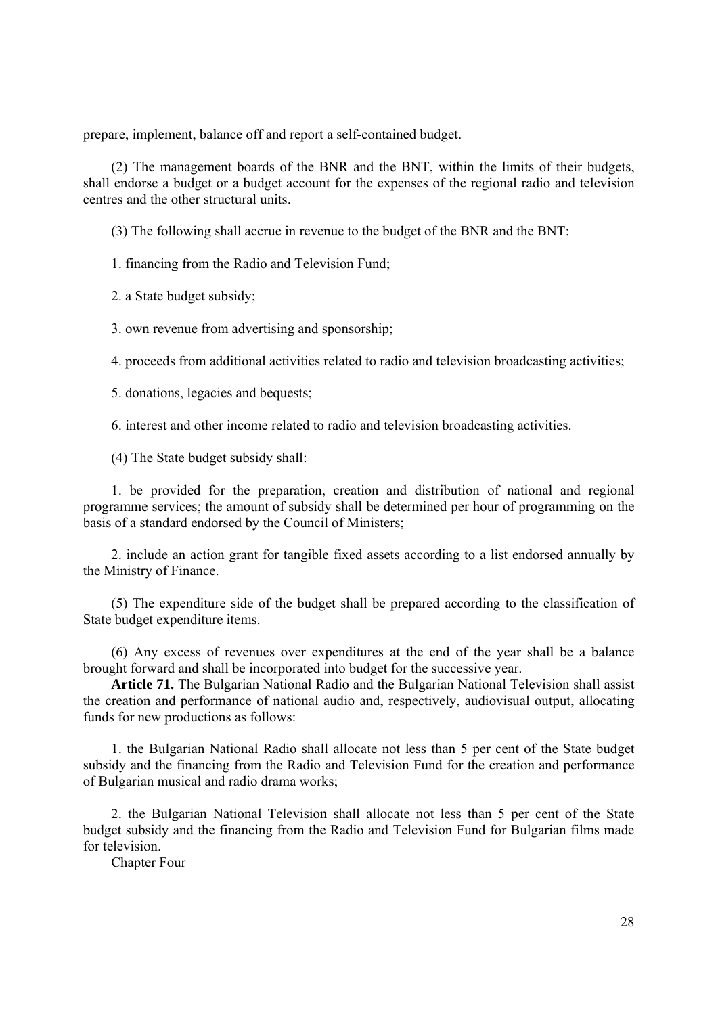prepare, implement, balance off and report a self-contained budget.

(2) The management boards of the BNR and the BNT, within the limits of their budgets, shall endorse a budget or a budget account for the expenses of the regional radio and television centres and the other structural units.

(3) The following shall accrue in revenue to the budget of the BNR and the BNT:

1. financing from the Radio and Television Fund;

2. a State budget subsidy;

3. own revenue from advertising and sponsorship;

4. proceeds from additional activities related to radio and television broadcasting activities;

5. donations, legacies and bequests;

6. interest and other income related to radio and television broadcasting activities.

(4) The State budget subsidy shall:

1. be provided for the preparation, creation and distribution of national and regional programme services; the amount of subsidy shall be determined per hour of programming on the basis of a standard endorsed by the Council of Ministers;

2. include an action grant for tangible fixed assets according to a list endorsed annually by the Ministry of Finance.

(5) The expenditure side of the budget shall be prepared according to the classification of State budget expenditure items.

(6) Any excess of revenues over expenditures at the end of the year shall be a balance brought forward and shall be incorporated into budget for the successive year.

**Article 71.** The Bulgarian National Radio and the Bulgarian National Television shall assist the creation and performance of national audio and, respectively, audiovisual output, allocating funds for new productions as follows:

1. the Bulgarian National Radio shall allocate not less than 5 per cent of the State budget subsidy and the financing from the Radio and Television Fund for the creation and performance of Bulgarian musical and radio drama works;

2. the Bulgarian National Television shall allocate not less than 5 per cent of the State budget subsidy and the financing from the Radio and Television Fund for Bulgarian films made for television.

Chapter Four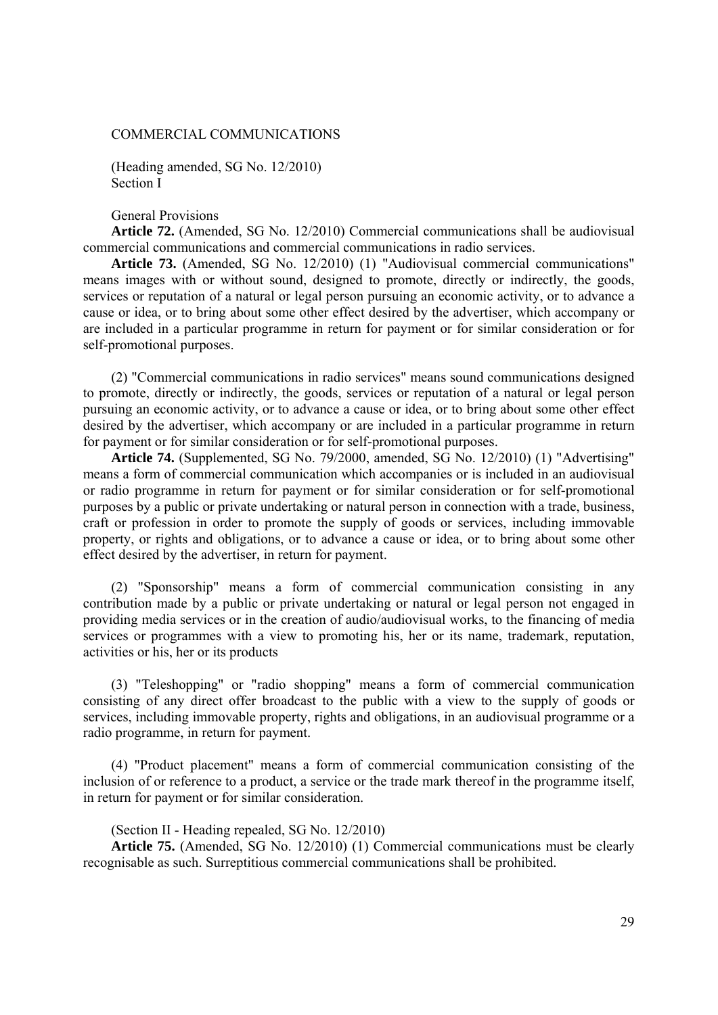#### COMMERCIAL COMMUNICATIONS

(Heading amended, SG No. 12/2010) Section I

General Provisions

**Article 72.** (Amended, SG No. 12/2010) Commercial communications shall be audiovisual commercial communications and commercial communications in radio services.

**Article 73.** (Amended, SG No. 12/2010) (1) "Audiovisual commercial communications" means images with or without sound, designed to promote, directly or indirectly, the goods, services or reputation of a natural or legal person pursuing an economic activity, or to advance a cause or idea, or to bring about some other effect desired by the advertiser, which accompany or are included in a particular programme in return for payment or for similar consideration or for self-promotional purposes.

(2) "Commercial communications in radio services" means sound communications designed to promote, directly or indirectly, the goods, services or reputation of a natural or legal person pursuing an economic activity, or to advance a cause or idea, or to bring about some other effect desired by the advertiser, which accompany or are included in a particular programme in return for payment or for similar consideration or for self-promotional purposes.

**Article 74.** (Supplemented, SG No. 79/2000, amended, SG No. 12/2010) (1) "Advertising" means a form of commercial communication which accompanies or is included in an audiovisual or radio programme in return for payment or for similar consideration or for self-promotional purposes by a public or private undertaking or natural person in connection with a trade, business, craft or profession in order to promote the supply of goods or services, including immovable property, or rights and obligations, or to advance a cause or idea, or to bring about some other effect desired by the advertiser, in return for payment.

(2) "Sponsorship" means a form of commercial communication consisting in any contribution made by a public or private undertaking or natural or legal person not engaged in providing media services or in the creation of audio/audiovisual works, to the financing of media services or programmes with a view to promoting his, her or its name, trademark, reputation, activities or his, her or its products

(3) "Teleshopping" or "radio shopping" means a form of commercial communication consisting of any direct offer broadcast to the public with a view to the supply of goods or services, including immovable property, rights and obligations, in an audiovisual programme or a radio programme, in return for payment.

(4) "Product placement" means a form of commercial communication consisting of the inclusion of or reference to a product, a service or the trade mark thereof in the programme itself, in return for payment or for similar consideration.

(Section II - Heading repealed, SG No. 12/2010)

**Article 75.** (Amended, SG No. 12/2010) (1) Commercial communications must be clearly recognisable as such. Surreptitious commercial communications shall be prohibited.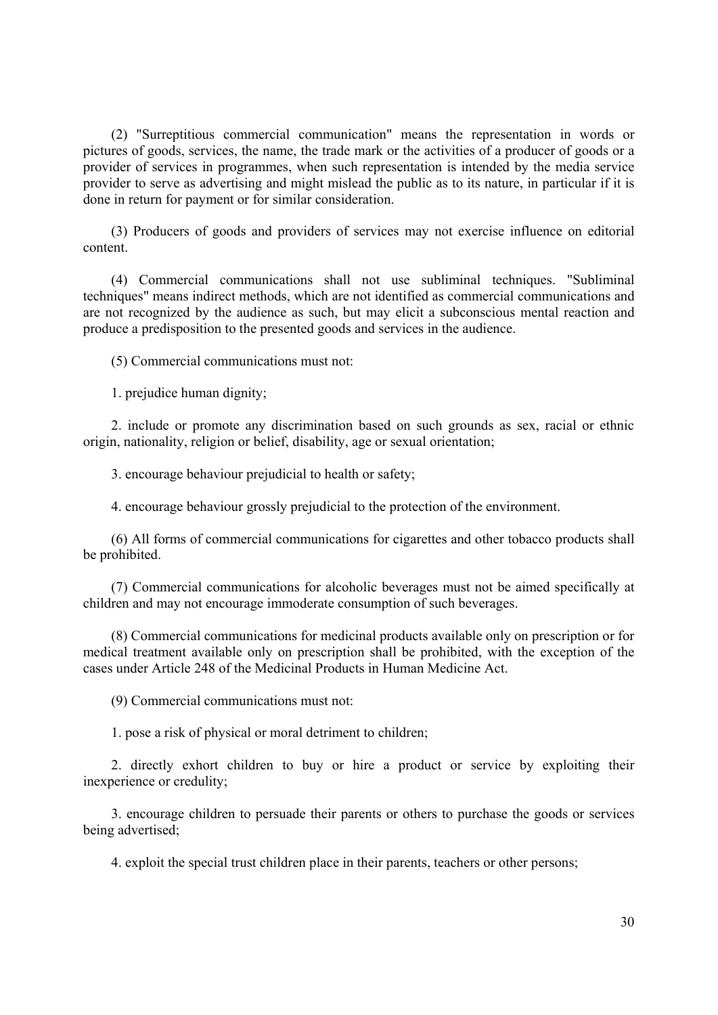(2) "Surreptitious commercial communication" means the representation in words or pictures of goods, services, the name, the trade mark or the activities of a producer of goods or a provider of services in programmes, when such representation is intended by the media service provider to serve as advertising and might mislead the public as to its nature, in particular if it is done in return for payment or for similar consideration.

(3) Producers of goods and providers of services may not exercise influence on editorial content.

(4) Commercial communications shall not use subliminal techniques. "Subliminal techniques" means indirect methods, which are not identified as commercial communications and are not recognized by the audience as such, but may elicit a subconscious mental reaction and produce a predisposition to the presented goods and services in the audience.

(5) Commercial communications must not:

1. prejudice human dignity;

2. include or promote any discrimination based on such grounds as sex, racial or ethnic origin, nationality, religion or belief, disability, age or sexual orientation;

3. encourage behaviour prejudicial to health or safety;

4. encourage behaviour grossly prejudicial to the protection of the environment.

(6) All forms of commercial communications for cigarettes and other tobacco products shall be prohibited.

(7) Commercial communications for alcoholic beverages must not be aimed specifically at children and may not encourage immoderate consumption of such beverages.

(8) Commercial communications for medicinal products available only on prescription or for medical treatment available only on prescription shall be prohibited, with the exception of the cases under Article 248 of the Medicinal Products in Human Medicine Act.

(9) Commercial communications must not:

1. pose a risk of physical or moral detriment to children;

2. directly exhort children to buy or hire a product or service by exploiting their inexperience or credulity;

3. encourage children to persuade their parents or others to purchase the goods or services being advertised;

4. exploit the special trust children place in their parents, teachers or other persons;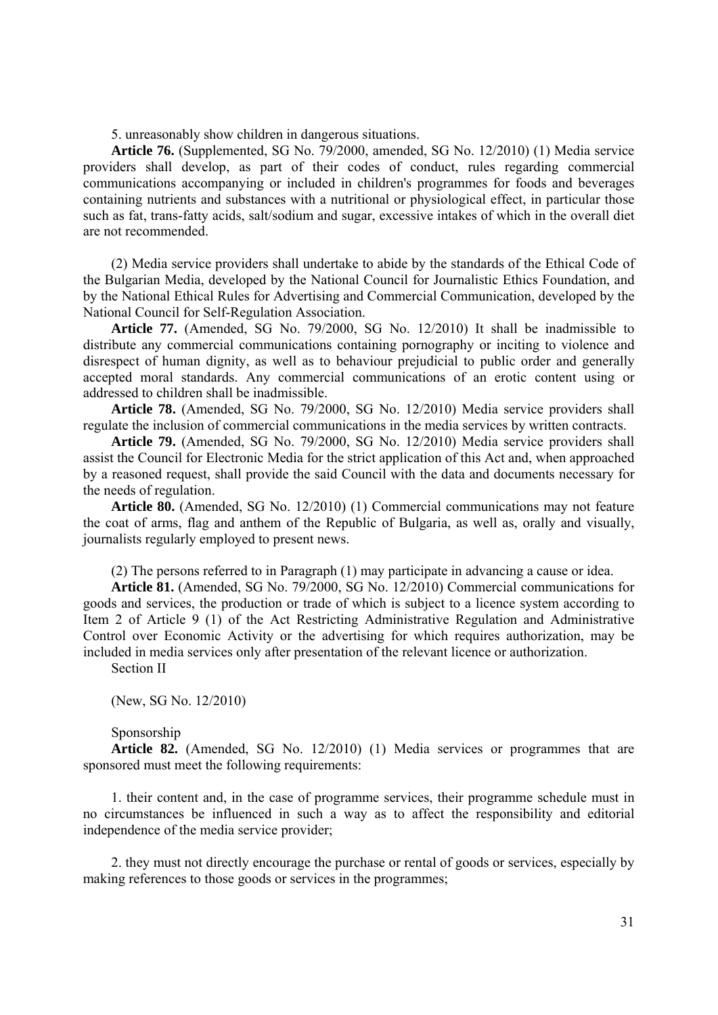5. unreasonably show children in dangerous situations.

**Article 76.** (Supplemented, SG No. 79/2000, amended, SG No. 12/2010) (1) Media service providers shall develop, as part of their codes of conduct, rules regarding commercial communications accompanying or included in children's programmes for foods and beverages containing nutrients and substances with a nutritional or physiological effect, in particular those such as fat, trans-fatty acids, salt/sodium and sugar, excessive intakes of which in the overall diet are not recommended.

(2) Media service providers shall undertake to abide by the standards of the Ethical Code of the Bulgarian Media, developed by the National Council for Journalistic Ethics Foundation, and by the National Ethical Rules for Advertising and Commercial Communication, developed by the National Council for Self-Regulation Association.

**Article 77.** (Amended, SG No. 79/2000, SG No. 12/2010) It shall be inadmissible to distribute any commercial communications containing pornography or inciting to violence and disrespect of human dignity, as well as to behaviour prejudicial to public order and generally accepted moral standards. Any commercial communications of an erotic content using or addressed to children shall be inadmissible.

**Article 78.** (Amended, SG No. 79/2000, SG No. 12/2010) Media service providers shall regulate the inclusion of commercial communications in the media services by written contracts.

**Article 79.** (Amended, SG No. 79/2000, SG No. 12/2010) Media service providers shall assist the Council for Electronic Media for the strict application of this Act and, when approached by a reasoned request, shall provide the said Council with the data and documents necessary for the needs of regulation.

**Article 80.** (Amended, SG No. 12/2010) (1) Commercial communications may not feature the coat of arms, flag and anthem of the Republic of Bulgaria, as well as, orally and visually, journalists regularly employed to present news.

(2) The persons referred to in Paragraph (1) may participate in advancing a cause or idea.

**Article 81.** (Amended, SG No. 79/2000, SG No. 12/2010) Commercial communications for goods and services, the production or trade of which is subject to a licence system according to Item 2 of Article 9 (1) of the Act Restricting Administrative Regulation and Administrative Control over Economic Activity or the advertising for which requires authorization, may be included in media services only after presentation of the relevant licence or authorization.

Section II

(New, SG No. 12/2010)

#### Sponsorship

**Article 82.** (Amended, SG No. 12/2010) (1) Media services or programmes that are sponsored must meet the following requirements:

1. their content and, in the case of programme services, their programme schedule must in no circumstances be influenced in such a way as to affect the responsibility and editorial independence of the media service provider;

2. they must not directly encourage the purchase or rental of goods or services, especially by making references to those goods or services in the programmes;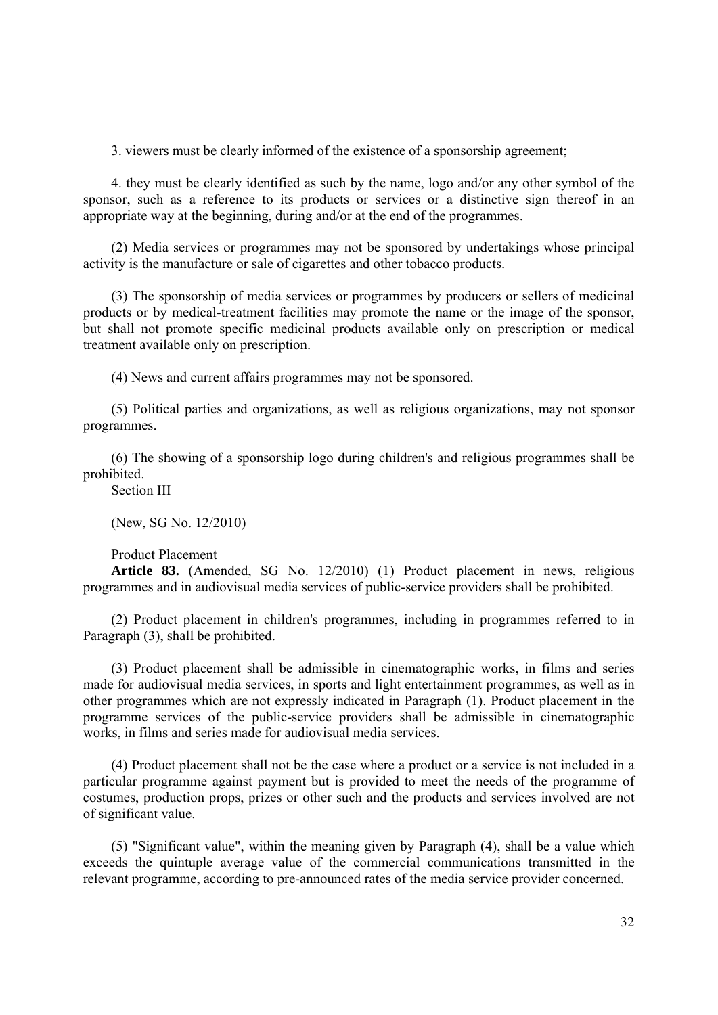3. viewers must be clearly informed of the existence of a sponsorship agreement;

4. they must be clearly identified as such by the name, logo and/or any other symbol of the sponsor, such as a reference to its products or services or a distinctive sign thereof in an appropriate way at the beginning, during and/or at the end of the programmes.

(2) Media services or programmes may not be sponsored by undertakings whose principal activity is the manufacture or sale of cigarettes and other tobacco products.

(3) The sponsorship of media services or programmes by producers or sellers of medicinal products or by medical-treatment facilities may promote the name or the image of the sponsor, but shall not promote specific medicinal products available only on prescription or medical treatment available only on prescription.

(4) News and current affairs programmes may not be sponsored.

(5) Political parties and organizations, as well as religious organizations, may not sponsor programmes.

(6) The showing of a sponsorship logo during children's and religious programmes shall be prohibited.

Section III

(New, SG No. 12/2010)

Product Placement

**Article 83.** (Amended, SG No. 12/2010) (1) Product placement in news, religious programmes and in audiovisual media services of public-service providers shall be prohibited.

(2) Product placement in children's programmes, including in programmes referred to in Paragraph (3), shall be prohibited.

(3) Product placement shall be admissible in cinematographic works, in films and series made for audiovisual media services, in sports and light entertainment programmes, as well as in other programmes which are not expressly indicated in Paragraph (1). Product placement in the programme services of the public-service providers shall be admissible in cinematographic works, in films and series made for audiovisual media services.

(4) Product placement shall not be the case where a product or a service is not included in a particular programme against payment but is provided to meet the needs of the programme of costumes, production props, prizes or other such and the products and services involved are not of significant value.

(5) "Significant value", within the meaning given by Paragraph (4), shall be a value which exceeds the quintuple average value of the commercial communications transmitted in the relevant programme, according to pre-announced rates of the media service provider concerned.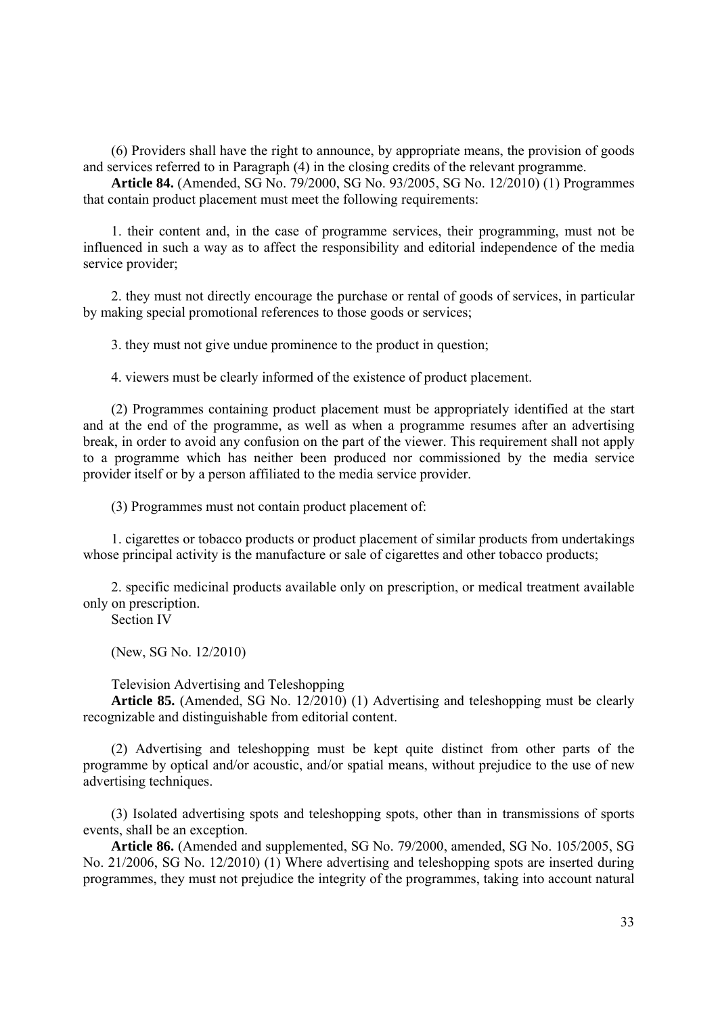(6) Providers shall have the right to announce, by appropriate means, the provision of goods and services referred to in Paragraph (4) in the closing credits of the relevant programme.

**Article 84.** (Amended, SG No. 79/2000, SG No. 93/2005, SG No. 12/2010) (1) Programmes that contain product placement must meet the following requirements:

1. their content and, in the case of programme services, their programming, must not be influenced in such a way as to affect the responsibility and editorial independence of the media service provider;

2. they must not directly encourage the purchase or rental of goods of services, in particular by making special promotional references to those goods or services;

3. they must not give undue prominence to the product in question;

4. viewers must be clearly informed of the existence of product placement.

(2) Programmes containing product placement must be appropriately identified at the start and at the end of the programme, as well as when a programme resumes after an advertising break, in order to avoid any confusion on the part of the viewer. This requirement shall not apply to a programme which has neither been produced nor commissioned by the media service provider itself or by a person affiliated to the media service provider.

(3) Programmes must not contain product placement of:

1. cigarettes or tobacco products or product placement of similar products from undertakings whose principal activity is the manufacture or sale of cigarettes and other tobacco products;

2. specific medicinal products available only on prescription, or medical treatment available only on prescription.

Section IV

(New, SG No. 12/2010)

Television Advertising and Teleshopping

**Article 85.** (Amended, SG No. 12/2010) (1) Advertising and teleshopping must be clearly recognizable and distinguishable from editorial content.

(2) Advertising and teleshopping must be kept quite distinct from other parts of the programme by optical and/or acoustic, and/or spatial means, without prejudice to the use of new advertising techniques.

(3) Isolated advertising spots and teleshopping spots, other than in transmissions of sports events, shall be an exception.

**Article 86.** (Amended and supplemented, SG No. 79/2000, amended, SG No. 105/2005, SG No. 21/2006, SG No. 12/2010) (1) Where advertising and teleshopping spots are inserted during programmes, they must not prejudice the integrity of the programmes, taking into account natural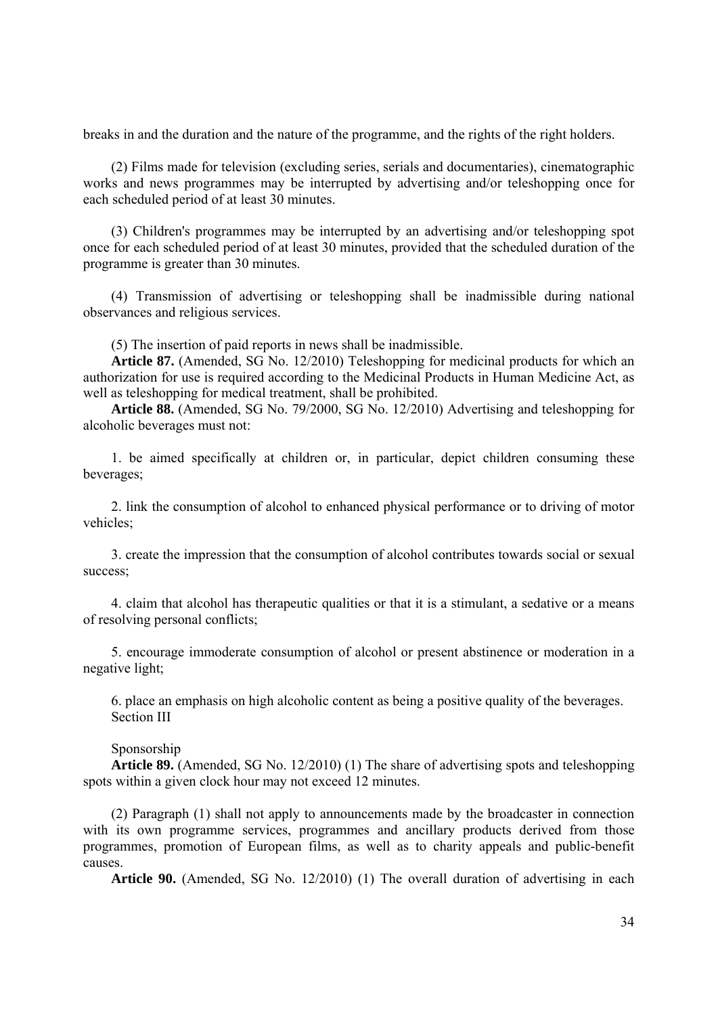breaks in and the duration and the nature of the programme, and the rights of the right holders.

(2) Films made for television (excluding series, serials and documentaries), cinematographic works and news programmes may be interrupted by advertising and/or teleshopping once for each scheduled period of at least 30 minutes.

(3) Children's programmes may be interrupted by an advertising and/or teleshopping spot once for each scheduled period of at least 30 minutes, provided that the scheduled duration of the programme is greater than 30 minutes.

(4) Transmission of advertising or teleshopping shall be inadmissible during national observances and religious services.

(5) The insertion of paid reports in news shall be inadmissible.

**Article 87.** (Amended, SG No. 12/2010) Teleshopping for medicinal products for which an authorization for use is required according to the Medicinal Products in Human Medicine Act, as well as teleshopping for medical treatment, shall be prohibited.

**Article 88.** (Amended, SG No. 79/2000, SG No. 12/2010) Advertising and teleshopping for alcoholic beverages must not:

1. be aimed specifically at children or, in particular, depict children consuming these beverages;

2. link the consumption of alcohol to enhanced physical performance or to driving of motor vehicles;

3. create the impression that the consumption of alcohol contributes towards social or sexual success;

4. claim that alcohol has therapeutic qualities or that it is a stimulant, a sedative or a means of resolving personal conflicts;

5. encourage immoderate consumption of alcohol or present abstinence or moderation in a negative light;

6. place an emphasis on high alcoholic content as being a positive quality of the beverages. Section III

Sponsorship

**Article 89.** (Amended, SG No. 12/2010) (1) The share of advertising spots and teleshopping spots within a given clock hour may not exceed 12 minutes.

(2) Paragraph (1) shall not apply to announcements made by the broadcaster in connection with its own programme services, programmes and ancillary products derived from those programmes, promotion of European films, as well as to charity appeals and public-benefit causes.

**Article 90.** (Amended, SG No. 12/2010) (1) The overall duration of advertising in each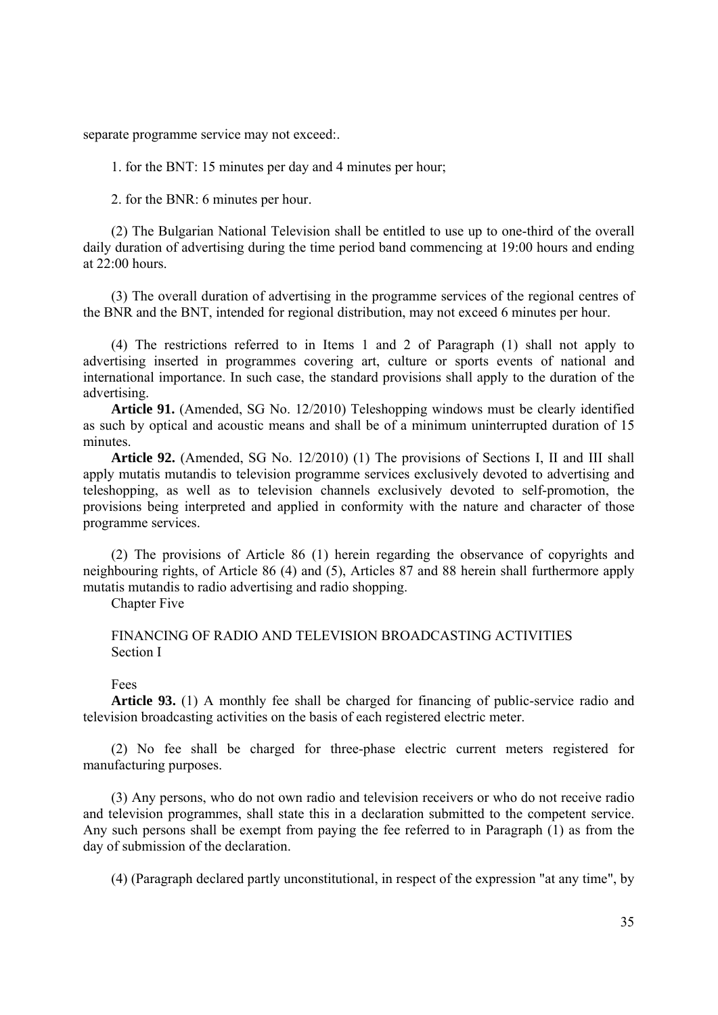separate programme service may not exceed:.

1. for the BNT: 15 minutes per day and 4 minutes per hour;

2. for the BNR: 6 minutes per hour.

(2) The Bulgarian National Television shall be entitled to use up to one-third of the overall daily duration of advertising during the time period band commencing at 19:00 hours and ending at 22:00 hours.

(3) The overall duration of advertising in the programme services of the regional centres of the BNR and the BNT, intended for regional distribution, may not exceed 6 minutes per hour.

(4) The restrictions referred to in Items 1 and 2 of Paragraph (1) shall not apply to advertising inserted in programmes covering art, culture or sports events of national and international importance. In such case, the standard provisions shall apply to the duration of the advertising.

**Article 91.** (Amended, SG No. 12/2010) Teleshopping windows must be clearly identified as such by optical and acoustic means and shall be of a minimum uninterrupted duration of 15 minutes.

**Article 92.** (Amended, SG No. 12/2010) (1) The provisions of Sections I, II and III shall apply mutatis mutandis to television programme services exclusively devoted to advertising and teleshopping, as well as to television channels exclusively devoted to self-promotion, the provisions being interpreted and applied in conformity with the nature and character of those programme services.

(2) The provisions of Article 86 (1) herein regarding the observance of copyrights and neighbouring rights, of Article 86 (4) and (5), Articles 87 and 88 herein shall furthermore apply mutatis mutandis to radio advertising and radio shopping.

**Chapter Five** 

# FINANCING OF RADIO AND TELEVISION BROADCASTING ACTIVITIES Section I

Fees

**Article 93.** (1) A monthly fee shall be charged for financing of public-service radio and television broadcasting activities on the basis of each registered electric meter.

(2) No fee shall be charged for three-phase electric current meters registered for manufacturing purposes.

(3) Any persons, who do not own radio and television receivers or who do not receive radio and television programmes, shall state this in a declaration submitted to the competent service. Any such persons shall be exempt from paying the fee referred to in Paragraph (1) as from the day of submission of the declaration.

(4) (Paragraph declared partly unconstitutional, in respect of the expression "at any time", by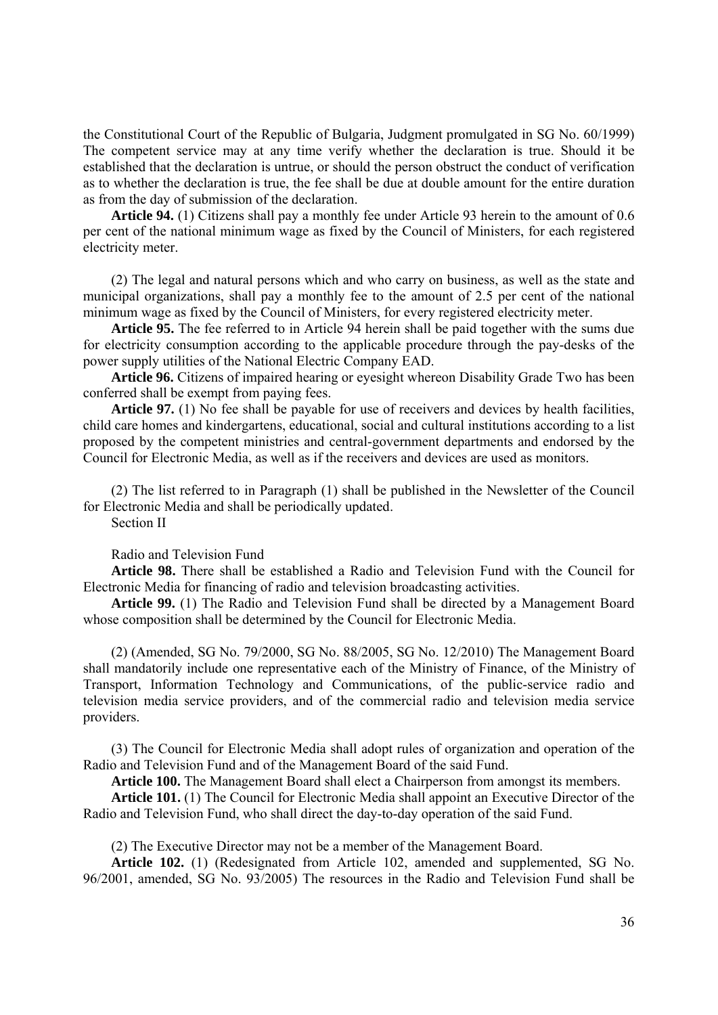the Constitutional Court of the Republic of Bulgaria, Judgment promulgated in SG No. 60/1999) The competent service may at any time verify whether the declaration is true. Should it be established that the declaration is untrue, or should the person obstruct the conduct of verification as to whether the declaration is true, the fee shall be due at double amount for the entire duration as from the day of submission of the declaration.

**Article 94.** (1) Citizens shall pay a monthly fee under Article 93 herein to the amount of 0.6 per cent of the national minimum wage as fixed by the Council of Ministers, for each registered electricity meter.

(2) The legal and natural persons which and who carry on business, as well as the state and municipal organizations, shall pay a monthly fee to the amount of 2.5 per cent of the national minimum wage as fixed by the Council of Ministers, for every registered electricity meter.

**Article 95.** The fee referred to in Article 94 herein shall be paid together with the sums due for electricity consumption according to the applicable procedure through the pay-desks of the power supply utilities of the National Electric Company EAD.

**Article 96.** Citizens of impaired hearing or eyesight whereon Disability Grade Two has been conferred shall be exempt from paying fees.

**Article 97.** (1) No fee shall be payable for use of receivers and devices by health facilities, child care homes and kindergartens, educational, social and cultural institutions according to a list proposed by the competent ministries and central-government departments and endorsed by the Council for Electronic Media, as well as if the receivers and devices are used as monitors.

(2) The list referred to in Paragraph (1) shall be published in the Newsletter of the Council for Electronic Media and shall be periodically updated.

Section II

## Radio and Television Fund

**Article 98.** There shall be established a Radio and Television Fund with the Council for Electronic Media for financing of radio and television broadcasting activities.

**Article 99.** (1) The Radio and Television Fund shall be directed by a Management Board whose composition shall be determined by the Council for Electronic Media.

(2) (Amended, SG No. 79/2000, SG No. 88/2005, SG No. 12/2010) The Management Board shall mandatorily include one representative each of the Ministry of Finance, of the Ministry of Transport, Information Technology and Communications, of the public-service radio and television media service providers, and of the commercial radio and television media service providers.

(3) The Council for Electronic Media shall adopt rules of organization and operation of the Radio and Television Fund and of the Management Board of the said Fund.

**Article 100.** The Management Board shall elect a Chairperson from amongst its members.

**Article 101.** (1) The Council for Electronic Media shall appoint an Executive Director of the Radio and Television Fund, who shall direct the day-to-day operation of the said Fund.

(2) The Executive Director may not be a member of the Management Board.

**Article 102.** (1) (Redesignated from Article 102, amended and supplemented, SG No. 96/2001, amended, SG No. 93/2005) The resources in the Radio and Television Fund shall be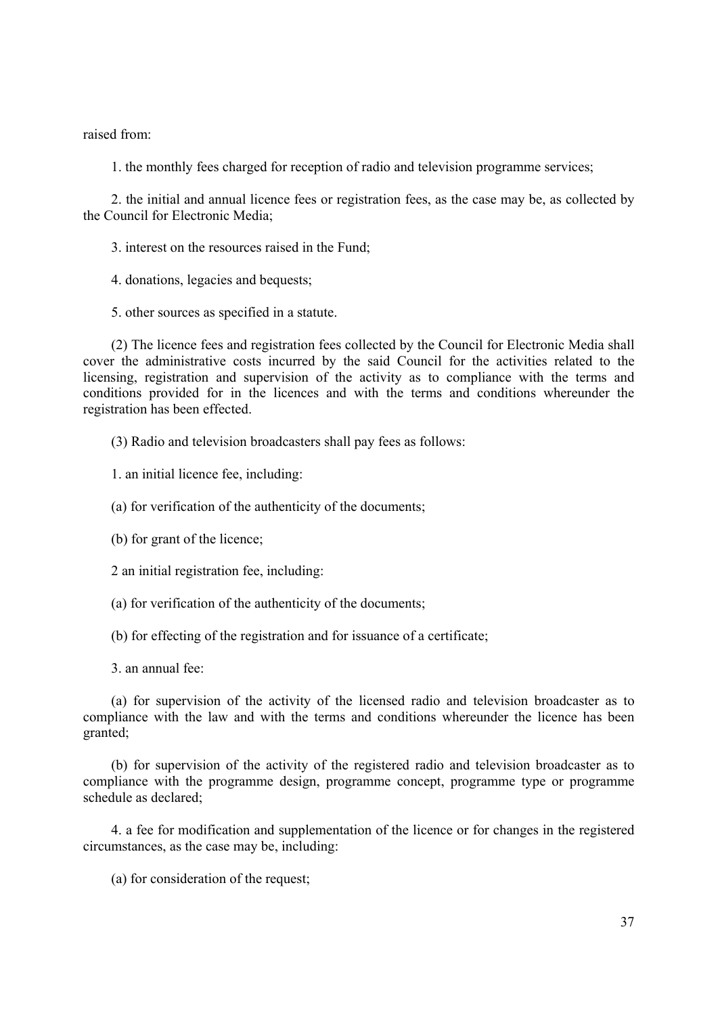raised from:

1. the monthly fees charged for reception of radio and television programme services;

2. the initial and annual licence fees or registration fees, as the case may be, as collected by the Council for Electronic Media;

- 3. interest on the resources raised in the Fund;
- 4. donations, legacies and bequests;
- 5. other sources as specified in a statute.

(2) The licence fees and registration fees collected by the Council for Electronic Media shall cover the administrative costs incurred by the said Council for the activities related to the licensing, registration and supervision of the activity as to compliance with the terms and conditions provided for in the licences and with the terms and conditions whereunder the registration has been effected.

(3) Radio and television broadcasters shall pay fees as follows:

1. an initial licence fee, including:

(a) for verification of the authenticity of the documents;

(b) for grant of the licence;

2 an initial registration fee, including:

(a) for verification of the authenticity of the documents;

(b) for effecting of the registration and for issuance of a certificate;

3. an annual fee:

(a) for supervision of the activity of the licensed radio and television broadcaster as to compliance with the law and with the terms and conditions whereunder the licence has been granted;

(b) for supervision of the activity of the registered radio and television broadcaster as to compliance with the programme design, programme concept, programme type or programme schedule as declared;

4. a fee for modification and supplementation of the licence or for changes in the registered circumstances, as the case may be, including:

(a) for consideration of the request;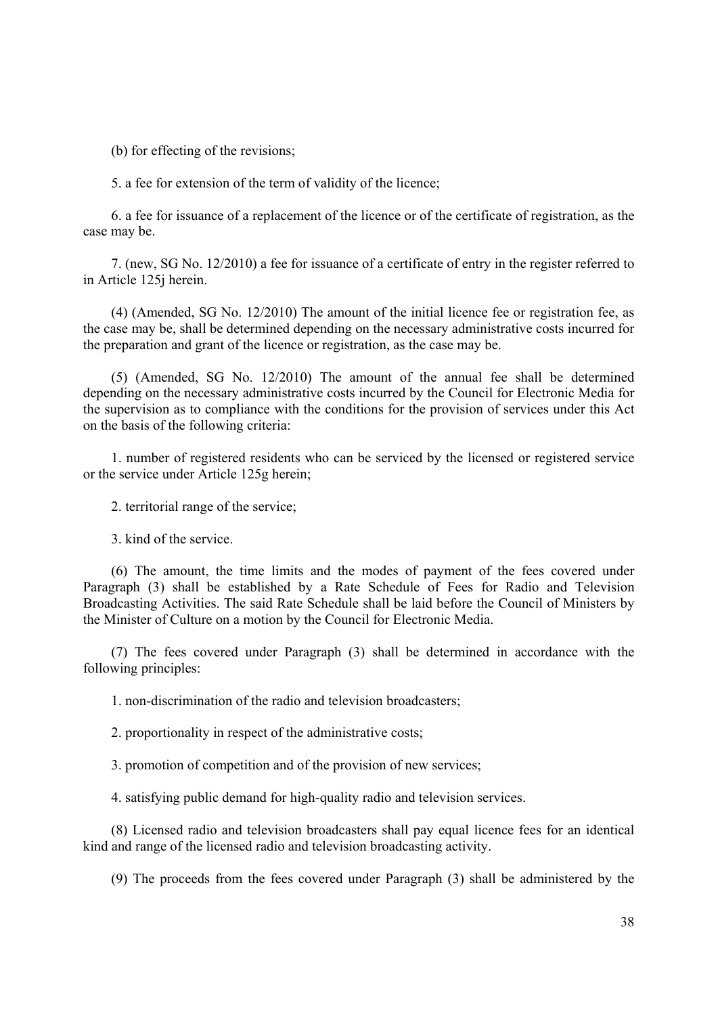(b) for effecting of the revisions;

5. a fee for extension of the term of validity of the licence;

6. a fee for issuance of a replacement of the licence or of the certificate of registration, as the case may be.

7. (new, SG No. 12/2010) a fee for issuance of a certificate of entry in the register referred to in Article 125j herein.

(4) (Amended, SG No. 12/2010) The amount of the initial licence fee or registration fee, as the case may be, shall be determined depending on the necessary administrative costs incurred for the preparation and grant of the licence or registration, as the case may be.

(5) (Amended, SG No. 12/2010) The amount of the annual fee shall be determined depending on the necessary administrative costs incurred by the Council for Electronic Media for the supervision as to compliance with the conditions for the provision of services under this Act on the basis of the following criteria:

1. number of registered residents who can be serviced by the licensed or registered service or the service under Article 125g herein;

2. territorial range of the service;

3. kind of the service.

(6) The amount, the time limits and the modes of payment of the fees covered under Paragraph (3) shall be established by a Rate Schedule of Fees for Radio and Television Broadcasting Activities. The said Rate Schedule shall be laid before the Council of Ministers by the Minister of Culture on a motion by the Council for Electronic Media.

(7) The fees covered under Paragraph (3) shall be determined in accordance with the following principles:

1. non-discrimination of the radio and television broadcasters;

2. proportionality in respect of the administrative costs;

3. promotion of competition and of the provision of new services;

4. satisfying public demand for high-quality radio and television services.

(8) Licensed radio and television broadcasters shall pay equal licence fees for an identical kind and range of the licensed radio and television broadcasting activity.

(9) The proceeds from the fees covered under Paragraph (3) shall be administered by the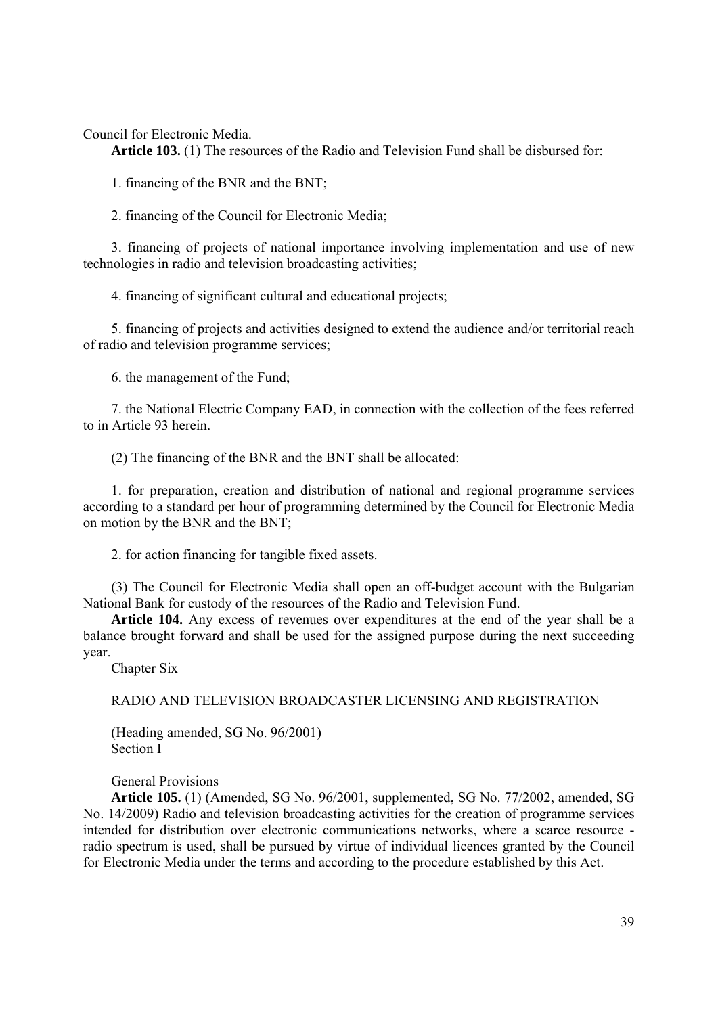Council for Electronic Media.

**Article 103.** (1) The resources of the Radio and Television Fund shall be disbursed for:

1. financing of the BNR and the BNT;

2. financing of the Council for Electronic Media;

3. financing of projects of national importance involving implementation and use of new technologies in radio and television broadcasting activities;

4. financing of significant cultural and educational projects;

5. financing of projects and activities designed to extend the audience and/or territorial reach of radio and television programme services;

6. the management of the Fund;

7. the National Electric Company EAD, in connection with the collection of the fees referred to in Article 93 herein.

(2) The financing of the BNR and the BNT shall be allocated:

1. for preparation, creation and distribution of national and regional programme services according to a standard per hour of programming determined by the Council for Electronic Media on motion by the BNR and the BNT;

2. for action financing for tangible fixed assets.

(3) The Council for Electronic Media shall open an off-budget account with the Bulgarian National Bank for custody of the resources of the Radio and Television Fund.

**Article 104.** Any excess of revenues over expenditures at the end of the year shall be a balance brought forward and shall be used for the assigned purpose during the next succeeding year.

Chapter Six

RADIO AND TELEVISION BROADCASTER LICENSING AND REGISTRATION

(Heading amended, SG No. 96/2001) Section I

General Provisions

**Article 105.** (1) (Amended, SG No. 96/2001, supplemented, SG No. 77/2002, amended, SG No. 14/2009) Radio and television broadcasting activities for the creation of programme services intended for distribution over electronic communications networks, where a scarce resource radio spectrum is used, shall be pursued by virtue of individual licences granted by the Council for Electronic Media under the terms and according to the procedure established by this Act.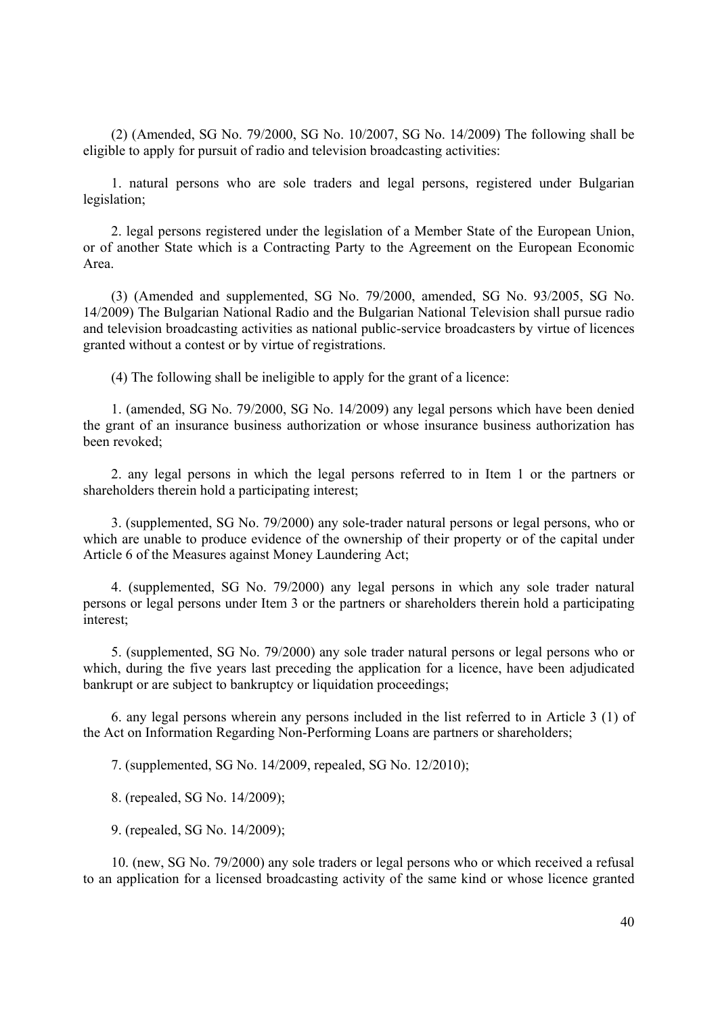(2) (Amended, SG No. 79/2000, SG No. 10/2007, SG No. 14/2009) The following shall be eligible to apply for pursuit of radio and television broadcasting activities:

1. natural persons who are sole traders and legal persons, registered under Bulgarian legislation;

2. legal persons registered under the legislation of a Member State of the European Union, or of another State which is a Contracting Party to the Agreement on the European Economic Area.

(3) (Amended and supplemented, SG No. 79/2000, amended, SG No. 93/2005, SG No. 14/2009) The Bulgarian National Radio and the Bulgarian National Television shall pursue radio and television broadcasting activities as national public-service broadcasters by virtue of licences granted without a contest or by virtue of registrations.

(4) The following shall be ineligible to apply for the grant of a licence:

1. (amended, SG No. 79/2000, SG No. 14/2009) any legal persons which have been denied the grant of an insurance business authorization or whose insurance business authorization has been revoked;

2. any legal persons in which the legal persons referred to in Item 1 or the partners or shareholders therein hold a participating interest;

3. (supplemented, SG No. 79/2000) any sole-trader natural persons or legal persons, who or which are unable to produce evidence of the ownership of their property or of the capital under Article 6 of the Measures against Money Laundering Act;

4. (supplemented, SG No. 79/2000) any legal persons in which any sole trader natural persons or legal persons under Item 3 or the partners or shareholders therein hold a participating interest;

5. (supplemented, SG No. 79/2000) any sole trader natural persons or legal persons who or which, during the five years last preceding the application for a licence, have been adjudicated bankrupt or are subject to bankruptcy or liquidation proceedings;

6. any legal persons wherein any persons included in the list referred to in Article 3 (1) of the Act on Information Regarding Non-Performing Loans are partners or shareholders;

7. (supplemented, SG No. 14/2009, repealed, SG No. 12/2010);

8. (repealed, SG No. 14/2009);

9. (repealed, SG No. 14/2009);

10. (new, SG No. 79/2000) any sole traders or legal persons who or which received a refusal to an application for a licensed broadcasting activity of the same kind or whose licence granted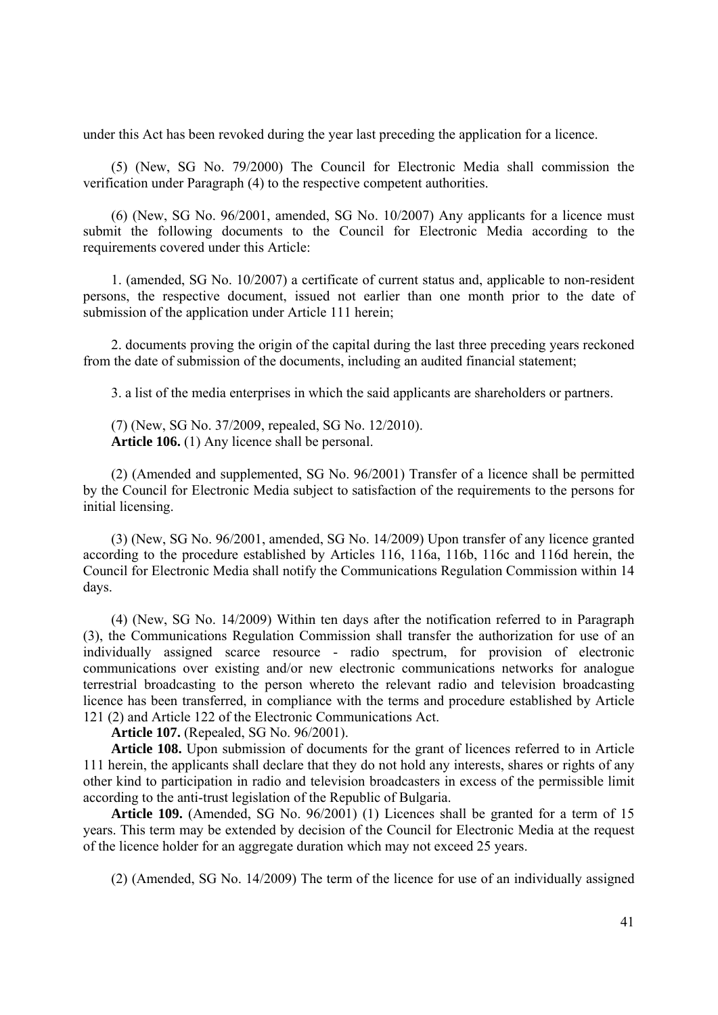under this Act has been revoked during the year last preceding the application for a licence.

(5) (New, SG No. 79/2000) The Council for Electronic Media shall commission the verification under Paragraph (4) to the respective competent authorities.

(6) (New, SG No. 96/2001, amended, SG No. 10/2007) Any applicants for a licence must submit the following documents to the Council for Electronic Media according to the requirements covered under this Article:

1. (amended, SG No. 10/2007) a certificate of current status and, applicable to non-resident persons, the respective document, issued not earlier than one month prior to the date of submission of the application under Article 111 herein;

2. documents proving the origin of the capital during the last three preceding years reckoned from the date of submission of the documents, including an audited financial statement;

3. a list of the media enterprises in which the said applicants are shareholders or partners.

(7) (New, SG No. 37/2009, repealed, SG No. 12/2010). **Article 106.** (1) Any licence shall be personal.

(2) (Amended and supplemented, SG No. 96/2001) Transfer of a licence shall be permitted by the Council for Electronic Media subject to satisfaction of the requirements to the persons for initial licensing.

(3) (New, SG No. 96/2001, amended, SG No. 14/2009) Upon transfer of any licence granted according to the procedure established by Articles 116, 116a, 116b, 116c and 116d herein, the Council for Electronic Media shall notify the Communications Regulation Commission within 14 days.

(4) (New, SG No. 14/2009) Within ten days after the notification referred to in Paragraph (3), the Communications Regulation Commission shall transfer the authorization for use of an individually assigned scarce resource - radio spectrum, for provision of electronic communications over existing and/or new electronic communications networks for analogue terrestrial broadcasting to the person whereto the relevant radio and television broadcasting licence has been transferred, in compliance with the terms and procedure established by Article 121 (2) and Article 122 of the Electronic Communications Act.

**Article 107.** (Repealed, SG No. 96/2001).

**Article 108.** Upon submission of documents for the grant of licences referred to in Article 111 herein, the applicants shall declare that they do not hold any interests, shares or rights of any other kind to participation in radio and television broadcasters in excess of the permissible limit according to the anti-trust legislation of the Republic of Bulgaria.

**Article 109.** (Amended, SG No. 96/2001) (1) Licences shall be granted for a term of 15 years. This term may be extended by decision of the Council for Electronic Media at the request of the licence holder for an aggregate duration which may not exceed 25 years.

(2) (Amended, SG No. 14/2009) The term of the licence for use of an individually assigned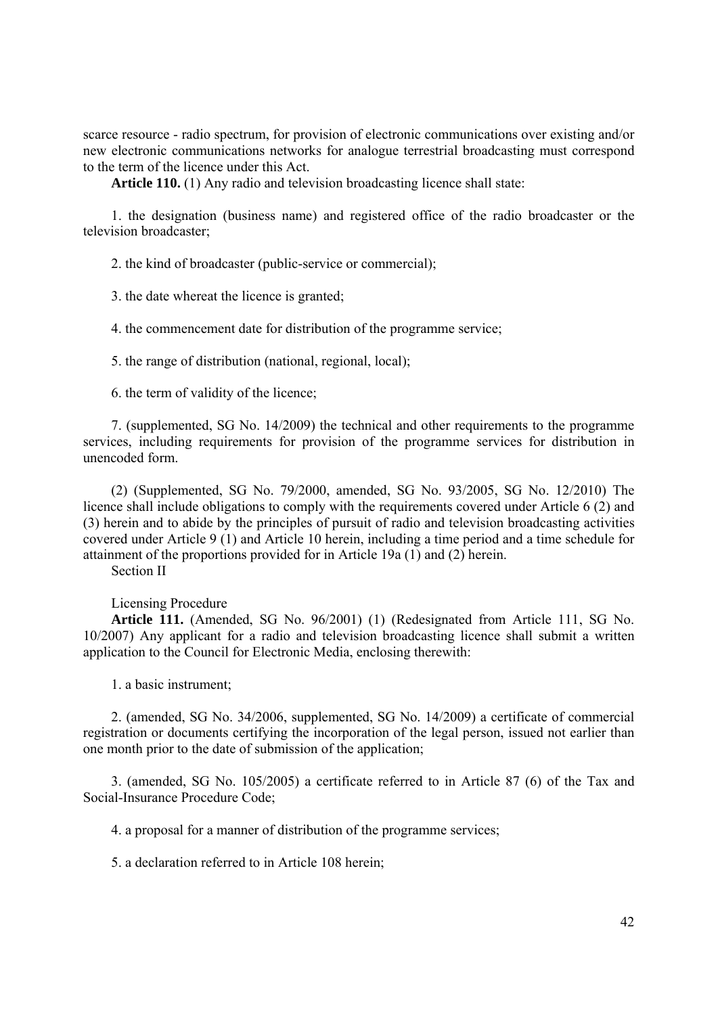scarce resource - radio spectrum, for provision of electronic communications over existing and/or new electronic communications networks for analogue terrestrial broadcasting must correspond to the term of the licence under this Act.

**Article 110.** (1) Any radio and television broadcasting licence shall state:

1. the designation (business name) and registered office of the radio broadcaster or the television broadcaster;

2. the kind of broadcaster (public-service or commercial);

3. the date whereat the licence is granted;

4. the commencement date for distribution of the programme service;

5. the range of distribution (national, regional, local);

6. the term of validity of the licence;

7. (supplemented, SG No. 14/2009) the technical and other requirements to the programme services, including requirements for provision of the programme services for distribution in unencoded form.

(2) (Supplemented, SG No. 79/2000, amended, SG No. 93/2005, SG No. 12/2010) The licence shall include obligations to comply with the requirements covered under Article 6 (2) and (3) herein and to abide by the principles of pursuit of radio and television broadcasting activities covered under Article 9 (1) and Article 10 herein, including a time period and a time schedule for attainment of the proportions provided for in Article 19a (1) and (2) herein.

Section II

#### Licensing Procedure

**Article 111.** (Amended, SG No. 96/2001) (1) (Redesignated from Article 111, SG No. 10/2007) Any applicant for a radio and television broadcasting licence shall submit a written application to the Council for Electronic Media, enclosing therewith:

1. a basic instrument;

2. (amended, SG No. 34/2006, supplemented, SG No. 14/2009) a certificate of commercial registration or documents certifying the incorporation of the legal person, issued not earlier than one month prior to the date of submission of the application;

3. (amended, SG No. 105/2005) a certificate referred to in Article 87 (6) of the Tax and Social-Insurance Procedure Code;

4. a proposal for a manner of distribution of the programme services;

5. a declaration referred to in Article 108 herein;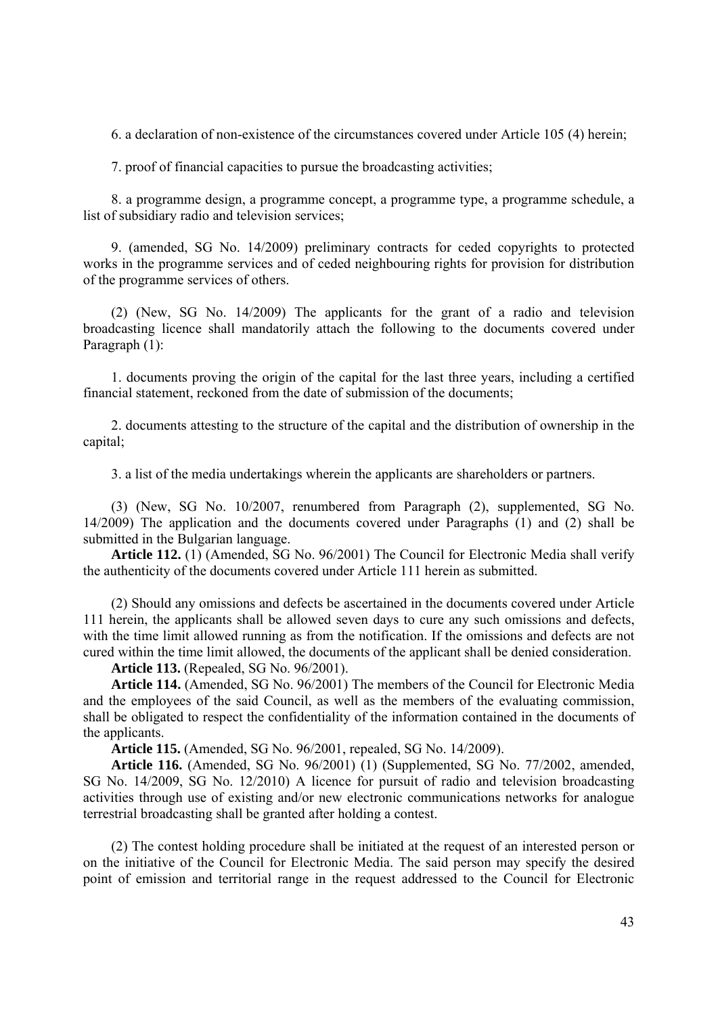6. a declaration of non-existence of the circumstances covered under Article 105 (4) herein;

7. proof of financial capacities to pursue the broadcasting activities;

8. a programme design, a programme concept, a programme type, a programme schedule, a list of subsidiary radio and television services;

9. (amended, SG No. 14/2009) preliminary contracts for ceded copyrights to protected works in the programme services and of ceded neighbouring rights for provision for distribution of the programme services of others.

(2) (New, SG No. 14/2009) The applicants for the grant of a radio and television broadcasting licence shall mandatorily attach the following to the documents covered under Paragraph (1):

1. documents proving the origin of the capital for the last three years, including a certified financial statement, reckoned from the date of submission of the documents;

2. documents attesting to the structure of the capital and the distribution of ownership in the capital;

3. a list of the media undertakings wherein the applicants are shareholders or partners.

(3) (New, SG No. 10/2007, renumbered from Paragraph (2), supplemented, SG No. 14/2009) The application and the documents covered under Paragraphs (1) and (2) shall be submitted in the Bulgarian language.

**Article 112.** (1) (Amended, SG No. 96/2001) The Council for Electronic Media shall verify the authenticity of the documents covered under Article 111 herein as submitted.

(2) Should any omissions and defects be ascertained in the documents covered under Article 111 herein, the applicants shall be allowed seven days to cure any such omissions and defects, with the time limit allowed running as from the notification. If the omissions and defects are not cured within the time limit allowed, the documents of the applicant shall be denied consideration.

**Article 113.** (Repealed, SG No. 96/2001).

**Article 114.** (Amended, SG No. 96/2001) The members of the Council for Electronic Media and the employees of the said Council, as well as the members of the evaluating commission, shall be obligated to respect the confidentiality of the information contained in the documents of the applicants.

**Article 115.** (Amended, SG No. 96/2001, repealed, SG No. 14/2009).

**Article 116.** (Amended, SG No. 96/2001) (1) (Supplemented, SG No. 77/2002, amended, SG No. 14/2009, SG No. 12/2010) A licence for pursuit of radio and television broadcasting activities through use of existing and/or new electronic communications networks for analogue terrestrial broadcasting shall be granted after holding a contest.

(2) The contest holding procedure shall be initiated at the request of an interested person or on the initiative of the Council for Electronic Media. The said person may specify the desired point of emission and territorial range in the request addressed to the Council for Electronic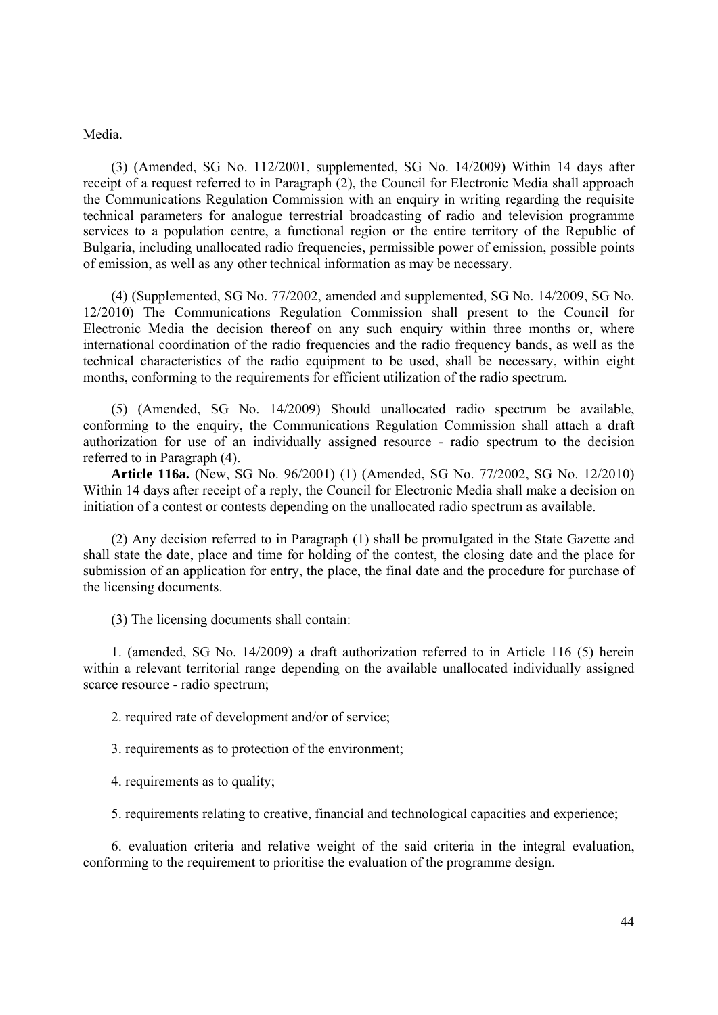Media.

(3) (Amended, SG No. 112/2001, supplemented, SG No. 14/2009) Within 14 days after receipt of a request referred to in Paragraph (2), the Council for Electronic Media shall approach the Communications Regulation Commission with an enquiry in writing regarding the requisite technical parameters for analogue terrestrial broadcasting of radio and television programme services to a population centre, a functional region or the entire territory of the Republic of Bulgaria, including unallocated radio frequencies, permissible power of emission, possible points of emission, as well as any other technical information as may be necessary.

(4) (Supplemented, SG No. 77/2002, amended and supplemented, SG No. 14/2009, SG No. 12/2010) The Communications Regulation Commission shall present to the Council for Electronic Media the decision thereof on any such enquiry within three months or, where international coordination of the radio frequencies and the radio frequency bands, as well as the technical characteristics of the radio equipment to be used, shall be necessary, within eight months, conforming to the requirements for efficient utilization of the radio spectrum.

(5) (Amended, SG No. 14/2009) Should unallocated radio spectrum be available, conforming to the enquiry, the Communications Regulation Commission shall attach a draft authorization for use of an individually assigned resource - radio spectrum to the decision referred to in Paragraph (4).

**Article 116a.** (New, SG No. 96/2001) (1) (Amended, SG No. 77/2002, SG No. 12/2010) Within 14 days after receipt of a reply, the Council for Electronic Media shall make a decision on initiation of a contest or contests depending on the unallocated radio spectrum as available.

(2) Any decision referred to in Paragraph (1) shall be promulgated in the State Gazette and shall state the date, place and time for holding of the contest, the closing date and the place for submission of an application for entry, the place, the final date and the procedure for purchase of the licensing documents.

(3) The licensing documents shall contain:

1. (amended, SG No. 14/2009) a draft authorization referred to in Article 116 (5) herein within a relevant territorial range depending on the available unallocated individually assigned scarce resource - radio spectrum;

2. required rate of development and/or of service;

3. requirements as to protection of the environment;

4. requirements as to quality;

5. requirements relating to creative, financial and technological capacities and experience;

6. evaluation criteria and relative weight of the said criteria in the integral evaluation, conforming to the requirement to prioritise the evaluation of the programme design.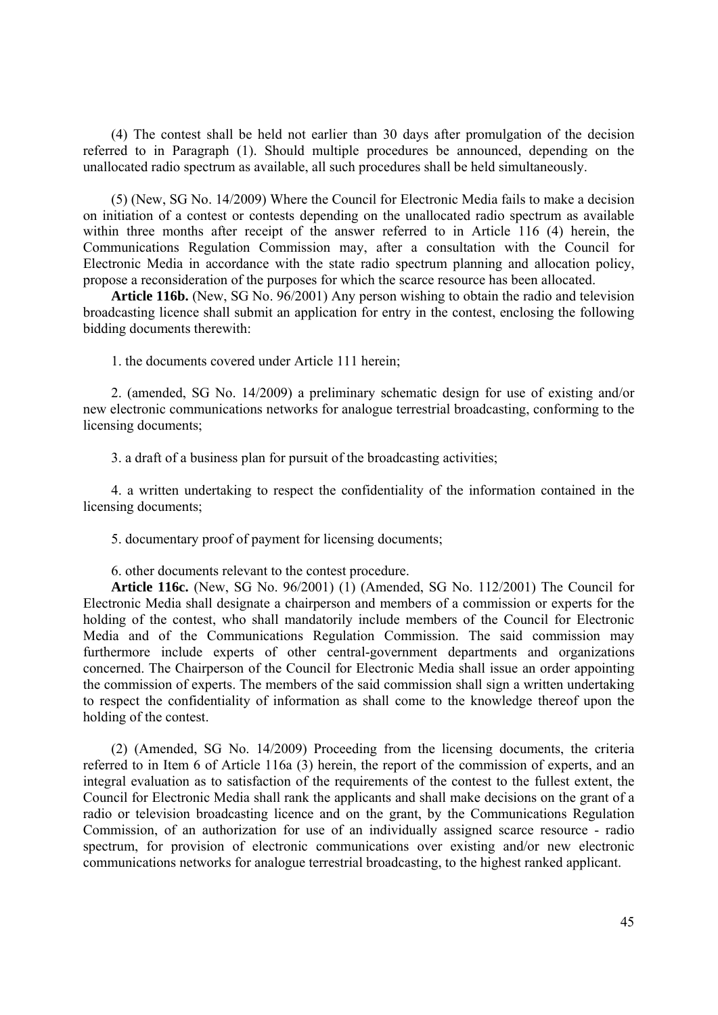(4) The contest shall be held not earlier than 30 days after promulgation of the decision referred to in Paragraph (1). Should multiple procedures be announced, depending on the unallocated radio spectrum as available, all such procedures shall be held simultaneously.

(5) (New, SG No. 14/2009) Where the Council for Electronic Media fails to make a decision on initiation of a contest or contests depending on the unallocated radio spectrum as available within three months after receipt of the answer referred to in Article 116 (4) herein, the Communications Regulation Commission may, after a consultation with the Council for Electronic Media in accordance with the state radio spectrum planning and allocation policy, propose a reconsideration of the purposes for which the scarce resource has been allocated.

**Article 116b.** (New, SG No. 96/2001) Any person wishing to obtain the radio and television broadcasting licence shall submit an application for entry in the contest, enclosing the following bidding documents therewith:

1. the documents covered under Article 111 herein;

2. (amended, SG No. 14/2009) a preliminary schematic design for use of existing and/or new electronic communications networks for analogue terrestrial broadcasting, conforming to the licensing documents;

3. a draft of a business plan for pursuit of the broadcasting activities;

4. a written undertaking to respect the confidentiality of the information contained in the licensing documents;

5. documentary proof of payment for licensing documents;

6. other documents relevant to the contest procedure.

**Article 116c.** (New, SG No. 96/2001) (1) (Amended, SG No. 112/2001) The Council for Electronic Media shall designate a chairperson and members of a commission or experts for the holding of the contest, who shall mandatorily include members of the Council for Electronic Media and of the Communications Regulation Commission. The said commission may furthermore include experts of other central-government departments and organizations concerned. The Chairperson of the Council for Electronic Media shall issue an order appointing the commission of experts. The members of the said commission shall sign a written undertaking to respect the confidentiality of information as shall come to the knowledge thereof upon the holding of the contest.

(2) (Amended, SG No. 14/2009) Proceeding from the licensing documents, the criteria referred to in Item 6 of Article 116a (3) herein, the report of the commission of experts, and an integral evaluation as to satisfaction of the requirements of the contest to the fullest extent, the Council for Electronic Media shall rank the applicants and shall make decisions on the grant of a radio or television broadcasting licence and on the grant, by the Communications Regulation Commission, of an authorization for use of an individually assigned scarce resource - radio spectrum, for provision of electronic communications over existing and/or new electronic communications networks for analogue terrestrial broadcasting, to the highest ranked applicant.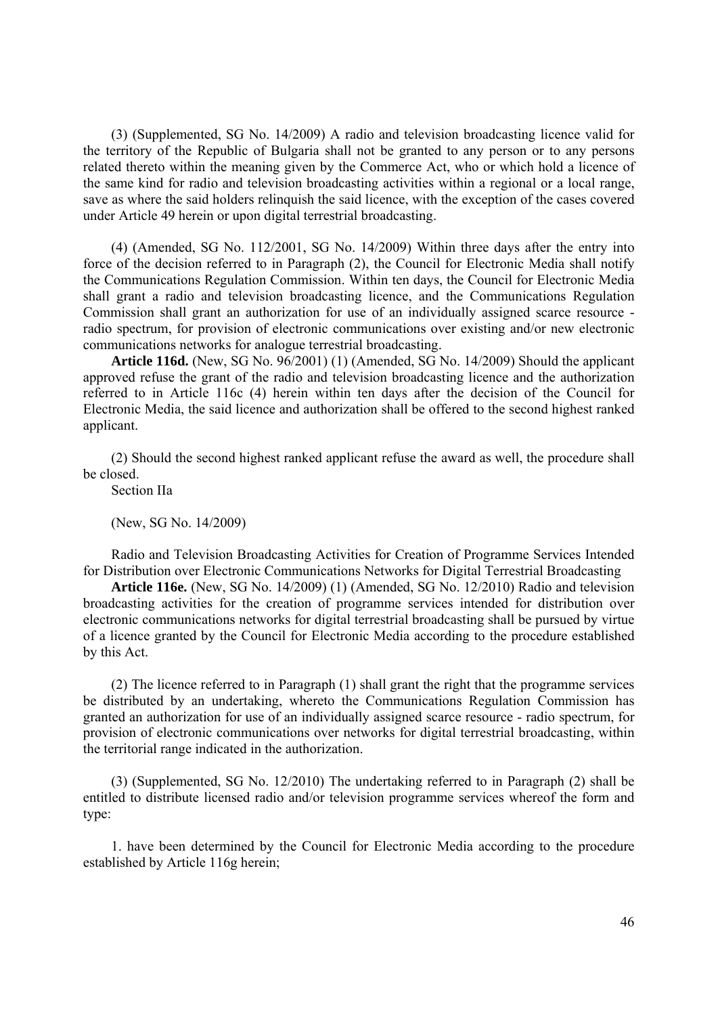(3) (Supplemented, SG No. 14/2009) A radio and television broadcasting licence valid for the territory of the Republic of Bulgaria shall not be granted to any person or to any persons related thereto within the meaning given by the Commerce Act, who or which hold a licence of the same kind for radio and television broadcasting activities within a regional or a local range, save as where the said holders relinquish the said licence, with the exception of the cases covered under Article 49 herein or upon digital terrestrial broadcasting.

(4) (Amended, SG No. 112/2001, SG No. 14/2009) Within three days after the entry into force of the decision referred to in Paragraph (2), the Council for Electronic Media shall notify the Communications Regulation Commission. Within ten days, the Council for Electronic Media shall grant a radio and television broadcasting licence, and the Communications Regulation Commission shall grant an authorization for use of an individually assigned scarce resource radio spectrum, for provision of electronic communications over existing and/or new electronic communications networks for analogue terrestrial broadcasting.

**Article 116d.** (New, SG No. 96/2001) (1) (Amended, SG No. 14/2009) Should the applicant approved refuse the grant of the radio and television broadcasting licence and the authorization referred to in Article 116c (4) herein within ten days after the decision of the Council for Electronic Media, the said licence and authorization shall be offered to the second highest ranked applicant.

(2) Should the second highest ranked applicant refuse the award as well, the procedure shall be closed.

Section IIa

(New, SG No. 14/2009)

Radio and Television Broadcasting Activities for Creation of Programme Services Intended for Distribution over Electronic Communications Networks for Digital Terrestrial Broadcasting

**Article 116e.** (New, SG No. 14/2009) (1) (Amended, SG No. 12/2010) Radio and television broadcasting activities for the creation of programme services intended for distribution over electronic communications networks for digital terrestrial broadcasting shall be pursued by virtue of a licence granted by the Council for Electronic Media according to the procedure established by this Act.

(2) The licence referred to in Paragraph (1) shall grant the right that the programme services be distributed by an undertaking, whereto the Communications Regulation Commission has granted an authorization for use of an individually assigned scarce resource - radio spectrum, for provision of electronic communications over networks for digital terrestrial broadcasting, within the territorial range indicated in the authorization.

(3) (Supplemented, SG No. 12/2010) The undertaking referred to in Paragraph (2) shall be entitled to distribute licensed radio and/or television programme services whereof the form and type:

1. have been determined by the Council for Electronic Media according to the procedure established by Article 116g herein;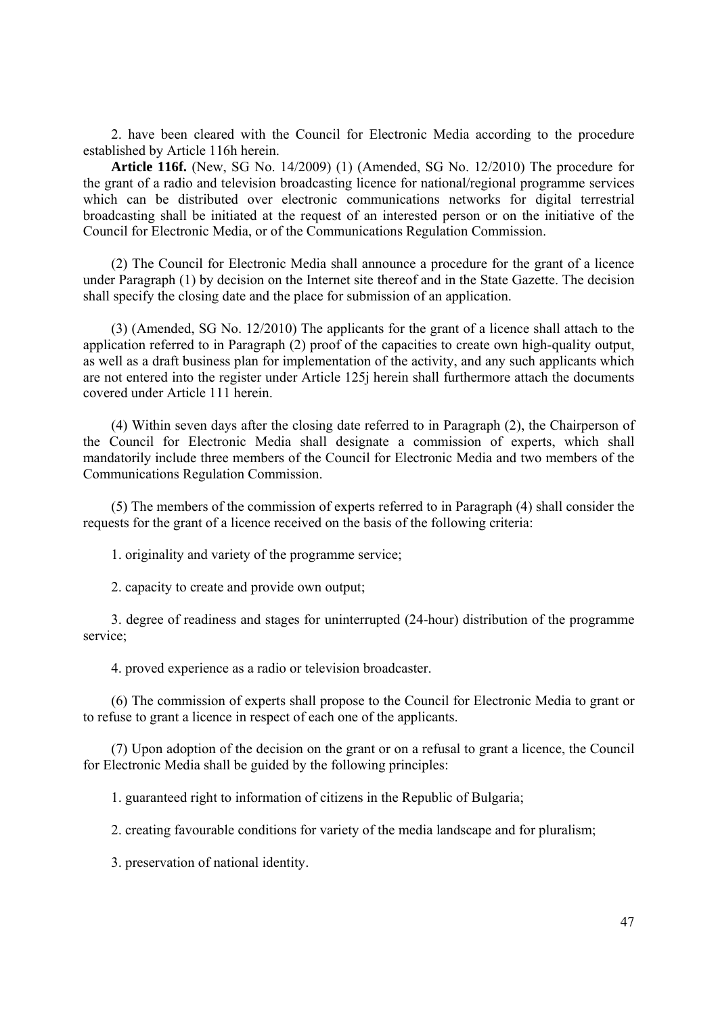2. have been cleared with the Council for Electronic Media according to the procedure established by Article 116h herein.

**Article 116f.** (New, SG No. 14/2009) (1) (Amended, SG No. 12/2010) The procedure for the grant of a radio and television broadcasting licence for national/regional programme services which can be distributed over electronic communications networks for digital terrestrial broadcasting shall be initiated at the request of an interested person or on the initiative of the Council for Electronic Media, or of the Communications Regulation Commission.

(2) The Council for Electronic Media shall announce a procedure for the grant of a licence under Paragraph (1) by decision on the Internet site thereof and in the State Gazette. The decision shall specify the closing date and the place for submission of an application.

(3) (Amended, SG No. 12/2010) The applicants for the grant of a licence shall attach to the application referred to in Paragraph (2) proof of the capacities to create own high-quality output, as well as a draft business plan for implementation of the activity, and any such applicants which are not entered into the register under Article 125j herein shall furthermore attach the documents covered under Article 111 herein.

(4) Within seven days after the closing date referred to in Paragraph (2), the Chairperson of the Council for Electronic Media shall designate a commission of experts, which shall mandatorily include three members of the Council for Electronic Media and two members of the Communications Regulation Commission.

(5) The members of the commission of experts referred to in Paragraph (4) shall consider the requests for the grant of a licence received on the basis of the following criteria:

1. originality and variety of the programme service;

2. capacity to create and provide own output;

3. degree of readiness and stages for uninterrupted (24-hour) distribution of the programme service;

4. proved experience as a radio or television broadcaster.

(6) The commission of experts shall propose to the Council for Electronic Media to grant or to refuse to grant a licence in respect of each one of the applicants.

(7) Upon adoption of the decision on the grant or on a refusal to grant a licence, the Council for Electronic Media shall be guided by the following principles:

1. guaranteed right to information of citizens in the Republic of Bulgaria;

2. creating favourable conditions for variety of the media landscape and for pluralism;

3. preservation of national identity.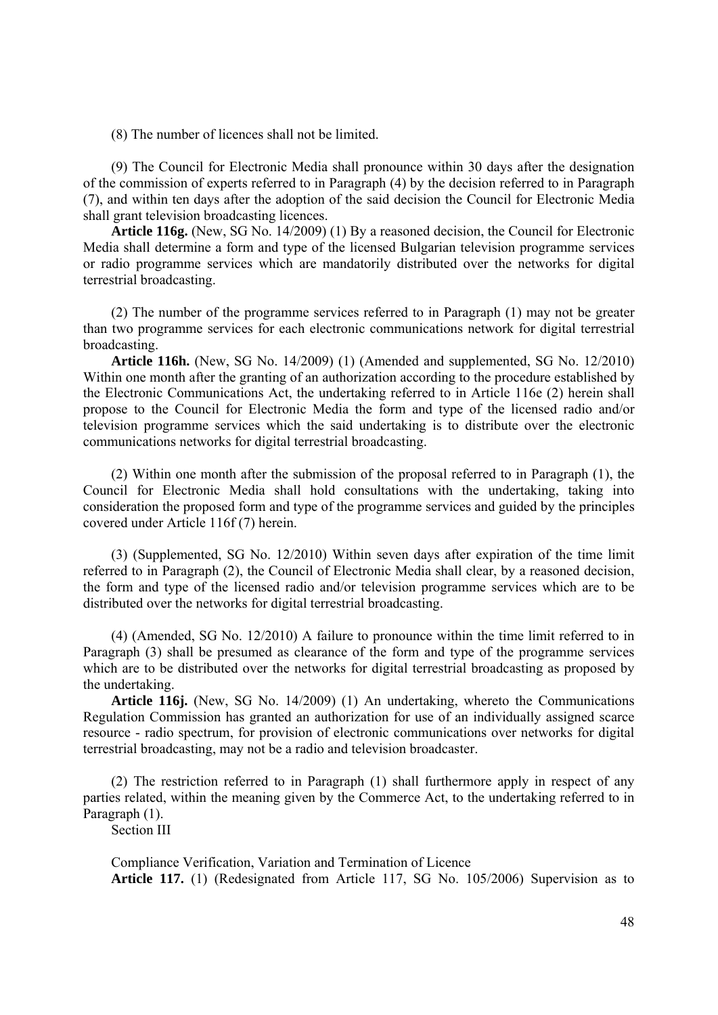(8) The number of licences shall not be limited.

(9) The Council for Electronic Media shall pronounce within 30 days after the designation of the commission of experts referred to in Paragraph (4) by the decision referred to in Paragraph (7), and within ten days after the adoption of the said decision the Council for Electronic Media shall grant television broadcasting licences.

**Article 116g.** (New, SG No. 14/2009) (1) By a reasoned decision, the Council for Electronic Media shall determine a form and type of the licensed Bulgarian television programme services or radio programme services which are mandatorily distributed over the networks for digital terrestrial broadcasting.

(2) The number of the programme services referred to in Paragraph (1) may not be greater than two programme services for each electronic communications network for digital terrestrial broadcasting.

**Article 116h.** (New, SG No. 14/2009) (1) (Amended and supplemented, SG No. 12/2010) Within one month after the granting of an authorization according to the procedure established by the Electronic Communications Act, the undertaking referred to in Article 116e (2) herein shall propose to the Council for Electronic Media the form and type of the licensed radio and/or television programme services which the said undertaking is to distribute over the electronic communications networks for digital terrestrial broadcasting.

(2) Within one month after the submission of the proposal referred to in Paragraph (1), the Council for Electronic Media shall hold consultations with the undertaking, taking into consideration the proposed form and type of the programme services and guided by the principles covered under Article 116f (7) herein.

(3) (Supplemented, SG No. 12/2010) Within seven days after expiration of the time limit referred to in Paragraph (2), the Council of Electronic Media shall clear, by a reasoned decision, the form and type of the licensed radio and/or television programme services which are to be distributed over the networks for digital terrestrial broadcasting.

(4) (Amended, SG No. 12/2010) A failure to pronounce within the time limit referred to in Paragraph (3) shall be presumed as clearance of the form and type of the programme services which are to be distributed over the networks for digital terrestrial broadcasting as proposed by the undertaking.

**Article 116j.** (New, SG No. 14/2009) (1) An undertaking, whereto the Communications Regulation Commission has granted an authorization for use of an individually assigned scarce resource - radio spectrum, for provision of electronic communications over networks for digital terrestrial broadcasting, may not be a radio and television broadcaster.

(2) The restriction referred to in Paragraph (1) shall furthermore apply in respect of any parties related, within the meaning given by the Commerce Act, to the undertaking referred to in Paragraph (1).

Section III

Compliance Verification, Variation and Termination of Licence **Article 117.** (1) (Redesignated from Article 117, SG No. 105/2006) Supervision as to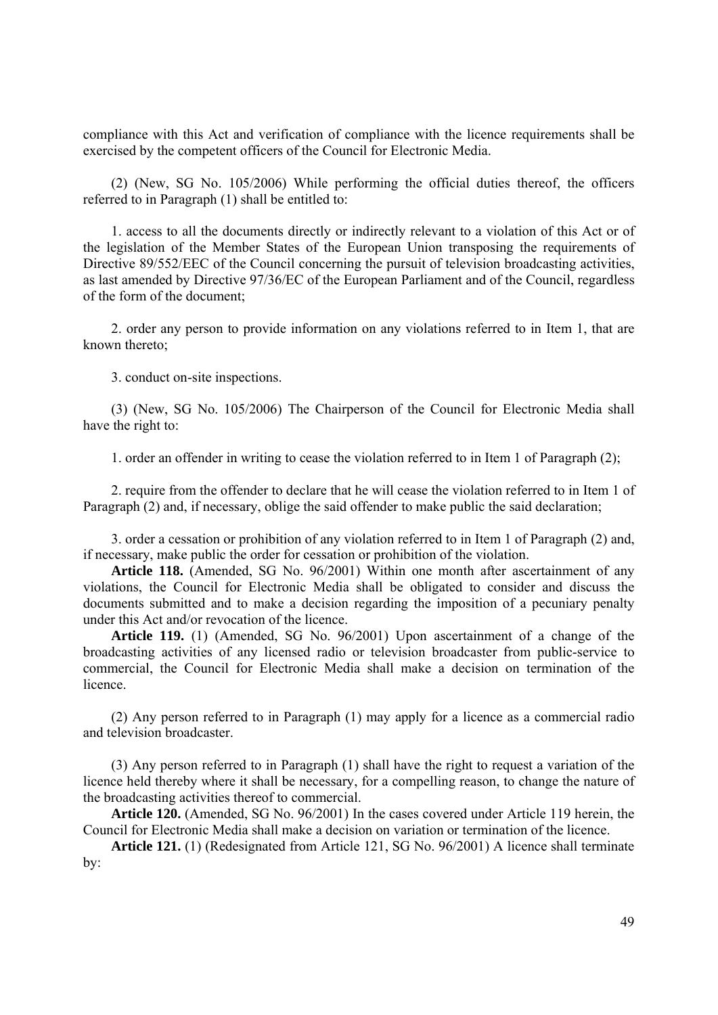compliance with this Act and verification of compliance with the licence requirements shall be exercised by the competent officers of the Council for Electronic Media.

(2) (New, SG No. 105/2006) While performing the official duties thereof, the officers referred to in Paragraph (1) shall be entitled to:

1. access to all the documents directly or indirectly relevant to a violation of this Act or of the legislation of the Member States of the European Union transposing the requirements of Directive 89/552/EEC of the Council concerning the pursuit of television broadcasting activities, as last amended by Directive 97/36/EC of the European Parliament and of the Council, regardless of the form of the document;

2. order any person to provide information on any violations referred to in Item 1, that are known thereto;

3. conduct on-site inspections.

(3) (New, SG No. 105/2006) The Chairperson of the Council for Electronic Media shall have the right to:

1. order an offender in writing to cease the violation referred to in Item 1 of Paragraph (2);

2. require from the offender to declare that he will cease the violation referred to in Item 1 of Paragraph (2) and, if necessary, oblige the said offender to make public the said declaration;

3. order a cessation or prohibition of any violation referred to in Item 1 of Paragraph (2) and, if necessary, make public the order for cessation or prohibition of the violation.

**Article 118.** (Amended, SG No. 96/2001) Within one month after ascertainment of any violations, the Council for Electronic Media shall be obligated to consider and discuss the documents submitted and to make a decision regarding the imposition of a pecuniary penalty under this Act and/or revocation of the licence.

**Article 119.** (1) (Amended, SG No. 96/2001) Upon ascertainment of a change of the broadcasting activities of any licensed radio or television broadcaster from public-service to commercial, the Council for Electronic Media shall make a decision on termination of the licence.

(2) Any person referred to in Paragraph (1) may apply for a licence as a commercial radio and television broadcaster.

(3) Any person referred to in Paragraph (1) shall have the right to request a variation of the licence held thereby where it shall be necessary, for a compelling reason, to change the nature of the broadcasting activities thereof to commercial.

**Article 120.** (Amended, SG No. 96/2001) In the cases covered under Article 119 herein, the Council for Electronic Media shall make a decision on variation or termination of the licence.

**Article 121.** (1) (Redesignated from Article 121, SG No. 96/2001) A licence shall terminate by: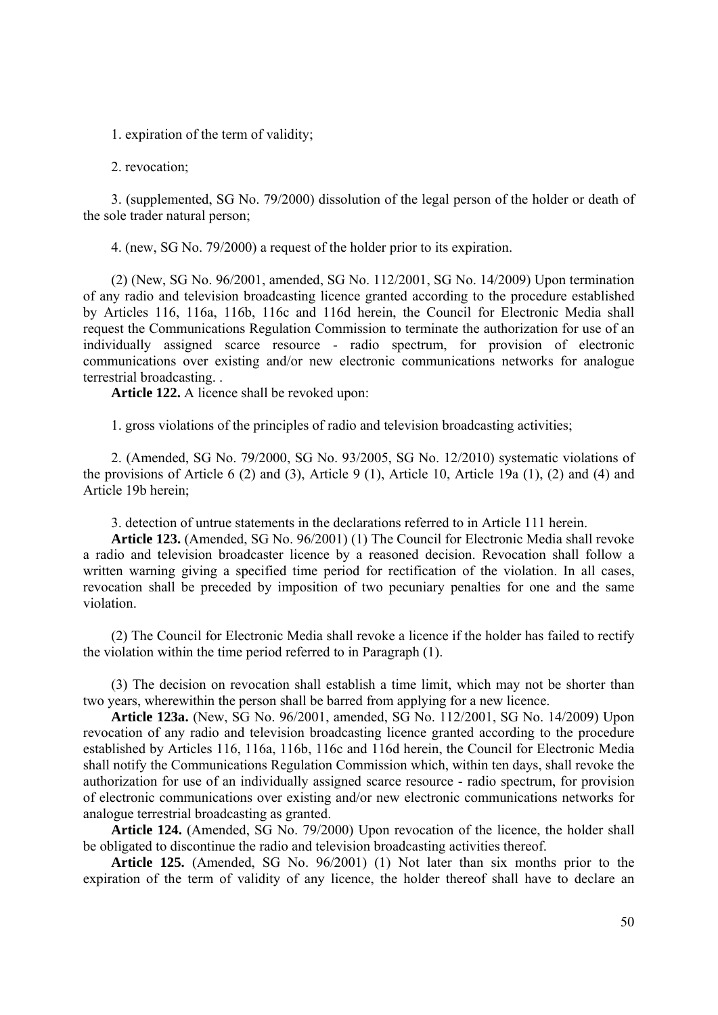1. expiration of the term of validity;

2. revocation;

3. (supplemented, SG No. 79/2000) dissolution of the legal person of the holder or death of the sole trader natural person;

4. (new, SG No. 79/2000) a request of the holder prior to its expiration.

(2) (New, SG No. 96/2001, amended, SG No. 112/2001, SG No. 14/2009) Upon termination of any radio and television broadcasting licence granted according to the procedure established by Articles 116, 116a, 116b, 116c and 116d herein, the Council for Electronic Media shall request the Communications Regulation Commission to terminate the authorization for use of an individually assigned scarce resource - radio spectrum, for provision of electronic communications over existing and/or new electronic communications networks for analogue terrestrial broadcasting. .

**Article 122.** A licence shall be revoked upon:

1. gross violations of the principles of radio and television broadcasting activities;

2. (Amended, SG No. 79/2000, SG No. 93/2005, SG No. 12/2010) systematic violations of the provisions of Article 6 (2) and (3), Article 9 (1), Article 10, Article 19a (1), (2) and (4) and Article 19b herein;

3. detection of untrue statements in the declarations referred to in Article 111 herein.

**Article 123.** (Amended, SG No. 96/2001) (1) The Council for Electronic Media shall revoke a radio and television broadcaster licence by a reasoned decision. Revocation shall follow a written warning giving a specified time period for rectification of the violation. In all cases, revocation shall be preceded by imposition of two pecuniary penalties for one and the same violation.

(2) The Council for Electronic Media shall revoke a licence if the holder has failed to rectify the violation within the time period referred to in Paragraph (1).

(3) The decision on revocation shall establish a time limit, which may not be shorter than two years, wherewithin the person shall be barred from applying for a new licence.

**Article 123a.** (New, SG No. 96/2001, amended, SG No. 112/2001, SG No. 14/2009) Upon revocation of any radio and television broadcasting licence granted according to the procedure established by Articles 116, 116a, 116b, 116c and 116d herein, the Council for Electronic Media shall notify the Communications Regulation Commission which, within ten days, shall revoke the authorization for use of an individually assigned scarce resource - radio spectrum, for provision of electronic communications over existing and/or new electronic communications networks for analogue terrestrial broadcasting as granted.

**Article 124.** (Amended, SG No. 79/2000) Upon revocation of the licence, the holder shall be obligated to discontinue the radio and television broadcasting activities thereof.

**Article 125.** (Amended, SG No. 96/2001) (1) Not later than six months prior to the expiration of the term of validity of any licence, the holder thereof shall have to declare an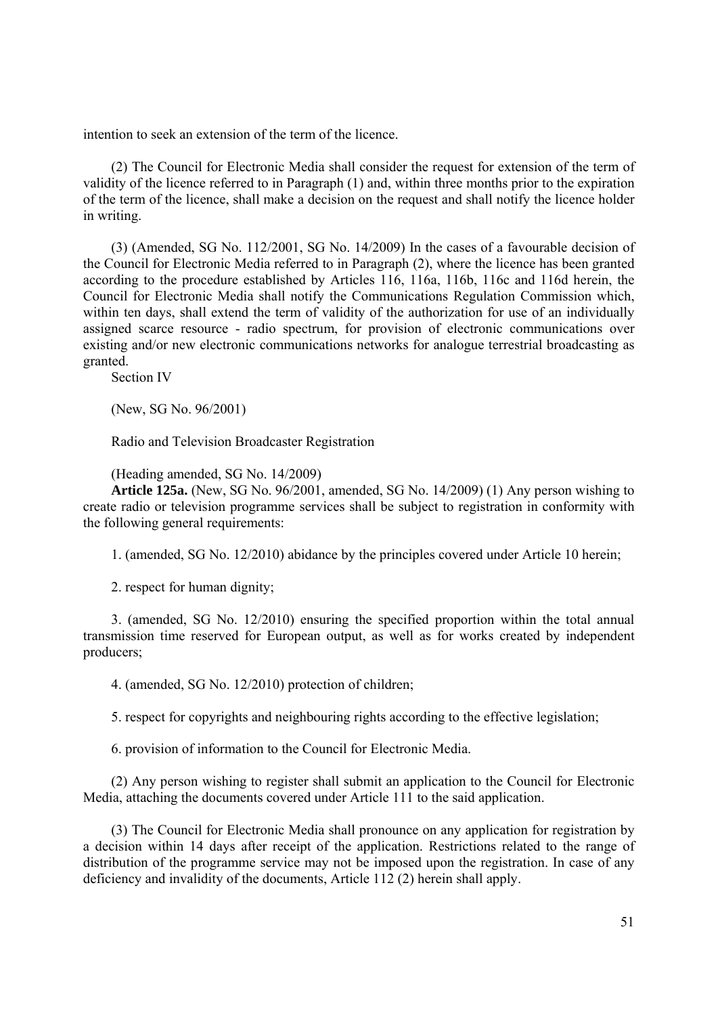intention to seek an extension of the term of the licence.

(2) The Council for Electronic Media shall consider the request for extension of the term of validity of the licence referred to in Paragraph (1) and, within three months prior to the expiration of the term of the licence, shall make a decision on the request and shall notify the licence holder in writing.

(3) (Amended, SG No. 112/2001, SG No. 14/2009) In the cases of a favourable decision of the Council for Electronic Media referred to in Paragraph (2), where the licence has been granted according to the procedure established by Articles 116, 116a, 116b, 116c and 116d herein, the Council for Electronic Media shall notify the Communications Regulation Commission which, within ten days, shall extend the term of validity of the authorization for use of an individually assigned scarce resource - radio spectrum, for provision of electronic communications over existing and/or new electronic communications networks for analogue terrestrial broadcasting as granted.

Section IV

(New, SG No. 96/2001)

Radio and Television Broadcaster Registration

(Heading amended, SG No. 14/2009)

**Article 125a.** (New, SG No. 96/2001, amended, SG No. 14/2009) (1) Any person wishing to create radio or television programme services shall be subject to registration in conformity with the following general requirements:

1. (amended, SG No. 12/2010) abidance by the principles covered under Article 10 herein;

2. respect for human dignity;

3. (amended, SG No. 12/2010) ensuring the specified proportion within the total annual transmission time reserved for European output, as well as for works created by independent producers;

4. (amended, SG No. 12/2010) protection of children;

5. respect for copyrights and neighbouring rights according to the effective legislation;

6. provision of information to the Council for Electronic Media.

(2) Any person wishing to register shall submit an application to the Council for Electronic Media, attaching the documents covered under Article 111 to the said application.

(3) The Council for Electronic Media shall pronounce on any application for registration by a decision within 14 days after receipt of the application. Restrictions related to the range of distribution of the programme service may not be imposed upon the registration. In case of any deficiency and invalidity of the documents, Article 112 (2) herein shall apply.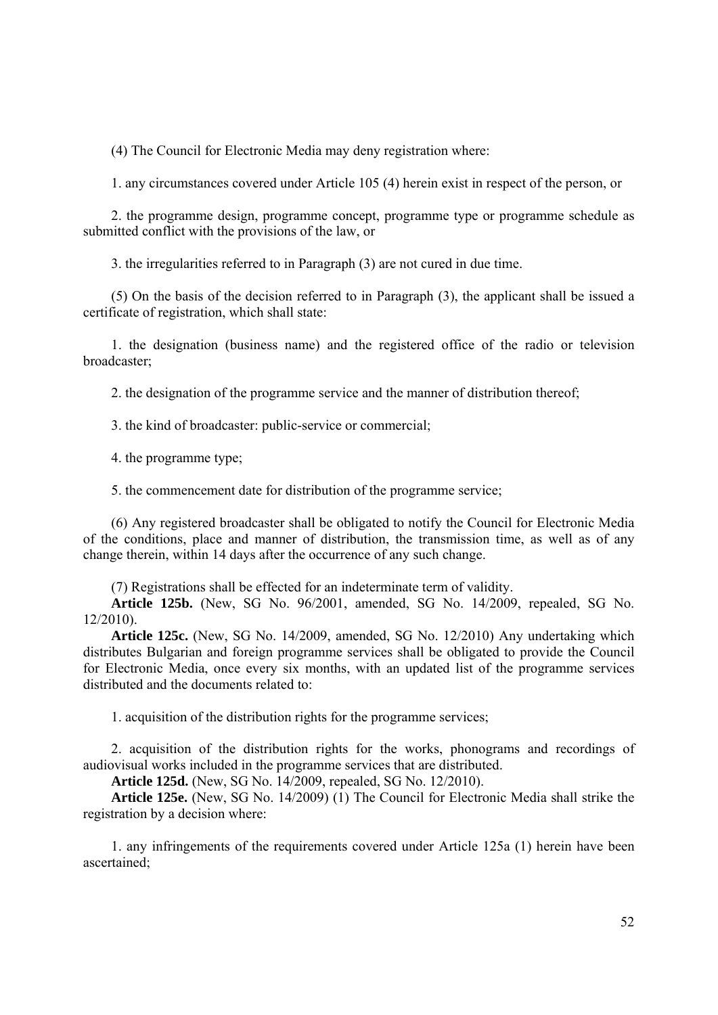(4) The Council for Electronic Media may deny registration where:

1. any circumstances covered under Article 105 (4) herein exist in respect of the person, or

2. the programme design, programme concept, programme type or programme schedule as submitted conflict with the provisions of the law, or

3. the irregularities referred to in Paragraph (3) are not cured in due time.

(5) On the basis of the decision referred to in Paragraph (3), the applicant shall be issued a certificate of registration, which shall state:

1. the designation (business name) and the registered office of the radio or television broadcaster;

2. the designation of the programme service and the manner of distribution thereof;

3. the kind of broadcaster: public-service or commercial;

4. the programme type;

5. the commencement date for distribution of the programme service;

(6) Any registered broadcaster shall be obligated to notify the Council for Electronic Media of the conditions, place and manner of distribution, the transmission time, as well as of any change therein, within 14 days after the occurrence of any such change.

(7) Registrations shall be effected for an indeterminate term of validity.

**Article 125b.** (New, SG No. 96/2001, amended, SG No. 14/2009, repealed, SG No. 12/2010).

**Article 125c.** (New, SG No. 14/2009, amended, SG No. 12/2010) Any undertaking which distributes Bulgarian and foreign programme services shall be obligated to provide the Council for Electronic Media, once every six months, with an updated list of the programme services distributed and the documents related to:

1. acquisition of the distribution rights for the programme services;

2. acquisition of the distribution rights for the works, phonograms and recordings of audiovisual works included in the programme services that are distributed.

**Article 125d.** (New, SG No. 14/2009, repealed, SG No. 12/2010).

**Article 125e.** (New, SG No. 14/2009) (1) The Council for Electronic Media shall strike the registration by a decision where:

1. any infringements of the requirements covered under Article 125a (1) herein have been ascertained;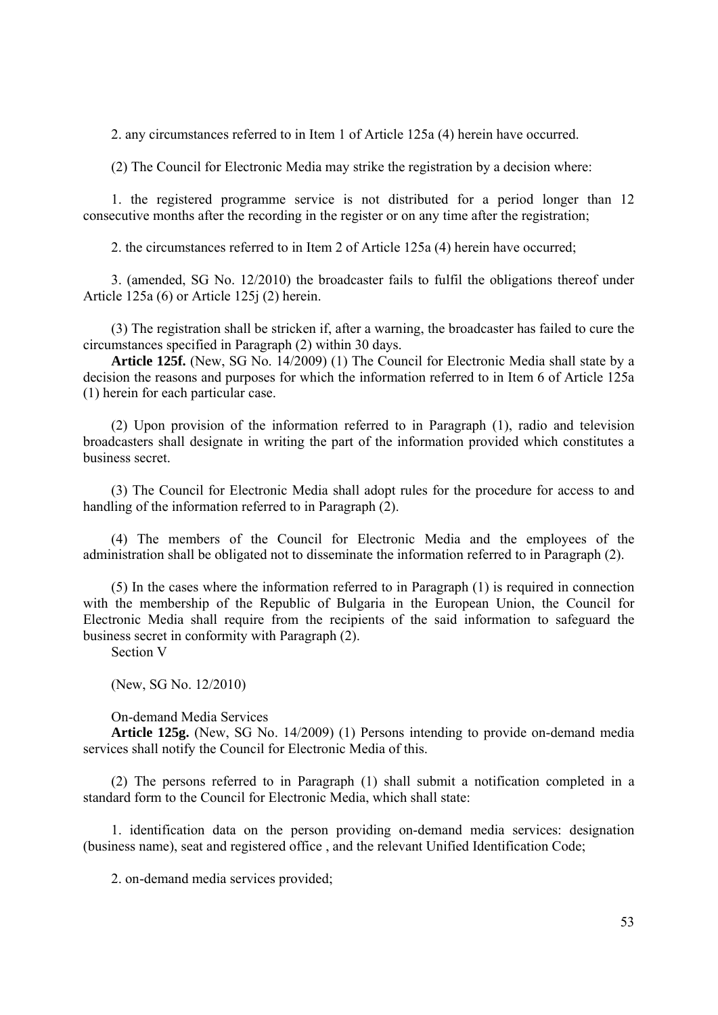2. any circumstances referred to in Item 1 of Article 125a (4) herein have occurred.

(2) The Council for Electronic Media may strike the registration by a decision where:

1. the registered programme service is not distributed for a period longer than 12 consecutive months after the recording in the register or on any time after the registration;

2. the circumstances referred to in Item 2 of Article 125a (4) herein have occurred;

3. (amended, SG No. 12/2010) the broadcaster fails to fulfil the obligations thereof under Article 125a (6) or Article 125j (2) herein.

(3) The registration shall be stricken if, after a warning, the broadcaster has failed to cure the circumstances specified in Paragraph (2) within 30 days.

**Article 125f.** (New, SG No. 14/2009) (1) The Council for Electronic Media shall state by a decision the reasons and purposes for which the information referred to in Item 6 of Article 125a (1) herein for each particular case.

(2) Upon provision of the information referred to in Paragraph (1), radio and television broadcasters shall designate in writing the part of the information provided which constitutes a business secret.

(3) The Council for Electronic Media shall adopt rules for the procedure for access to and handling of the information referred to in Paragraph (2).

(4) The members of the Council for Electronic Media and the employees of the administration shall be obligated not to disseminate the information referred to in Paragraph (2).

(5) In the cases where the information referred to in Paragraph (1) is required in connection with the membership of the Republic of Bulgaria in the European Union, the Council for Electronic Media shall require from the recipients of the said information to safeguard the business secret in conformity with Paragraph (2).

Section V

(New, SG No. 12/2010)

On-demand Media Services

**Article 125g.** (New, SG No. 14/2009) (1) Persons intending to provide on-demand media services shall notify the Council for Electronic Media of this.

(2) The persons referred to in Paragraph (1) shall submit a notification completed in a standard form to the Council for Electronic Media, which shall state:

1. identification data on the person providing on-demand media services: designation (business name), seat and registered office , and the relevant Unified Identification Code;

2. on-demand media services provided;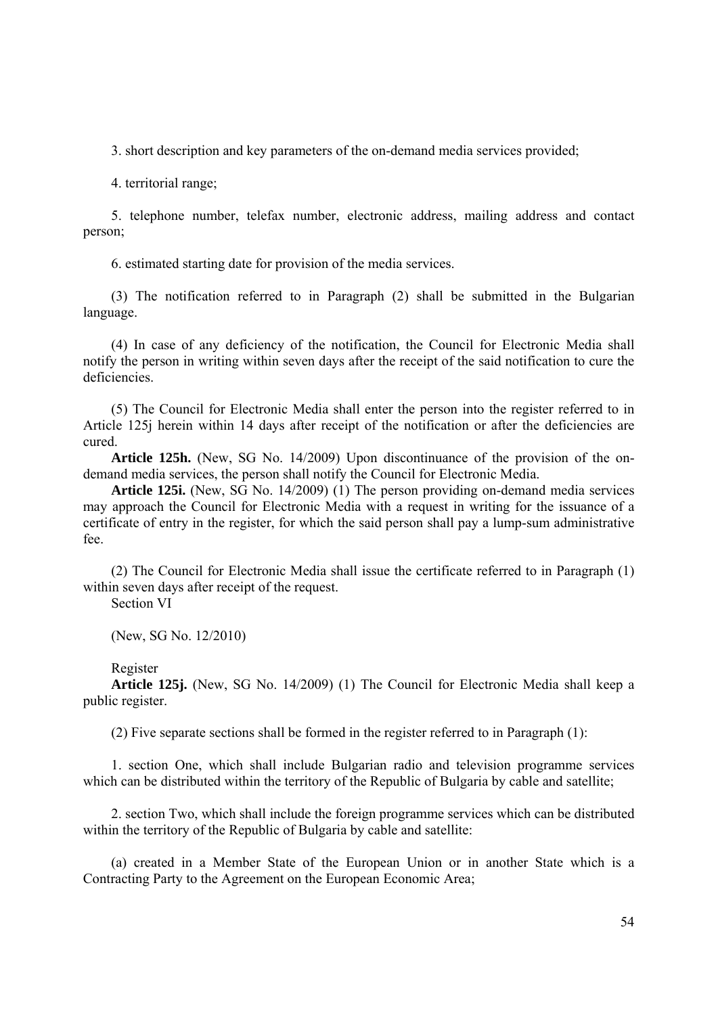3. short description and key parameters of the on-demand media services provided;

4. territorial range;

5. telephone number, telefax number, electronic address, mailing address and contact person;

6. estimated starting date for provision of the media services.

(3) The notification referred to in Paragraph (2) shall be submitted in the Bulgarian language.

(4) In case of any deficiency of the notification, the Council for Electronic Media shall notify the person in writing within seven days after the receipt of the said notification to cure the deficiencies.

(5) The Council for Electronic Media shall enter the person into the register referred to in Article 125j herein within 14 days after receipt of the notification or after the deficiencies are cured.

**Article 125h.** (New, SG No. 14/2009) Upon discontinuance of the provision of the ondemand media services, the person shall notify the Council for Electronic Media.

**Article 125i.** (New, SG No. 14/2009) (1) The person providing on-demand media services may approach the Council for Electronic Media with a request in writing for the issuance of a certificate of entry in the register, for which the said person shall pay a lump-sum administrative fee.

(2) The Council for Electronic Media shall issue the certificate referred to in Paragraph (1) within seven days after receipt of the request.

Section VI

(New, SG No. 12/2010)

Register

**Article 125j.** (New, SG No. 14/2009) (1) The Council for Electronic Media shall keep a public register.

(2) Five separate sections shall be formed in the register referred to in Paragraph (1):

1. section One, which shall include Bulgarian radio and television programme services which can be distributed within the territory of the Republic of Bulgaria by cable and satellite;

2. section Two, which shall include the foreign programme services which can be distributed within the territory of the Republic of Bulgaria by cable and satellite:

(a) created in a Member State of the European Union or in another State which is a Contracting Party to the Agreement on the European Economic Area;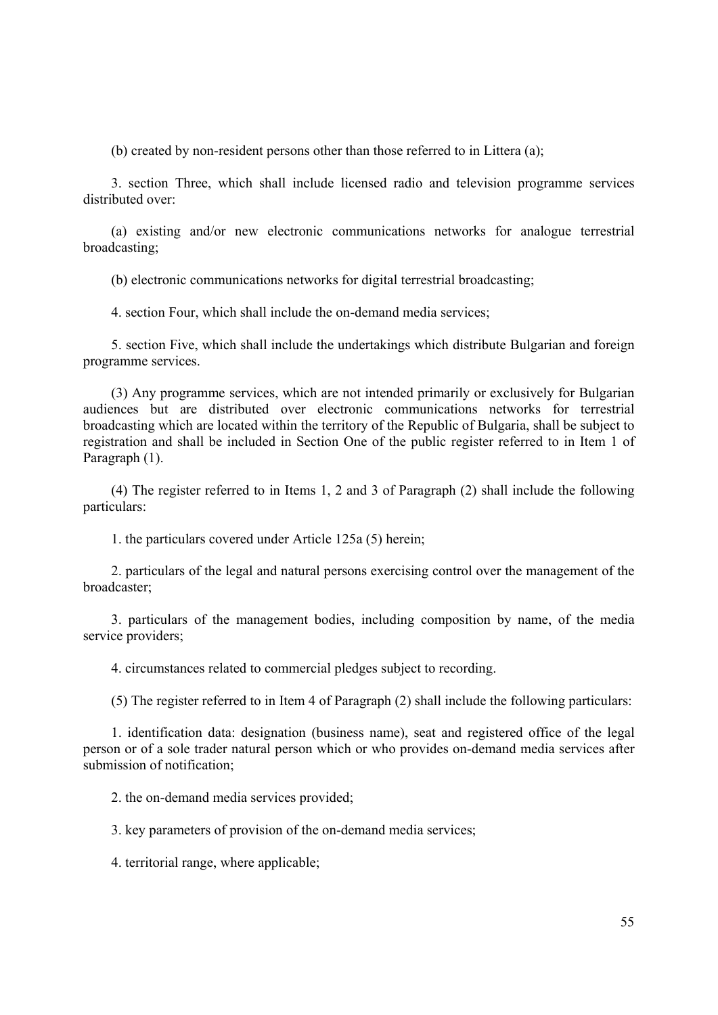(b) created by non-resident persons other than those referred to in Littera (a);

3. section Three, which shall include licensed radio and television programme services distributed over:

(a) existing and/or new electronic communications networks for analogue terrestrial broadcasting;

(b) electronic communications networks for digital terrestrial broadcasting;

4. section Four, which shall include the on-demand media services;

5. section Five, which shall include the undertakings which distribute Bulgarian and foreign programme services.

(3) Any programme services, which are not intended primarily or exclusively for Bulgarian audiences but are distributed over electronic communications networks for terrestrial broadcasting which are located within the territory of the Republic of Bulgaria, shall be subject to registration and shall be included in Section One of the public register referred to in Item 1 of Paragraph (1).

(4) The register referred to in Items 1, 2 and 3 of Paragraph (2) shall include the following particulars:

1. the particulars covered under Article 125a (5) herein;

2. particulars of the legal and natural persons exercising control over the management of the broadcaster;

3. particulars of the management bodies, including composition by name, of the media service providers;

4. circumstances related to commercial pledges subject to recording.

(5) The register referred to in Item 4 of Paragraph (2) shall include the following particulars:

1. identification data: designation (business name), seat and registered office of the legal person or of a sole trader natural person which or who provides on-demand media services after submission of notification;

2. the on-demand media services provided;

3. key parameters of provision of the on-demand media services;

4. territorial range, where applicable;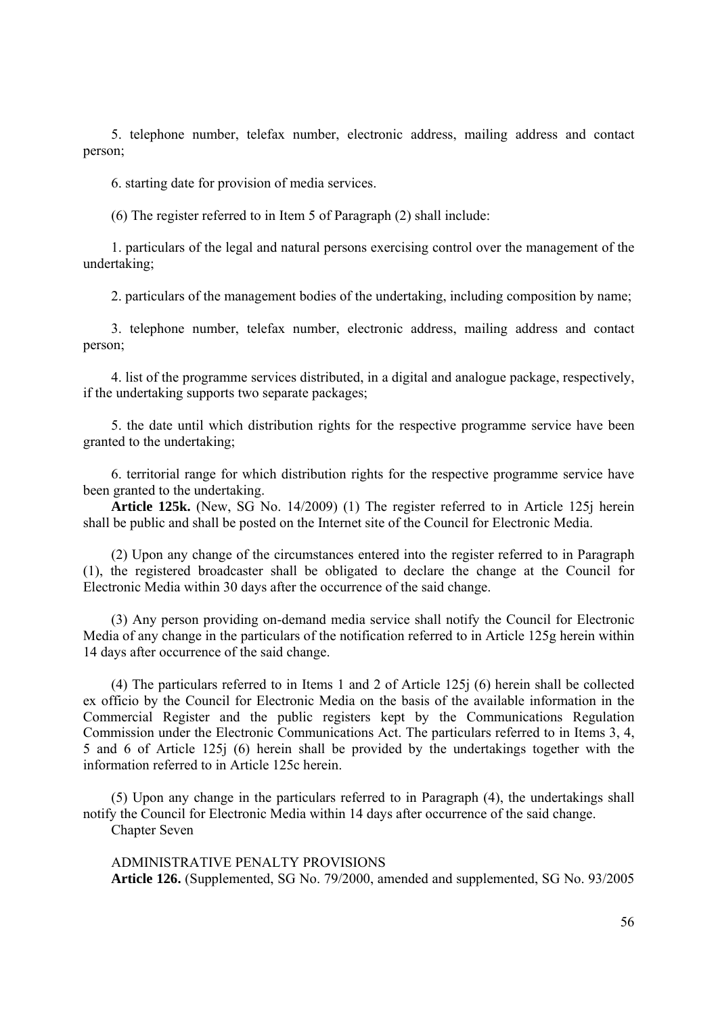5. telephone number, telefax number, electronic address, mailing address and contact person;

6. starting date for provision of media services.

(6) The register referred to in Item 5 of Paragraph (2) shall include:

1. particulars of the legal and natural persons exercising control over the management of the undertaking;

2. particulars of the management bodies of the undertaking, including composition by name;

3. telephone number, telefax number, electronic address, mailing address and contact person;

4. list of the programme services distributed, in a digital and analogue package, respectively, if the undertaking supports two separate packages;

5. the date until which distribution rights for the respective programme service have been granted to the undertaking;

6. territorial range for which distribution rights for the respective programme service have been granted to the undertaking.

**Article 125k.** (New, SG No. 14/2009) (1) The register referred to in Article 125j herein shall be public and shall be posted on the Internet site of the Council for Electronic Media.

(2) Upon any change of the circumstances entered into the register referred to in Paragraph (1), the registered broadcaster shall be obligated to declare the change at the Council for Electronic Media within 30 days after the occurrence of the said change.

(3) Any person providing on-demand media service shall notify the Council for Electronic Media of any change in the particulars of the notification referred to in Article 125g herein within 14 days after occurrence of the said change.

(4) The particulars referred to in Items 1 and 2 of Article 125j (6) herein shall be collected ex officio by the Council for Electronic Media on the basis of the available information in the Commercial Register and the public registers kept by the Communications Regulation Commission under the Electronic Communications Act. The particulars referred to in Items 3, 4, 5 and 6 of Article 125j (6) herein shall be provided by the undertakings together with the information referred to in Article 125c herein.

(5) Upon any change in the particulars referred to in Paragraph (4), the undertakings shall notify the Council for Electronic Media within 14 days after occurrence of the said change. Chapter Seven

ADMINISTRATIVE PENALTY PROVISIONS **Article 126.** (Supplemented, SG No. 79/2000, amended and supplemented, SG No. 93/2005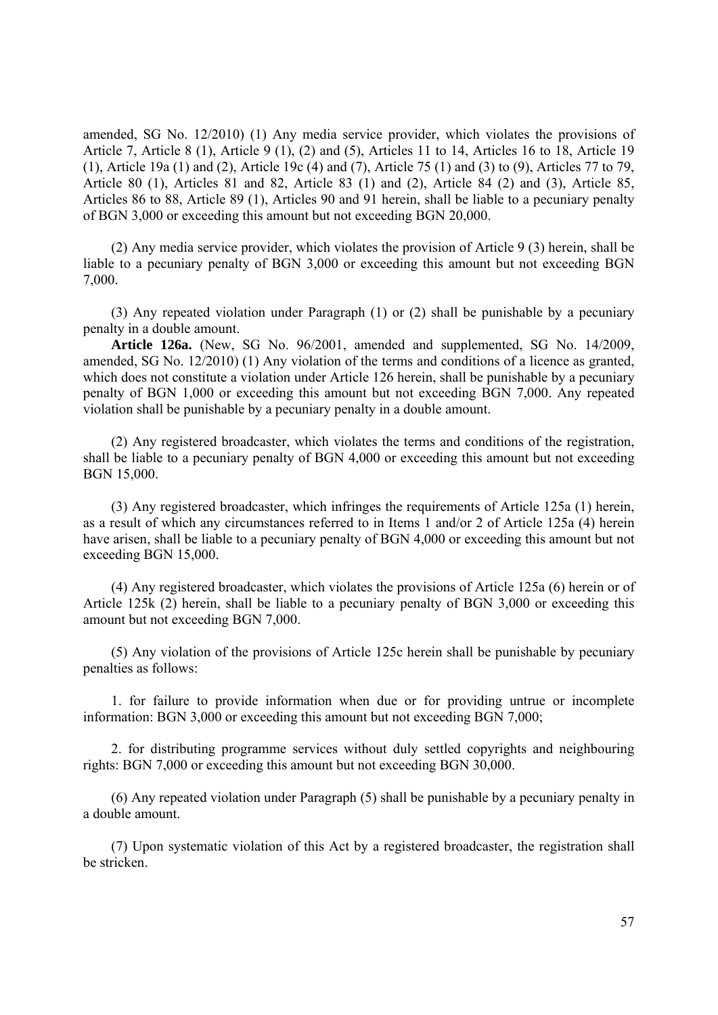amended, SG No. 12/2010) (1) Any media service provider, which violates the provisions of Article 7, Article 8 (1), Article 9 (1), (2) and (5), Articles 11 to 14, Articles 16 to 18, Article 19 (1), Article 19a (1) and (2), Article 19c (4) and (7), Article 75 (1) and (3) to (9), Articles 77 to 79, Article 80 (1), Articles 81 and 82, Article 83 (1) and (2), Article 84 (2) and (3), Article 85, Articles 86 to 88, Article 89 (1), Articles 90 and 91 herein, shall be liable to a pecuniary penalty of BGN 3,000 or exceeding this amount but not exceeding BGN 20,000.

(2) Any media service provider, which violates the provision of Article 9 (3) herein, shall be liable to a pecuniary penalty of BGN 3,000 or exceeding this amount but not exceeding BGN 7,000.

(3) Any repeated violation under Paragraph (1) or (2) shall be punishable by a pecuniary penalty in a double amount.

**Article 126a.** (New, SG No. 96/2001, amended and supplemented, SG No. 14/2009, amended, SG No. 12/2010) (1) Any violation of the terms and conditions of a licence as granted, which does not constitute a violation under Article 126 herein, shall be punishable by a pecuniary penalty of BGN 1,000 or exceeding this amount but not exceeding BGN 7,000. Any repeated violation shall be punishable by a pecuniary penalty in a double amount.

(2) Any registered broadcaster, which violates the terms and conditions of the registration, shall be liable to a pecuniary penalty of BGN 4,000 or exceeding this amount but not exceeding BGN 15,000.

(3) Any registered broadcaster, which infringes the requirements of Article 125a (1) herein, as a result of which any circumstances referred to in Items 1 and/or 2 of Article 125a (4) herein have arisen, shall be liable to a pecuniary penalty of BGN 4,000 or exceeding this amount but not exceeding BGN 15,000.

(4) Any registered broadcaster, which violates the provisions of Article 125a (6) herein or of Article 125k (2) herein, shall be liable to a pecuniary penalty of BGN 3,000 or exceeding this amount but not exceeding BGN 7,000.

(5) Any violation of the provisions of Article 125c herein shall be punishable by pecuniary penalties as follows:

1. for failure to provide information when due or for providing untrue or incomplete information: BGN 3,000 or exceeding this amount but not exceeding BGN 7,000;

2. for distributing programme services without duly settled copyrights and neighbouring rights: BGN 7,000 or exceeding this amount but not exceeding BGN 30,000.

(6) Any repeated violation under Paragraph (5) shall be punishable by a pecuniary penalty in a double amount.

(7) Upon systematic violation of this Act by a registered broadcaster, the registration shall be stricken.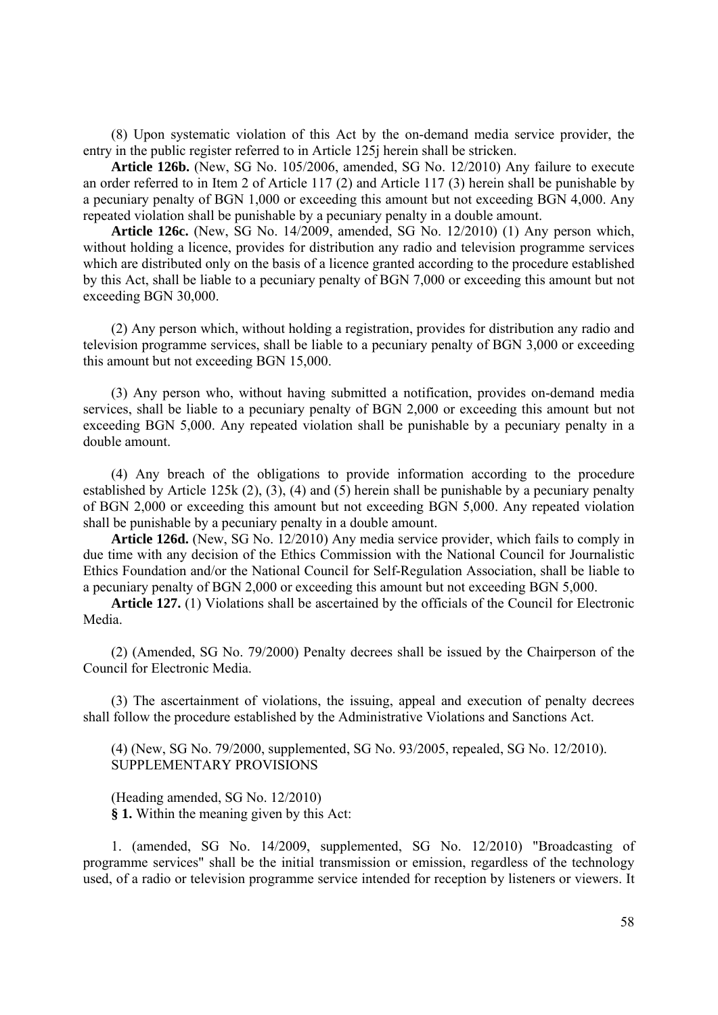(8) Upon systematic violation of this Act by the on-demand media service provider, the entry in the public register referred to in Article 125j herein shall be stricken.

**Article 126b.** (New, SG No. 105/2006, amended, SG No. 12/2010) Any failure to execute an order referred to in Item 2 of Article 117 (2) and Article 117 (3) herein shall be punishable by a pecuniary penalty of BGN 1,000 or exceeding this amount but not exceeding BGN 4,000. Any repeated violation shall be punishable by a pecuniary penalty in a double amount.

**Article 126c.** (New, SG No. 14/2009, amended, SG No. 12/2010) (1) Any person which, without holding a licence, provides for distribution any radio and television programme services which are distributed only on the basis of a licence granted according to the procedure established by this Act, shall be liable to a pecuniary penalty of BGN 7,000 or exceeding this amount but not exceeding BGN 30,000.

(2) Any person which, without holding a registration, provides for distribution any radio and television programme services, shall be liable to a pecuniary penalty of BGN 3,000 or exceeding this amount but not exceeding BGN 15,000.

(3) Any person who, without having submitted a notification, provides on-demand media services, shall be liable to a pecuniary penalty of BGN 2,000 or exceeding this amount but not exceeding BGN 5,000. Any repeated violation shall be punishable by a pecuniary penalty in a double amount.

(4) Any breach of the obligations to provide information according to the procedure established by Article 125k (2), (3), (4) and (5) herein shall be punishable by a pecuniary penalty of BGN 2,000 or exceeding this amount but not exceeding BGN 5,000. Any repeated violation shall be punishable by a pecuniary penalty in a double amount.

**Article 126d.** (New, SG No. 12/2010) Any media service provider, which fails to comply in due time with any decision of the Ethics Commission with the National Council for Journalistic Ethics Foundation and/or the National Council for Self-Regulation Association, shall be liable to a pecuniary penalty of BGN 2,000 or exceeding this amount but not exceeding BGN 5,000.

**Article 127.** (1) Violations shall be ascertained by the officials of the Council for Electronic Media.

(2) (Amended, SG No. 79/2000) Penalty decrees shall be issued by the Chairperson of the Council for Electronic Media.

(3) The ascertainment of violations, the issuing, appeal and execution of penalty decrees shall follow the procedure established by the Administrative Violations and Sanctions Act.

(4) (New, SG No. 79/2000, supplemented, SG No. 93/2005, repealed, SG No. 12/2010). SUPPLEMENTARY PROVISIONS

(Heading amended, SG No. 12/2010) **§ 1.** Within the meaning given by this Act:

1. (amended, SG No. 14/2009, supplemented, SG No. 12/2010) "Broadcasting of programme services" shall be the initial transmission or emission, regardless of the technology used, of a radio or television programme service intended for reception by listeners or viewers. It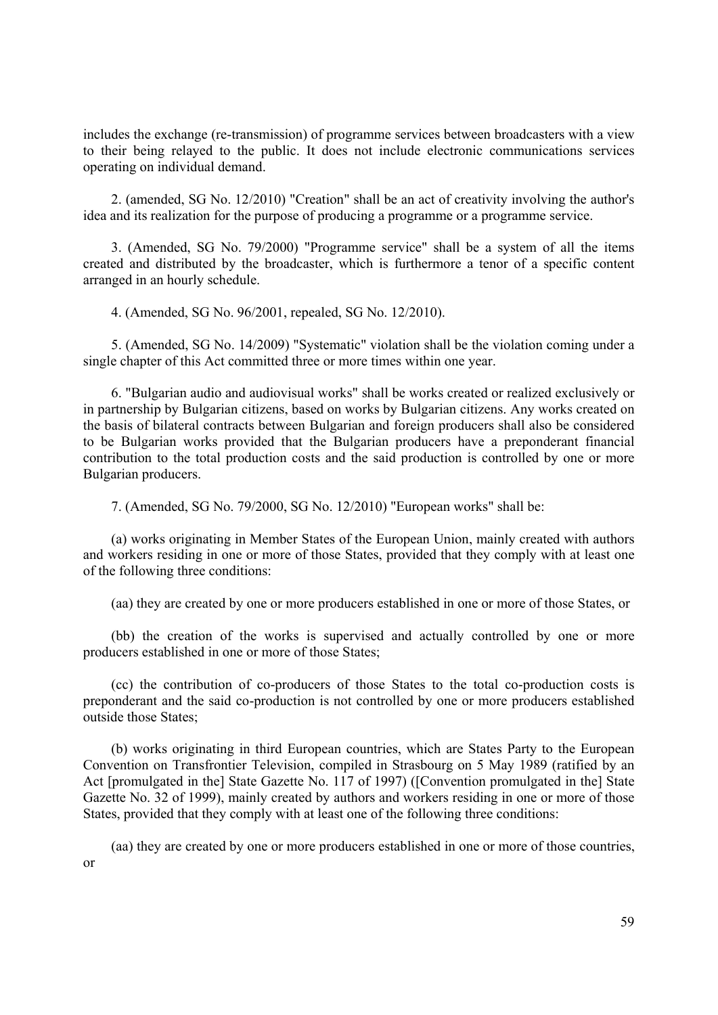includes the exchange (re-transmission) of programme services between broadcasters with a view to their being relayed to the public. It does not include electronic communications services operating on individual demand.

2. (amended, SG No. 12/2010) "Creation" shall be an act of creativity involving the author's idea and its realization for the purpose of producing a programme or a programme service.

3. (Amended, SG No. 79/2000) "Programme service" shall be a system of all the items created and distributed by the broadcaster, which is furthermore a tenor of a specific content arranged in an hourly schedule.

4. (Amended, SG No. 96/2001, repealed, SG No. 12/2010).

5. (Amended, SG No. 14/2009) "Systematic" violation shall be the violation coming under a single chapter of this Act committed three or more times within one year.

6. "Bulgarian audio and audiovisual works" shall be works created or realized exclusively or in partnership by Bulgarian citizens, based on works by Bulgarian citizens. Any works created on the basis of bilateral contracts between Bulgarian and foreign producers shall also be considered to be Bulgarian works provided that the Bulgarian producers have a preponderant financial contribution to the total production costs and the said production is controlled by one or more Bulgarian producers.

7. (Amended, SG No. 79/2000, SG No. 12/2010) "European works" shall be:

(a) works originating in Member States of the European Union, mainly created with authors and workers residing in one or more of those States, provided that they comply with at least one of the following three conditions:

(aa) they are created by one or more producers established in one or more of those States, or

(bb) the creation of the works is supervised and actually controlled by one or more producers established in one or more of those States;

(cc) the contribution of co-producers of those States to the total co-production costs is preponderant and the said co-production is not controlled by one or more producers established outside those States;

(b) works originating in third European countries, which are States Party to the European Convention on Transfrontier Television, compiled in Strasbourg on 5 May 1989 (ratified by an Act [promulgated in the] State Gazette No. 117 of 1997) ([Convention promulgated in the] State Gazette No. 32 of 1999), mainly created by authors and workers residing in one or more of those States, provided that they comply with at least one of the following three conditions:

(aa) they are created by one or more producers established in one or more of those countries, or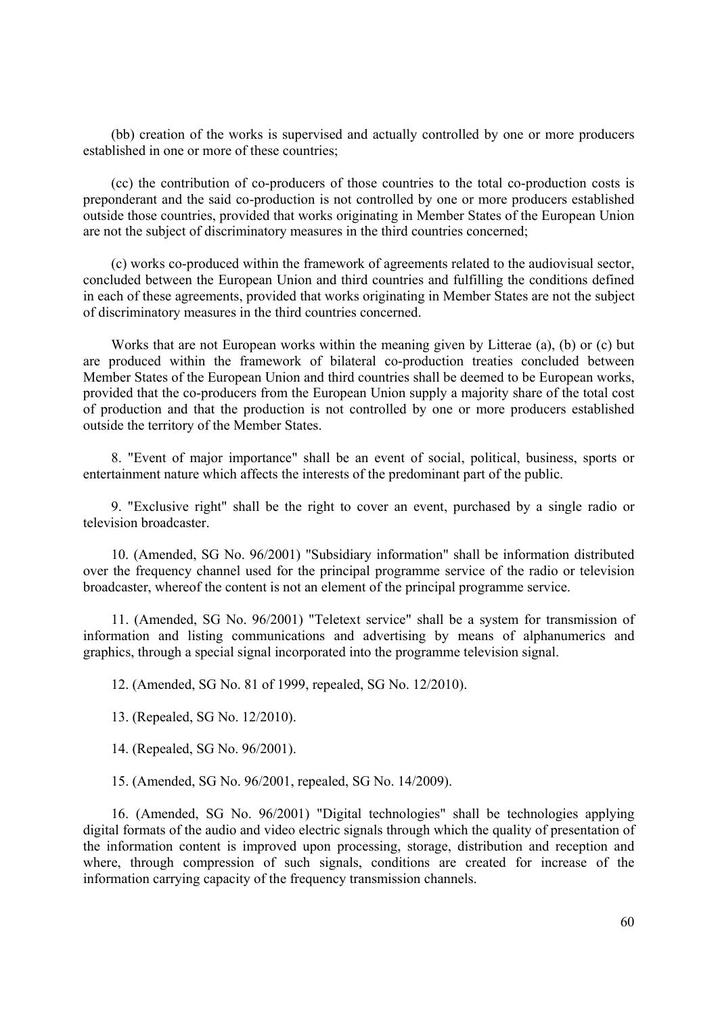(bb) creation of the works is supervised and actually controlled by one or more producers established in one or more of these countries;

(cc) the contribution of co-producers of those countries to the total co-production costs is preponderant and the said co-production is not controlled by one or more producers established outside those countries, provided that works originating in Member States of the European Union are not the subject of discriminatory measures in the third countries concerned;

(c) works co-produced within the framework of agreements related to the audiovisual sector, concluded between the European Union and third countries and fulfilling the conditions defined in each of these agreements, provided that works originating in Member States are not the subject of discriminatory measures in the third countries concerned.

Works that are not European works within the meaning given by Litterae (a), (b) or (c) but are produced within the framework of bilateral co-production treaties concluded between Member States of the European Union and third countries shall be deemed to be European works, provided that the co-producers from the European Union supply a majority share of the total cost of production and that the production is not controlled by one or more producers established outside the territory of the Member States.

8. "Event of major importance" shall be an event of social, political, business, sports or entertainment nature which affects the interests of the predominant part of the public.

9. "Exclusive right" shall be the right to cover an event, purchased by a single radio or television broadcaster.

10. (Amended, SG No. 96/2001) "Subsidiary information" shall be information distributed over the frequency channel used for the principal programme service of the radio or television broadcaster, whereof the content is not an element of the principal programme service.

11. (Amended, SG No. 96/2001) "Teletext service" shall be a system for transmission of information and listing communications and advertising by means of alphanumerics and graphics, through a special signal incorporated into the programme television signal.

12. (Amended, SG No. 81 of 1999, repealed, SG No. 12/2010).

13. (Repealed, SG No. 12/2010).

14. (Repealed, SG No. 96/2001).

15. (Amended, SG No. 96/2001, repealed, SG No. 14/2009).

16. (Amended, SG No. 96/2001) "Digital technologies" shall be technologies applying digital formats of the audio and video electric signals through which the quality of presentation of the information content is improved upon processing, storage, distribution and reception and where, through compression of such signals, conditions are created for increase of the information carrying capacity of the frequency transmission channels.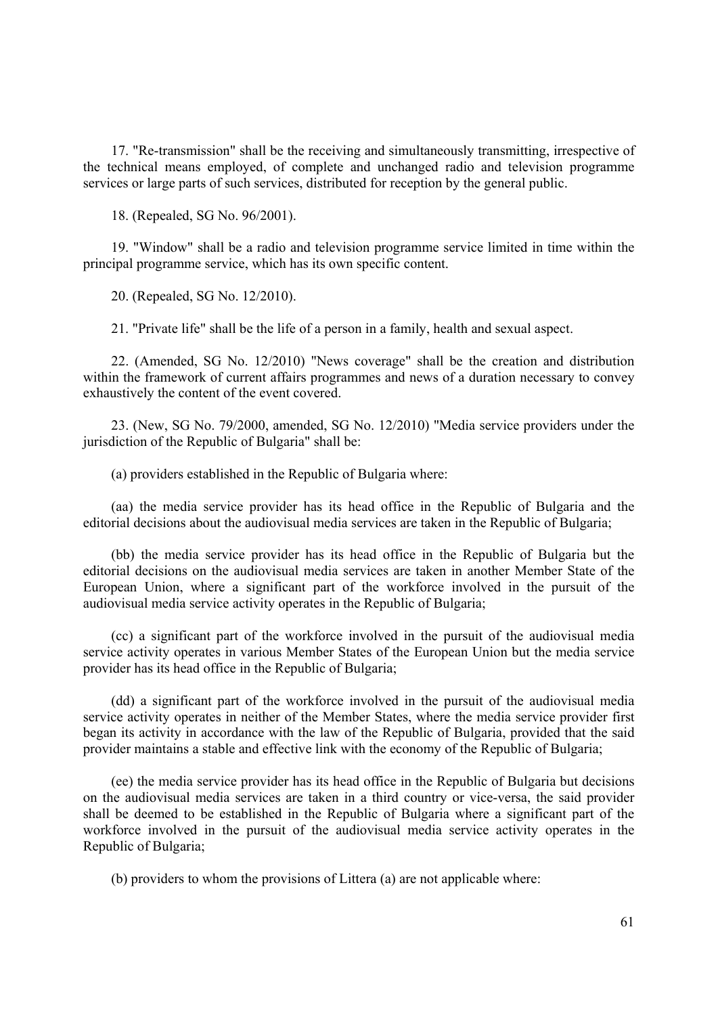17. "Re-transmission" shall be the receiving and simultaneously transmitting, irrespective of the technical means employed, of complete and unchanged radio and television programme services or large parts of such services, distributed for reception by the general public.

18. (Repealed, SG No. 96/2001).

19. "Window" shall be a radio and television programme service limited in time within the principal programme service, which has its own specific content.

20. (Repealed, SG No. 12/2010).

21. "Private life" shall be the life of a person in a family, health and sexual aspect.

22. (Amended, SG No. 12/2010) "News coverage" shall be the creation and distribution within the framework of current affairs programmes and news of a duration necessary to convey exhaustively the content of the event covered.

23. (New, SG No. 79/2000, amended, SG No. 12/2010) "Media service providers under the jurisdiction of the Republic of Bulgaria" shall be:

(a) providers established in the Republic of Bulgaria where:

(aa) the media service provider has its head office in the Republic of Bulgaria and the editorial decisions about the audiovisual media services are taken in the Republic of Bulgaria;

(bb) the media service provider has its head office in the Republic of Bulgaria but the editorial decisions on the audiovisual media services are taken in another Member State of the European Union, where a significant part of the workforce involved in the pursuit of the audiovisual media service activity operates in the Republic of Bulgaria;

(cc) a significant part of the workforce involved in the pursuit of the audiovisual media service activity operates in various Member States of the European Union but the media service provider has its head office in the Republic of Bulgaria;

(dd) a significant part of the workforce involved in the pursuit of the audiovisual media service activity operates in neither of the Member States, where the media service provider first began its activity in accordance with the law of the Republic of Bulgaria, provided that the said provider maintains a stable and effective link with the economy of the Republic of Bulgaria;

(ee) the media service provider has its head office in the Republic of Bulgaria but decisions on the audiovisual media services are taken in a third country or vice-versa, the said provider shall be deemed to be established in the Republic of Bulgaria where a significant part of the workforce involved in the pursuit of the audiovisual media service activity operates in the Republic of Bulgaria;

(b) providers to whom the provisions of Littera (a) are not applicable where: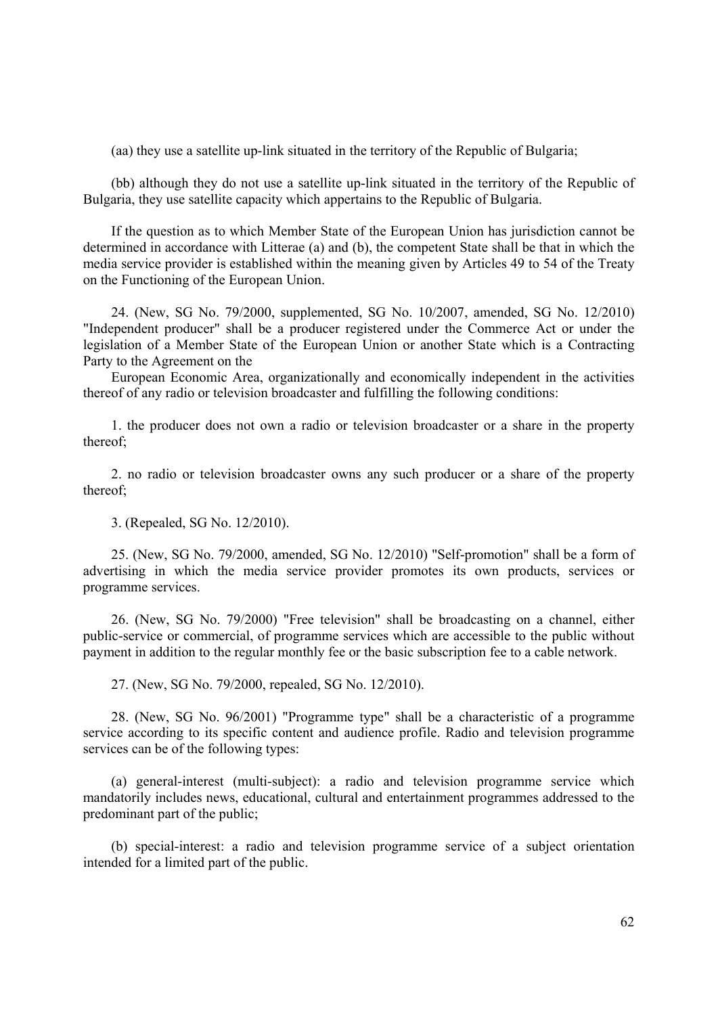(aa) they use a satellite up-link situated in the territory of the Republic of Bulgaria;

(bb) although they do not use a satellite up-link situated in the territory of the Republic of Bulgaria, they use satellite capacity which appertains to the Republic of Bulgaria.

If the question as to which Member State of the European Union has jurisdiction cannot be determined in accordance with Litterae (a) and (b), the competent State shall be that in which the media service provider is established within the meaning given by Articles 49 to 54 of the Treaty on the Functioning of the European Union.

24. (New, SG No. 79/2000, supplemented, SG No. 10/2007, amended, SG No. 12/2010) "Independent producer" shall be a producer registered under the Commerce Act or under the legislation of a Member State of the European Union or another State which is a Contracting Party to the Agreement on the

European Economic Area, organizationally and economically independent in the activities thereof of any radio or television broadcaster and fulfilling the following conditions:

1. the producer does not own a radio or television broadcaster or a share in the property thereof;

2. no radio or television broadcaster owns any such producer or a share of the property thereof;

3. (Repealed, SG No. 12/2010).

25. (New, SG No. 79/2000, amended, SG No. 12/2010) "Self-promotion" shall be a form of advertising in which the media service provider promotes its own products, services or programme services.

26. (New, SG No. 79/2000) "Free television" shall be broadcasting on a channel, either public-service or commercial, of programme services which are accessible to the public without payment in addition to the regular monthly fee or the basic subscription fee to a cable network.

27. (New, SG No. 79/2000, repealed, SG No. 12/2010).

28. (New, SG No. 96/2001) "Programme type" shall be a characteristic of a programme service according to its specific content and audience profile. Radio and television programme services can be of the following types:

(a) general-interest (multi-subject): a radio and television programme service which mandatorily includes news, educational, cultural and entertainment programmes addressed to the predominant part of the public;

(b) special-interest: a radio and television programme service of a subject orientation intended for a limited part of the public.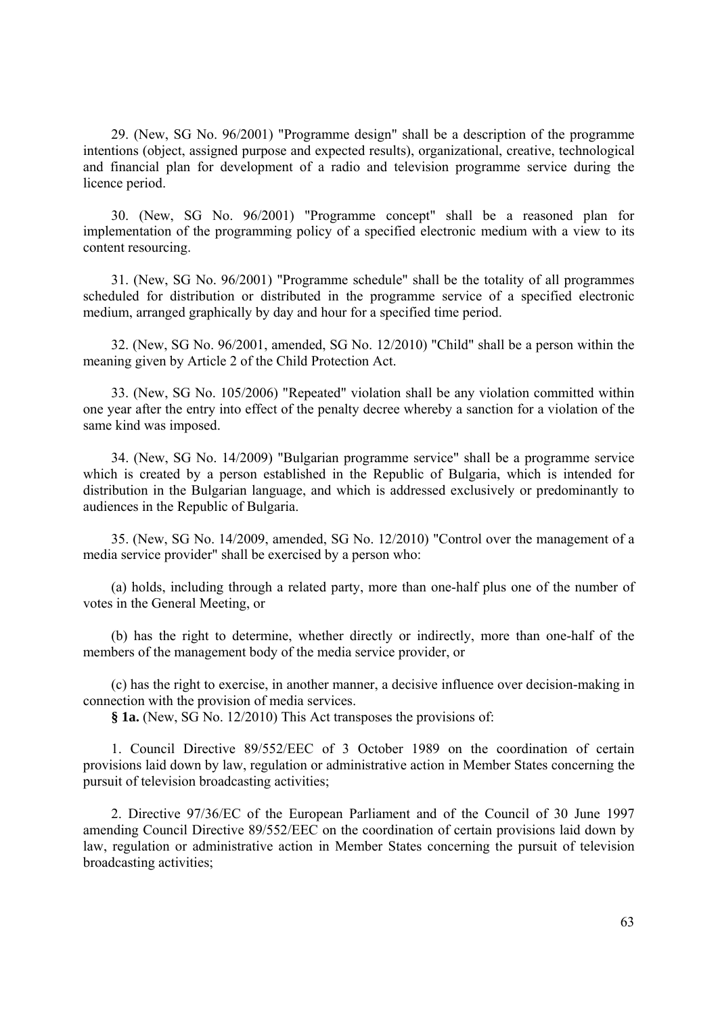29. (New, SG No. 96/2001) "Programme design" shall be a description of the programme intentions (object, assigned purpose and expected results), organizational, creative, technological and financial plan for development of a radio and television programme service during the licence period.

30. (New, SG No. 96/2001) "Programme concept" shall be a reasoned plan for implementation of the programming policy of a specified electronic medium with a view to its content resourcing.

31. (New, SG No. 96/2001) "Programme schedule" shall be the totality of all programmes scheduled for distribution or distributed in the programme service of a specified electronic medium, arranged graphically by day and hour for a specified time period.

32. (New, SG No. 96/2001, amended, SG No. 12/2010) "Child" shall be a person within the meaning given by Article 2 of the Child Protection Act.

33. (New, SG No. 105/2006) "Repeated" violation shall be any violation committed within one year after the entry into effect of the penalty decree whereby a sanction for a violation of the same kind was imposed.

34. (New, SG No. 14/2009) "Bulgarian programme service" shall be a programme service which is created by a person established in the Republic of Bulgaria, which is intended for distribution in the Bulgarian language, and which is addressed exclusively or predominantly to audiences in the Republic of Bulgaria.

35. (New, SG No. 14/2009, amended, SG No. 12/2010) "Control over the management of a media service provider" shall be exercised by a person who:

(a) holds, including through a related party, more than one-half plus one of the number of votes in the General Meeting, or

(b) has the right to determine, whether directly or indirectly, more than one-half of the members of the management body of the media service provider, or

(c) has the right to exercise, in another manner, a decisive influence over decision-making in connection with the provision of media services.

**§ 1a.** (New, SG No. 12/2010) This Act transposes the provisions of:

1. Council Directive 89/552/EEC of 3 October 1989 on the coordination of certain provisions laid down by law, regulation or administrative action in Member States concerning the pursuit of television broadcasting activities;

2. Directive 97/36/EC of the European Parliament and of the Council of 30 June 1997 amending Council Directive 89/552/EEC on the coordination of certain provisions laid down by law, regulation or administrative action in Member States concerning the pursuit of television broadcasting activities;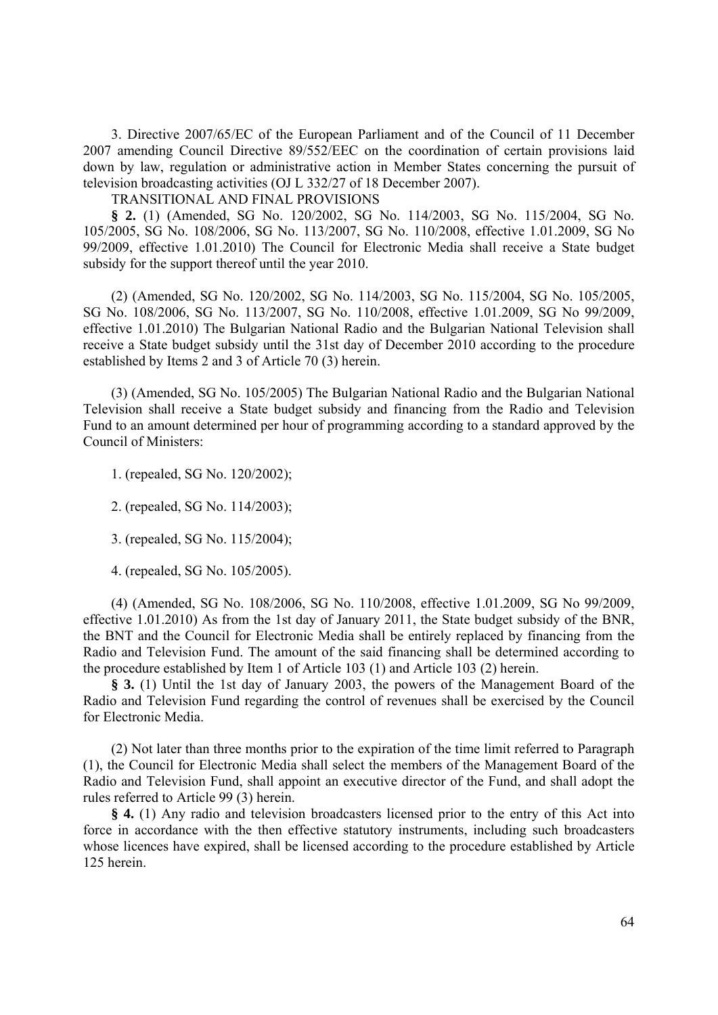3. Directive 2007/65/EC of the European Parliament and of the Council of 11 December 2007 amending Council Directive 89/552/EEC on the coordination of certain provisions laid down by law, regulation or administrative action in Member States concerning the pursuit of television broadcasting activities (OJ L 332/27 of 18 December 2007).

TRANSITIONAL AND FINAL PROVISIONS

**§ 2.** (1) (Amended, SG No. 120/2002, SG No. 114/2003, SG No. 115/2004, SG No. 105/2005, SG No. 108/2006, SG No. 113/2007, SG No. 110/2008, effective 1.01.2009, SG No 99/2009, effective 1.01.2010) The Council for Electronic Media shall receive a State budget subsidy for the support thereof until the year 2010.

(2) (Amended, SG No. 120/2002, SG No. 114/2003, SG No. 115/2004, SG No. 105/2005, SG No. 108/2006, SG No. 113/2007, SG No. 110/2008, effective 1.01.2009, SG No 99/2009, effective 1.01.2010) The Bulgarian National Radio and the Bulgarian National Television shall receive a State budget subsidy until the 31st day of December 2010 according to the procedure established by Items 2 and 3 of Article 70 (3) herein.

(3) (Amended, SG No. 105/2005) The Bulgarian National Radio and the Bulgarian National Television shall receive a State budget subsidy and financing from the Radio and Television Fund to an amount determined per hour of programming according to a standard approved by the Council of Ministers:

1. (repealed, SG No. 120/2002);

2. (repealed, SG No. 114/2003);

3. (repealed, SG No. 115/2004);

4. (repealed, SG No. 105/2005).

(4) (Amended, SG No. 108/2006, SG No. 110/2008, effective 1.01.2009, SG No 99/2009, effective 1.01.2010) As from the 1st day of January 2011, the State budget subsidy of the BNR, the BNT and the Council for Electronic Media shall be entirely replaced by financing from the Radio and Television Fund. The amount of the said financing shall be determined according to the procedure established by Item 1 of Article 103 (1) and Article 103 (2) herein.

**§ 3.** (1) Until the 1st day of January 2003, the powers of the Management Board of the Radio and Television Fund regarding the control of revenues shall be exercised by the Council for Electronic Media.

(2) Not later than three months prior to the expiration of the time limit referred to Paragraph (1), the Council for Electronic Media shall select the members of the Management Board of the Radio and Television Fund, shall appoint an executive director of the Fund, and shall adopt the rules referred to Article 99 (3) herein.

**§ 4.** (1) Any radio and television broadcasters licensed prior to the entry of this Act into force in accordance with the then effective statutory instruments, including such broadcasters whose licences have expired, shall be licensed according to the procedure established by Article 125 herein.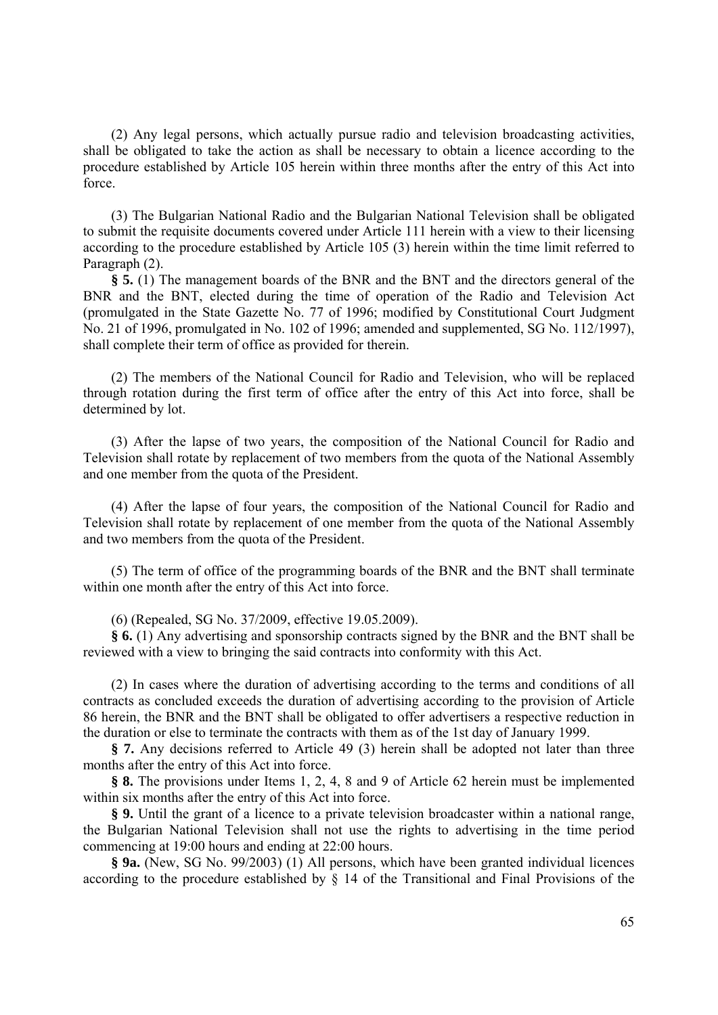(2) Any legal persons, which actually pursue radio and television broadcasting activities, shall be obligated to take the action as shall be necessary to obtain a licence according to the procedure established by Article 105 herein within three months after the entry of this Act into force.

(3) The Bulgarian National Radio and the Bulgarian National Television shall be obligated to submit the requisite documents covered under Article 111 herein with a view to their licensing according to the procedure established by Article 105 (3) herein within the time limit referred to Paragraph (2).

**§ 5.** (1) The management boards of the BNR and the BNT and the directors general of the BNR and the BNT, elected during the time of operation of the Radio and Television Act (promulgated in the State Gazette No. 77 of 1996; modified by Constitutional Court Judgment No. 21 of 1996, promulgated in No. 102 of 1996; amended and supplemented, SG No. 112/1997), shall complete their term of office as provided for therein.

(2) The members of the National Council for Radio and Television, who will be replaced through rotation during the first term of office after the entry of this Act into force, shall be determined by lot.

(3) After the lapse of two years, the composition of the National Council for Radio and Television shall rotate by replacement of two members from the quota of the National Assembly and one member from the quota of the President.

(4) After the lapse of four years, the composition of the National Council for Radio and Television shall rotate by replacement of one member from the quota of the National Assembly and two members from the quota of the President.

(5) The term of office of the programming boards of the BNR and the BNT shall terminate within one month after the entry of this Act into force.

(6) (Repealed, SG No. 37/2009, effective 19.05.2009).

**§ 6.** (1) Any advertising and sponsorship contracts signed by the BNR and the BNT shall be reviewed with a view to bringing the said contracts into conformity with this Act.

(2) In cases where the duration of advertising according to the terms and conditions of all contracts as concluded exceeds the duration of advertising according to the provision of Article 86 herein, the BNR and the BNT shall be obligated to offer advertisers a respective reduction in the duration or else to terminate the contracts with them as of the 1st day of January 1999.

**§ 7.** Any decisions referred to Article 49 (3) herein shall be adopted not later than three months after the entry of this Act into force.

**§ 8.** The provisions under Items 1, 2, 4, 8 and 9 of Article 62 herein must be implemented within six months after the entry of this Act into force.

**§ 9.** Until the grant of a licence to a private television broadcaster within a national range, the Bulgarian National Television shall not use the rights to advertising in the time period commencing at 19:00 hours and ending at 22:00 hours.

**§ 9a.** (New, SG No. 99/2003) (1) All persons, which have been granted individual licences according to the procedure established by  $\S$  14 of the Transitional and Final Provisions of the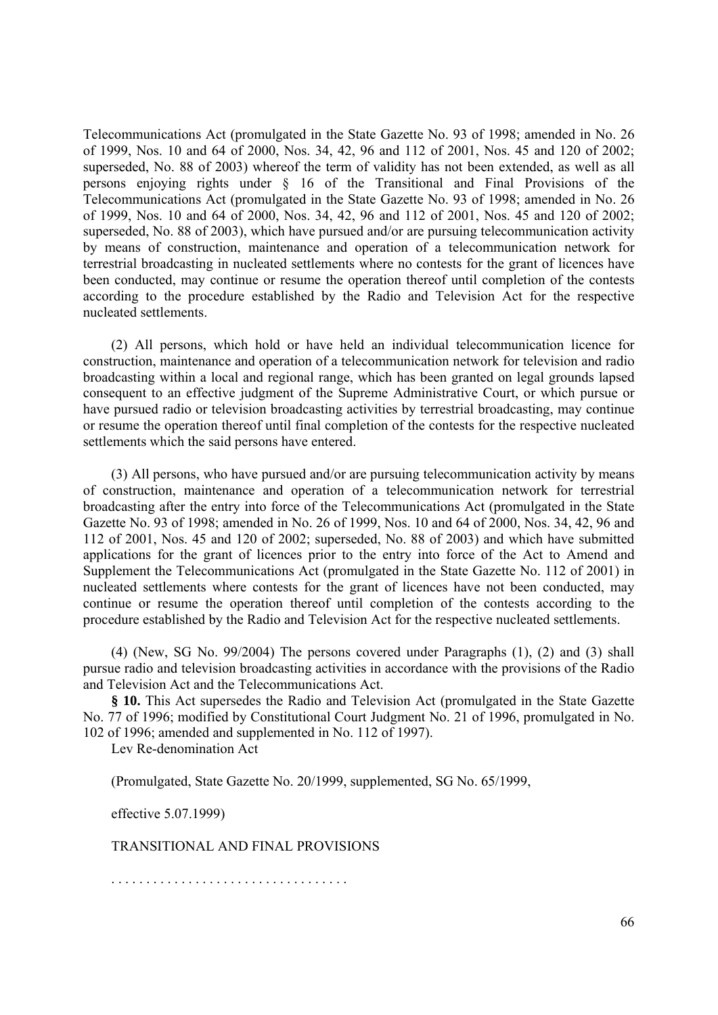Telecommunications Act (promulgated in the State Gazette No. 93 of 1998; amended in No. 26 of 1999, Nos. 10 and 64 of 2000, Nos. 34, 42, 96 and 112 of 2001, Nos. 45 and 120 of 2002; superseded, No. 88 of 2003) whereof the term of validity has not been extended, as well as all persons enjoying rights under § 16 of the Transitional and Final Provisions of the Telecommunications Act (promulgated in the State Gazette No. 93 of 1998; amended in No. 26 of 1999, Nos. 10 and 64 of 2000, Nos. 34, 42, 96 and 112 of 2001, Nos. 45 and 120 of 2002; superseded, No. 88 of 2003), which have pursued and/or are pursuing telecommunication activity by means of construction, maintenance and operation of a telecommunication network for terrestrial broadcasting in nucleated settlements where no contests for the grant of licences have been conducted, may continue or resume the operation thereof until completion of the contests according to the procedure established by the Radio and Television Act for the respective nucleated settlements.

(2) All persons, which hold or have held an individual telecommunication licence for construction, maintenance and operation of a telecommunication network for television and radio broadcasting within a local and regional range, which has been granted on legal grounds lapsed consequent to an effective judgment of the Supreme Administrative Court, or which pursue or have pursued radio or television broadcasting activities by terrestrial broadcasting, may continue or resume the operation thereof until final completion of the contests for the respective nucleated settlements which the said persons have entered.

(3) All persons, who have pursued and/or are pursuing telecommunication activity by means of construction, maintenance and operation of a telecommunication network for terrestrial broadcasting after the entry into force of the Telecommunications Act (promulgated in the State Gazette No. 93 of 1998; amended in No. 26 of 1999, Nos. 10 and 64 of 2000, Nos. 34, 42, 96 and 112 of 2001, Nos. 45 and 120 of 2002; superseded, No. 88 of 2003) and which have submitted applications for the grant of licences prior to the entry into force of the Act to Amend and Supplement the Telecommunications Act (promulgated in the State Gazette No. 112 of 2001) in nucleated settlements where contests for the grant of licences have not been conducted, may continue or resume the operation thereof until completion of the contests according to the procedure established by the Radio and Television Act for the respective nucleated settlements.

(4) (New, SG No. 99/2004) The persons covered under Paragraphs (1), (2) and (3) shall pursue radio and television broadcasting activities in accordance with the provisions of the Radio and Television Act and the Telecommunications Act.

**§ 10.** This Act supersedes the Radio and Television Act (promulgated in the State Gazette No. 77 of 1996; modified by Constitutional Court Judgment No. 21 of 1996, promulgated in No. 102 of 1996; amended and supplemented in No. 112 of 1997).

Lev Re-denomination Act

(Promulgated, State Gazette No. 20/1999, supplemented, SG No. 65/1999,

effective 5.07.1999)

TRANSITIONAL AND FINAL PROVISIONS

. . . . . . . . . . . . . . . . . . . . . . . . . . . . . . . . . .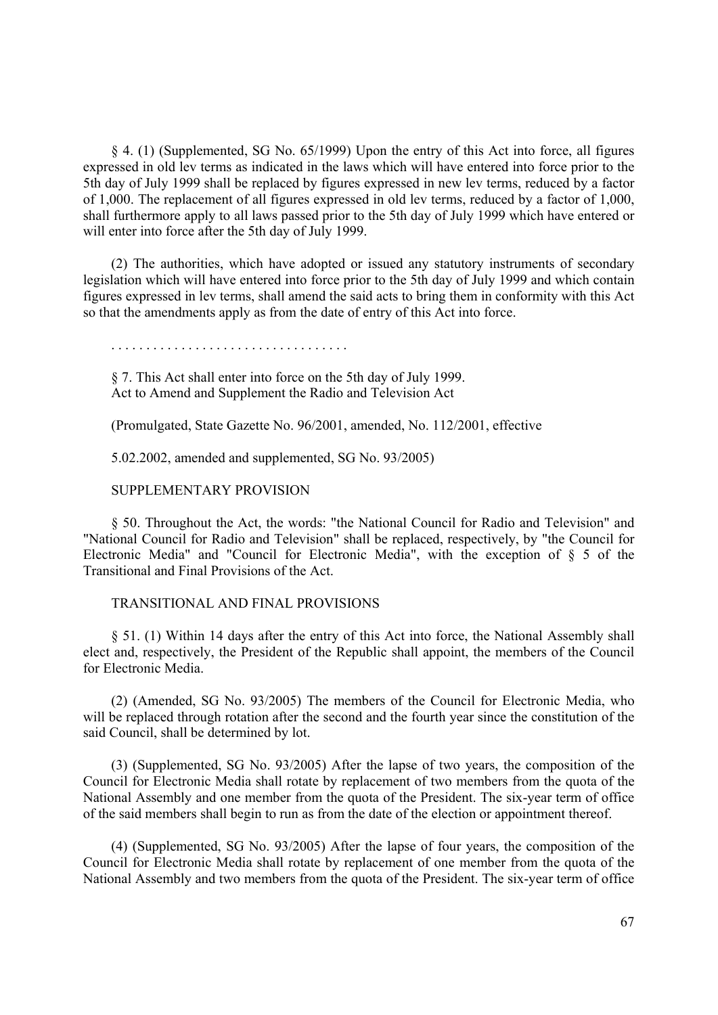§ 4. (1) (Supplemented, SG No. 65/1999) Upon the entry of this Act into force, all figures expressed in old lev terms as indicated in the laws which will have entered into force prior to the 5th day of July 1999 shall be replaced by figures expressed in new lev terms, reduced by a factor of 1,000. The replacement of all figures expressed in old lev terms, reduced by a factor of 1,000, shall furthermore apply to all laws passed prior to the 5th day of July 1999 which have entered or will enter into force after the 5th day of July 1999.

(2) The authorities, which have adopted or issued any statutory instruments of secondary legislation which will have entered into force prior to the 5th day of July 1999 and which contain figures expressed in lev terms, shall amend the said acts to bring them in conformity with this Act so that the amendments apply as from the date of entry of this Act into force.

§ 7. This Act shall enter into force on the 5th day of July 1999. Act to Amend and Supplement the Radio and Television Act

(Promulgated, State Gazette No. 96/2001, amended, No. 112/2001, effective

5.02.2002, amended and supplemented, SG No. 93/2005)

#### SUPPLEMENTARY PROVISION

§ 50. Throughout the Act, the words: "the National Council for Radio and Television" and "National Council for Radio and Television" shall be replaced, respectively, by "the Council for Electronic Media" and "Council for Electronic Media", with the exception of § 5 of the Transitional and Final Provisions of the Act.

## TRANSITIONAL AND FINAL PROVISIONS

§ 51. (1) Within 14 days after the entry of this Act into force, the National Assembly shall elect and, respectively, the President of the Republic shall appoint, the members of the Council for Electronic Media.

(2) (Amended, SG No. 93/2005) The members of the Council for Electronic Media, who will be replaced through rotation after the second and the fourth year since the constitution of the said Council, shall be determined by lot.

(3) (Supplemented, SG No. 93/2005) After the lapse of two years, the composition of the Council for Electronic Media shall rotate by replacement of two members from the quota of the National Assembly and one member from the quota of the President. The six-year term of office of the said members shall begin to run as from the date of the election or appointment thereof.

(4) (Supplemented, SG No. 93/2005) After the lapse of four years, the composition of the Council for Electronic Media shall rotate by replacement of one member from the quota of the National Assembly and two members from the quota of the President. The six-year term of office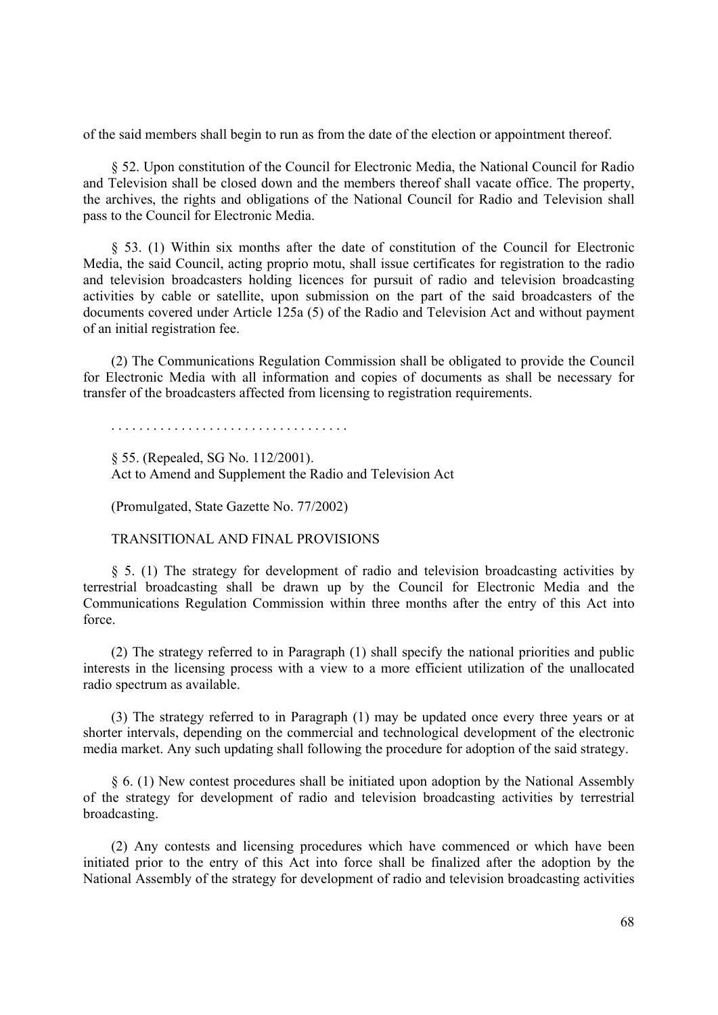of the said members shall begin to run as from the date of the election or appointment thereof.

§ 52. Upon constitution of the Council for Electronic Media, the National Council for Radio and Television shall be closed down and the members thereof shall vacate office. The property, the archives, the rights and obligations of the National Council for Radio and Television shall pass to the Council for Electronic Media.

§ 53. (1) Within six months after the date of constitution of the Council for Electronic Media, the said Council, acting proprio motu, shall issue certificates for registration to the radio and television broadcasters holding licences for pursuit of radio and television broadcasting activities by cable or satellite, upon submission on the part of the said broadcasters of the documents covered under Article 125a (5) of the Radio and Television Act and without payment of an initial registration fee.

(2) The Communications Regulation Commission shall be obligated to provide the Council for Electronic Media with all information and copies of documents as shall be necessary for transfer of the broadcasters affected from licensing to registration requirements.

. . . . . . . . . . . . . . . . . . . . . . . . . . . . . . . . . .

§ 55. (Repealed, SG No. 112/2001). Act to Amend and Supplement the Radio and Television Act

(Promulgated, State Gazette No. 77/2002)

TRANSITIONAL AND FINAL PROVISIONS

§ 5. (1) The strategy for development of radio and television broadcasting activities by terrestrial broadcasting shall be drawn up by the Council for Electronic Media and the Communications Regulation Commission within three months after the entry of this Act into force.

(2) The strategy referred to in Paragraph (1) shall specify the national priorities and public interests in the licensing process with a view to a more efficient utilization of the unallocated radio spectrum as available.

(3) The strategy referred to in Paragraph (1) may be updated once every three years or at shorter intervals, depending on the commercial and technological development of the electronic media market. Any such updating shall following the procedure for adoption of the said strategy.

§ 6. (1) New contest procedures shall be initiated upon adoption by the National Assembly of the strategy for development of radio and television broadcasting activities by terrestrial broadcasting.

(2) Any contests and licensing procedures which have commenced or which have been initiated prior to the entry of this Act into force shall be finalized after the adoption by the National Assembly of the strategy for development of radio and television broadcasting activities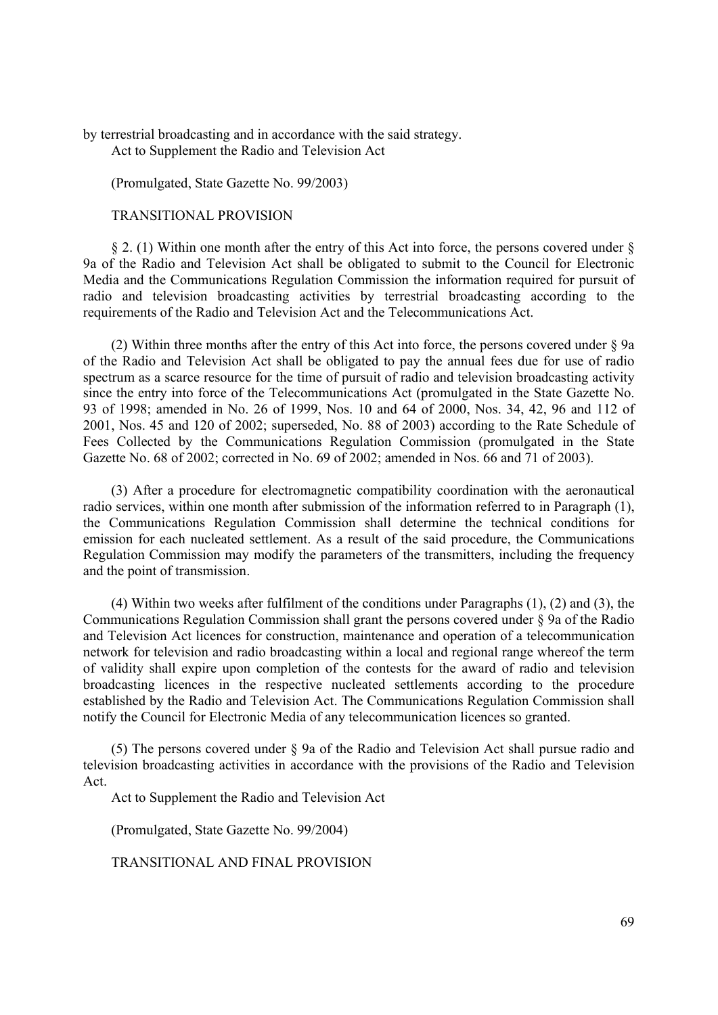by terrestrial broadcasting and in accordance with the said strategy. Act to Supplement the Radio and Television Act

(Promulgated, State Gazette No. 99/2003)

## TRANSITIONAL PROVISION

 $\S$  2. (1) Within one month after the entry of this Act into force, the persons covered under  $\S$ 9a of the Radio and Television Act shall be obligated to submit to the Council for Electronic Media and the Communications Regulation Commission the information required for pursuit of radio and television broadcasting activities by terrestrial broadcasting according to the requirements of the Radio and Television Act and the Telecommunications Act.

(2) Within three months after the entry of this Act into force, the persons covered under § 9a of the Radio and Television Act shall be obligated to pay the annual fees due for use of radio spectrum as a scarce resource for the time of pursuit of radio and television broadcasting activity since the entry into force of the Telecommunications Act (promulgated in the State Gazette No. 93 of 1998; amended in No. 26 of 1999, Nos. 10 and 64 of 2000, Nos. 34, 42, 96 and 112 of 2001, Nos. 45 and 120 of 2002; superseded, No. 88 of 2003) according to the Rate Schedule of Fees Collected by the Communications Regulation Commission (promulgated in the State Gazette No. 68 of 2002; corrected in No. 69 of 2002; amended in Nos. 66 and 71 of 2003).

(3) After a procedure for electromagnetic compatibility coordination with the aeronautical radio services, within one month after submission of the information referred to in Paragraph (1), the Communications Regulation Commission shall determine the technical conditions for emission for each nucleated settlement. As a result of the said procedure, the Communications Regulation Commission may modify the parameters of the transmitters, including the frequency and the point of transmission.

(4) Within two weeks after fulfilment of the conditions under Paragraphs (1), (2) and (3), the Communications Regulation Commission shall grant the persons covered under § 9a of the Radio and Television Act licences for construction, maintenance and operation of a telecommunication network for television and radio broadcasting within a local and regional range whereof the term of validity shall expire upon completion of the contests for the award of radio and television broadcasting licences in the respective nucleated settlements according to the procedure established by the Radio and Television Act. The Communications Regulation Commission shall notify the Council for Electronic Media of any telecommunication licences so granted.

(5) The persons covered under § 9a of the Radio and Television Act shall pursue radio and television broadcasting activities in accordance with the provisions of the Radio and Television Act.

Act to Supplement the Radio and Television Act

(Promulgated, State Gazette No. 99/2004)

TRANSITIONAL AND FINAL PROVISION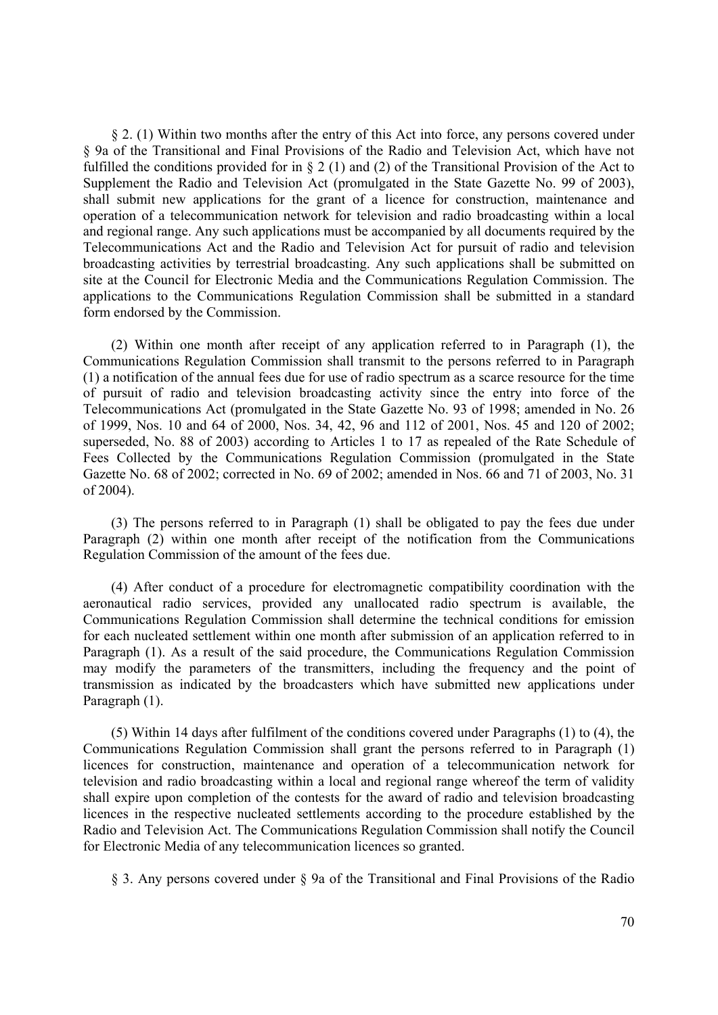§ 2. (1) Within two months after the entry of this Act into force, any persons covered under § 9a of the Transitional and Final Provisions of the Radio and Television Act, which have not fulfilled the conditions provided for in § 2 (1) and (2) of the Transitional Provision of the Act to Supplement the Radio and Television Act (promulgated in the State Gazette No. 99 of 2003), shall submit new applications for the grant of a licence for construction, maintenance and operation of a telecommunication network for television and radio broadcasting within a local and regional range. Any such applications must be accompanied by all documents required by the Telecommunications Act and the Radio and Television Act for pursuit of radio and television broadcasting activities by terrestrial broadcasting. Any such applications shall be submitted on site at the Council for Electronic Media and the Communications Regulation Commission. The applications to the Communications Regulation Commission shall be submitted in a standard form endorsed by the Commission.

(2) Within one month after receipt of any application referred to in Paragraph (1), the Communications Regulation Commission shall transmit to the persons referred to in Paragraph (1) a notification of the annual fees due for use of radio spectrum as a scarce resource for the time of pursuit of radio and television broadcasting activity since the entry into force of the Telecommunications Act (promulgated in the State Gazette No. 93 of 1998; amended in No. 26 of 1999, Nos. 10 and 64 of 2000, Nos. 34, 42, 96 and 112 of 2001, Nos. 45 and 120 of 2002; superseded, No. 88 of 2003) according to Articles 1 to 17 as repealed of the Rate Schedule of Fees Collected by the Communications Regulation Commission (promulgated in the State Gazette No. 68 of 2002; corrected in No. 69 of 2002; amended in Nos. 66 and 71 of 2003, No. 31 of 2004).

(3) The persons referred to in Paragraph (1) shall be obligated to pay the fees due under Paragraph (2) within one month after receipt of the notification from the Communications Regulation Commission of the amount of the fees due.

(4) After conduct of a procedure for electromagnetic compatibility coordination with the aeronautical radio services, provided any unallocated radio spectrum is available, the Communications Regulation Commission shall determine the technical conditions for emission for each nucleated settlement within one month after submission of an application referred to in Paragraph (1). As a result of the said procedure, the Communications Regulation Commission may modify the parameters of the transmitters, including the frequency and the point of transmission as indicated by the broadcasters which have submitted new applications under Paragraph (1).

(5) Within 14 days after fulfilment of the conditions covered under Paragraphs (1) to (4), the Communications Regulation Commission shall grant the persons referred to in Paragraph (1) licences for construction, maintenance and operation of a telecommunication network for television and radio broadcasting within a local and regional range whereof the term of validity shall expire upon completion of the contests for the award of radio and television broadcasting licences in the respective nucleated settlements according to the procedure established by the Radio and Television Act. The Communications Regulation Commission shall notify the Council for Electronic Media of any telecommunication licences so granted.

§ 3. Any persons covered under § 9a of the Transitional and Final Provisions of the Radio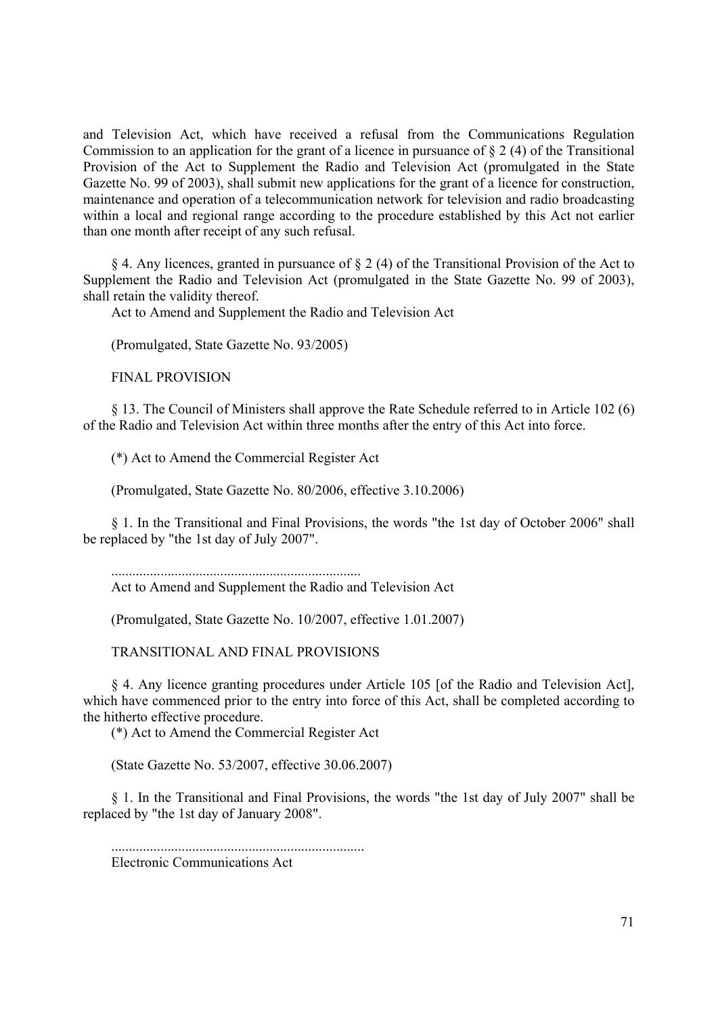and Television Act, which have received a refusal from the Communications Regulation Commission to an application for the grant of a licence in pursuance of § 2 (4) of the Transitional Provision of the Act to Supplement the Radio and Television Act (promulgated in the State Gazette No. 99 of 2003), shall submit new applications for the grant of a licence for construction, maintenance and operation of a telecommunication network for television and radio broadcasting within a local and regional range according to the procedure established by this Act not earlier than one month after receipt of any such refusal.

§ 4. Any licences, granted in pursuance of § 2 (4) of the Transitional Provision of the Act to Supplement the Radio and Television Act (promulgated in the State Gazette No. 99 of 2003), shall retain the validity thereof.

Act to Amend and Supplement the Radio and Television Act

(Promulgated, State Gazette No. 93/2005)

FINAL PROVISION

§ 13. The Council of Ministers shall approve the Rate Schedule referred to in Article 102 (6) of the Radio and Television Act within three months after the entry of this Act into force.

(\*) Act to Amend the Commercial Register Act

(Promulgated, State Gazette No. 80/2006, effective 3.10.2006)

§ 1. In the Transitional and Final Provisions, the words "the 1st day of October 2006" shall be replaced by "the 1st day of July 2007".

....................................................................... Act to Amend and Supplement the Radio and Television Act

(Promulgated, State Gazette No. 10/2007, effective 1.01.2007)

TRANSITIONAL AND FINAL PROVISIONS

§ 4. Any licence granting procedures under Article 105 [of the Radio and Television Act], which have commenced prior to the entry into force of this Act, shall be completed according to the hitherto effective procedure.

(\*) Act to Amend the Commercial Register Act

(State Gazette No. 53/2007, effective 30.06.2007)

§ 1. In the Transitional and Final Provisions, the words "the 1st day of July 2007" shall be replaced by "the 1st day of January 2008".

........................................................................

Electronic Communications Act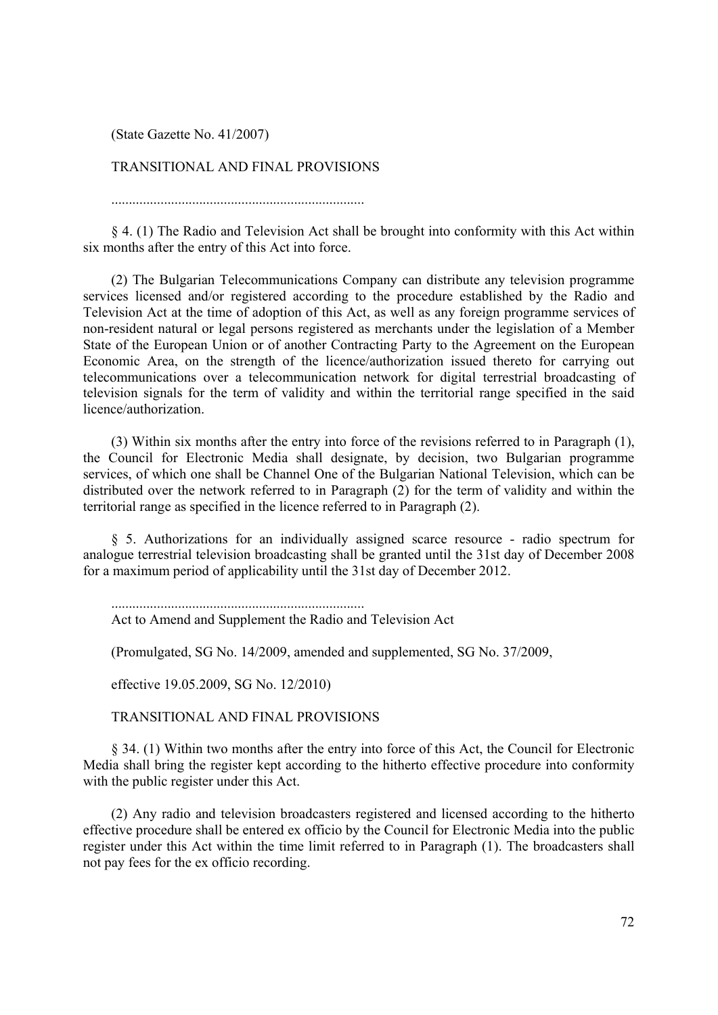(State Gazette No. 41/2007)

# TRANSITIONAL AND FINAL PROVISIONS

........................................................................

§ 4. (1) The Radio and Television Act shall be brought into conformity with this Act within six months after the entry of this Act into force.

(2) The Bulgarian Telecommunications Company can distribute any television programme services licensed and/or registered according to the procedure established by the Radio and Television Act at the time of adoption of this Act, as well as any foreign programme services of non-resident natural or legal persons registered as merchants under the legislation of a Member State of the European Union or of another Contracting Party to the Agreement on the European Economic Area, on the strength of the licence/authorization issued thereto for carrying out telecommunications over a telecommunication network for digital terrestrial broadcasting of television signals for the term of validity and within the territorial range specified in the said licence/authorization.

(3) Within six months after the entry into force of the revisions referred to in Paragraph (1), the Council for Electronic Media shall designate, by decision, two Bulgarian programme services, of which one shall be Channel One of the Bulgarian National Television, which can be distributed over the network referred to in Paragraph (2) for the term of validity and within the territorial range as specified in the licence referred to in Paragraph (2).

§ 5. Authorizations for an individually assigned scarce resource - radio spectrum for analogue terrestrial television broadcasting shall be granted until the 31st day of December 2008 for a maximum period of applicability until the 31st day of December 2012.

........................................................................

Act to Amend and Supplement the Radio and Television Act

(Promulgated, SG No. 14/2009, amended and supplemented, SG No. 37/2009,

effective 19.05.2009, SG No. 12/2010)

TRANSITIONAL AND FINAL PROVISIONS

§ 34. (1) Within two months after the entry into force of this Act, the Council for Electronic Media shall bring the register kept according to the hitherto effective procedure into conformity with the public register under this Act.

(2) Any radio and television broadcasters registered and licensed according to the hitherto effective procedure shall be entered ex officio by the Council for Electronic Media into the public register under this Act within the time limit referred to in Paragraph (1). The broadcasters shall not pay fees for the ex officio recording.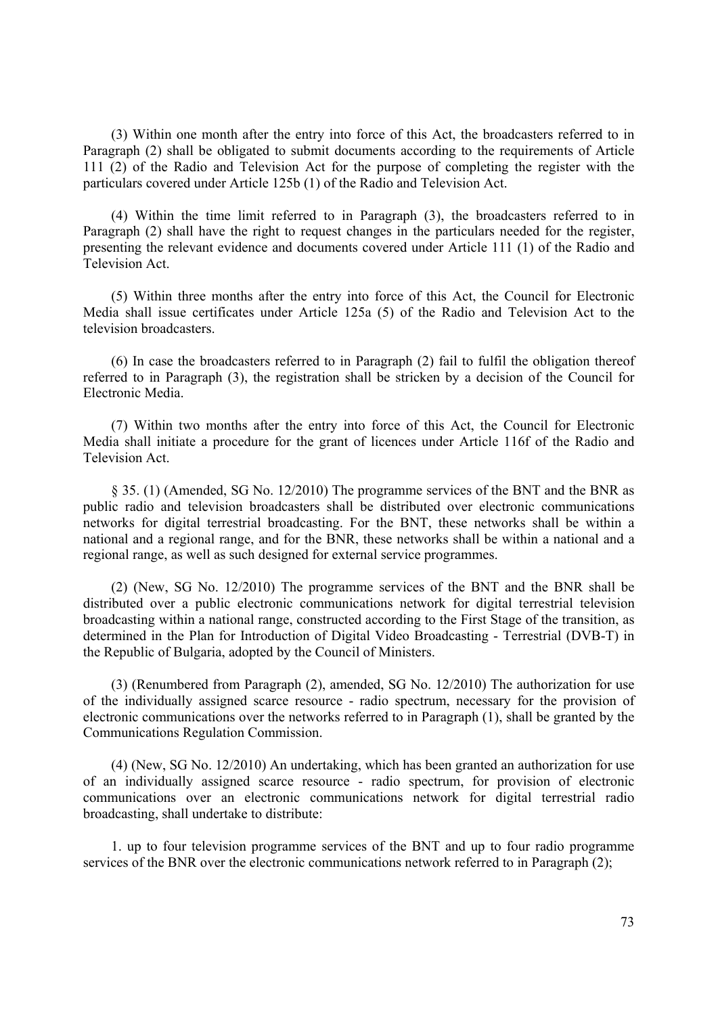(3) Within one month after the entry into force of this Act, the broadcasters referred to in Paragraph (2) shall be obligated to submit documents according to the requirements of Article 111 (2) of the Radio and Television Act for the purpose of completing the register with the particulars covered under Article 125b (1) of the Radio and Television Act.

(4) Within the time limit referred to in Paragraph (3), the broadcasters referred to in Paragraph (2) shall have the right to request changes in the particulars needed for the register, presenting the relevant evidence and documents covered under Article 111 (1) of the Radio and Television Act.

(5) Within three months after the entry into force of this Act, the Council for Electronic Media shall issue certificates under Article 125a (5) of the Radio and Television Act to the television broadcasters.

(6) In case the broadcasters referred to in Paragraph (2) fail to fulfil the obligation thereof referred to in Paragraph (3), the registration shall be stricken by a decision of the Council for Electronic Media.

(7) Within two months after the entry into force of this Act, the Council for Electronic Media shall initiate a procedure for the grant of licences under Article 116f of the Radio and Television Act.

§ 35. (1) (Amended, SG No. 12/2010) The programme services of the BNT and the BNR as public radio and television broadcasters shall be distributed over electronic communications networks for digital terrestrial broadcasting. For the BNT, these networks shall be within a national and a regional range, and for the BNR, these networks shall be within a national and a regional range, as well as such designed for external service programmes.

(2) (New, SG No. 12/2010) The programme services of the BNT and the BNR shall be distributed over a public electronic communications network for digital terrestrial television broadcasting within a national range, constructed according to the First Stage of the transition, as determined in the Plan for Introduction of Digital Video Broadcasting - Terrestrial (DVB-T) in the Republic of Bulgaria, adopted by the Council of Ministers.

(3) (Renumbered from Paragraph (2), amended, SG No. 12/2010) The authorization for use of the individually assigned scarce resource - radio spectrum, necessary for the provision of electronic communications over the networks referred to in Paragraph (1), shall be granted by the Communications Regulation Commission.

(4) (New, SG No. 12/2010) An undertaking, which has been granted an authorization for use of an individually assigned scarce resource - radio spectrum, for provision of electronic communications over an electronic communications network for digital terrestrial radio broadcasting, shall undertake to distribute:

1. up to four television programme services of the BNT and up to four radio programme services of the BNR over the electronic communications network referred to in Paragraph (2);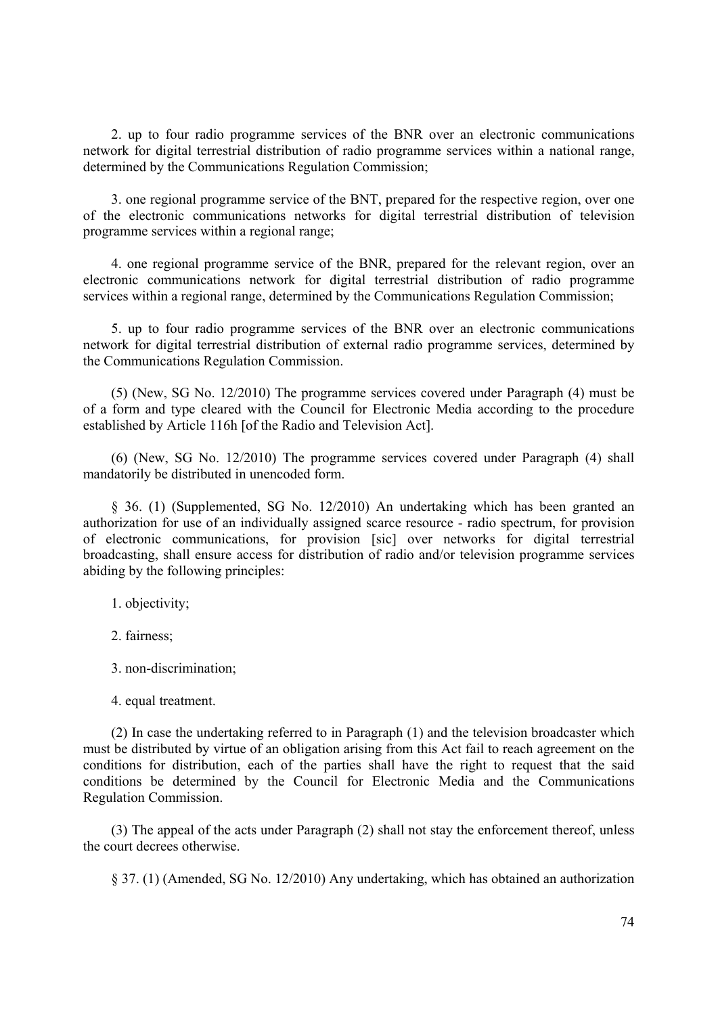2. up to four radio programme services of the BNR over an electronic communications network for digital terrestrial distribution of radio programme services within a national range, determined by the Communications Regulation Commission;

3. one regional programme service of the BNT, prepared for the respective region, over one of the electronic communications networks for digital terrestrial distribution of television programme services within a regional range;

4. one regional programme service of the BNR, prepared for the relevant region, over an electronic communications network for digital terrestrial distribution of radio programme services within a regional range, determined by the Communications Regulation Commission;

5. up to four radio programme services of the BNR over an electronic communications network for digital terrestrial distribution of external radio programme services, determined by the Communications Regulation Commission.

(5) (New, SG No. 12/2010) The programme services covered under Paragraph (4) must be of a form and type cleared with the Council for Electronic Media according to the procedure established by Article 116h [of the Radio and Television Act].

(6) (New, SG No. 12/2010) The programme services covered under Paragraph (4) shall mandatorily be distributed in unencoded form.

§ 36. (1) (Supplemented, SG No. 12/2010) An undertaking which has been granted an authorization for use of an individually assigned scarce resource - radio spectrum, for provision of electronic communications, for provision [sic] over networks for digital terrestrial broadcasting, shall ensure access for distribution of radio and/or television programme services abiding by the following principles:

1. objectivity;

2. fairness;

3. non-discrimination;

(2) In case the undertaking referred to in Paragraph (1) and the television broadcaster which must be distributed by virtue of an obligation arising from this Act fail to reach agreement on the conditions for distribution, each of the parties shall have the right to request that the said conditions be determined by the Council for Electronic Media and the Communications Regulation Commission.

(3) The appeal of the acts under Paragraph (2) shall not stay the enforcement thereof, unless the court decrees otherwise.

§ 37. (1) (Amended, SG No. 12/2010) Any undertaking, which has obtained an authorization

<sup>4.</sup> equal treatment.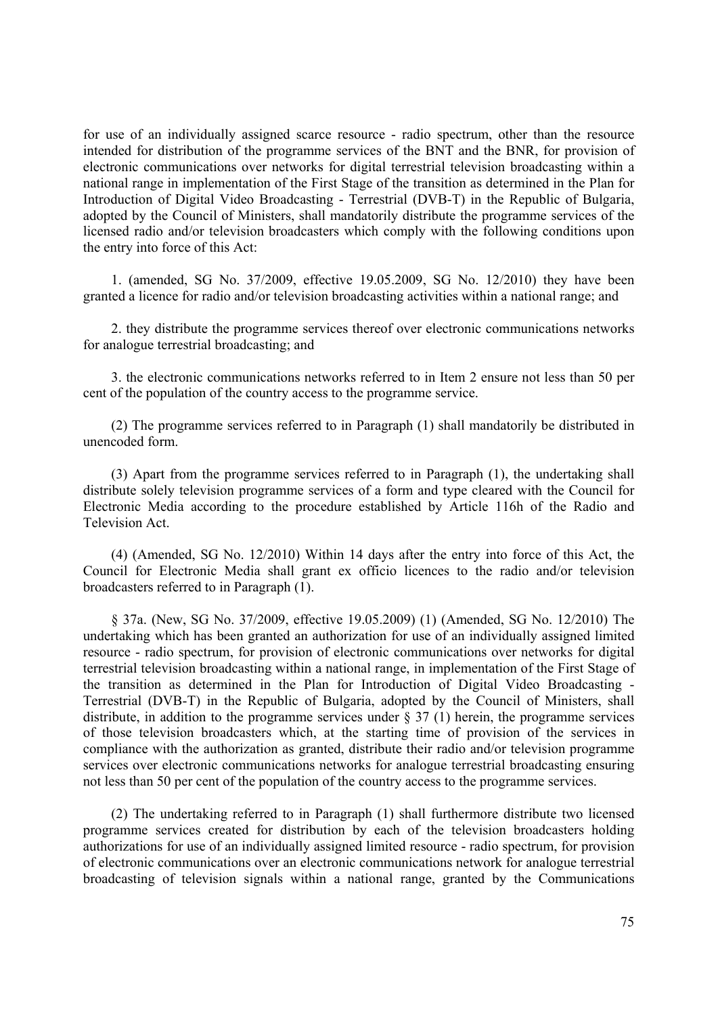for use of an individually assigned scarce resource - radio spectrum, other than the resource intended for distribution of the programme services of the BNT and the BNR, for provision of electronic communications over networks for digital terrestrial television broadcasting within a national range in implementation of the First Stage of the transition as determined in the Plan for Introduction of Digital Video Broadcasting - Terrestrial (DVB-T) in the Republic of Bulgaria, adopted by the Council of Ministers, shall mandatorily distribute the programme services of the licensed radio and/or television broadcasters which comply with the following conditions upon the entry into force of this Act:

1. (amended, SG No. 37/2009, effective 19.05.2009, SG No. 12/2010) they have been granted a licence for radio and/or television broadcasting activities within a national range; and

2. they distribute the programme services thereof over electronic communications networks for analogue terrestrial broadcasting; and

3. the electronic communications networks referred to in Item 2 ensure not less than 50 per cent of the population of the country access to the programme service.

(2) The programme services referred to in Paragraph (1) shall mandatorily be distributed in unencoded form.

(3) Apart from the programme services referred to in Paragraph (1), the undertaking shall distribute solely television programme services of a form and type cleared with the Council for Electronic Media according to the procedure established by Article 116h of the Radio and Television Act.

(4) (Amended, SG No. 12/2010) Within 14 days after the entry into force of this Act, the Council for Electronic Media shall grant ex officio licences to the radio and/or television broadcasters referred to in Paragraph (1).

§ 37a. (New, SG No. 37/2009, effective 19.05.2009) (1) (Amended, SG No. 12/2010) The undertaking which has been granted an authorization for use of an individually assigned limited resource - radio spectrum, for provision of electronic communications over networks for digital terrestrial television broadcasting within a national range, in implementation of the First Stage of the transition as determined in the Plan for Introduction of Digital Video Broadcasting - Terrestrial (DVB-T) in the Republic of Bulgaria, adopted by the Council of Ministers, shall distribute, in addition to the programme services under  $\S 37(1)$  herein, the programme services of those television broadcasters which, at the starting time of provision of the services in compliance with the authorization as granted, distribute their radio and/or television programme services over electronic communications networks for analogue terrestrial broadcasting ensuring not less than 50 per cent of the population of the country access to the programme services.

(2) The undertaking referred to in Paragraph (1) shall furthermore distribute two licensed programme services created for distribution by each of the television broadcasters holding authorizations for use of an individually assigned limited resource - radio spectrum, for provision of electronic communications over an electronic communications network for analogue terrestrial broadcasting of television signals within a national range, granted by the Communications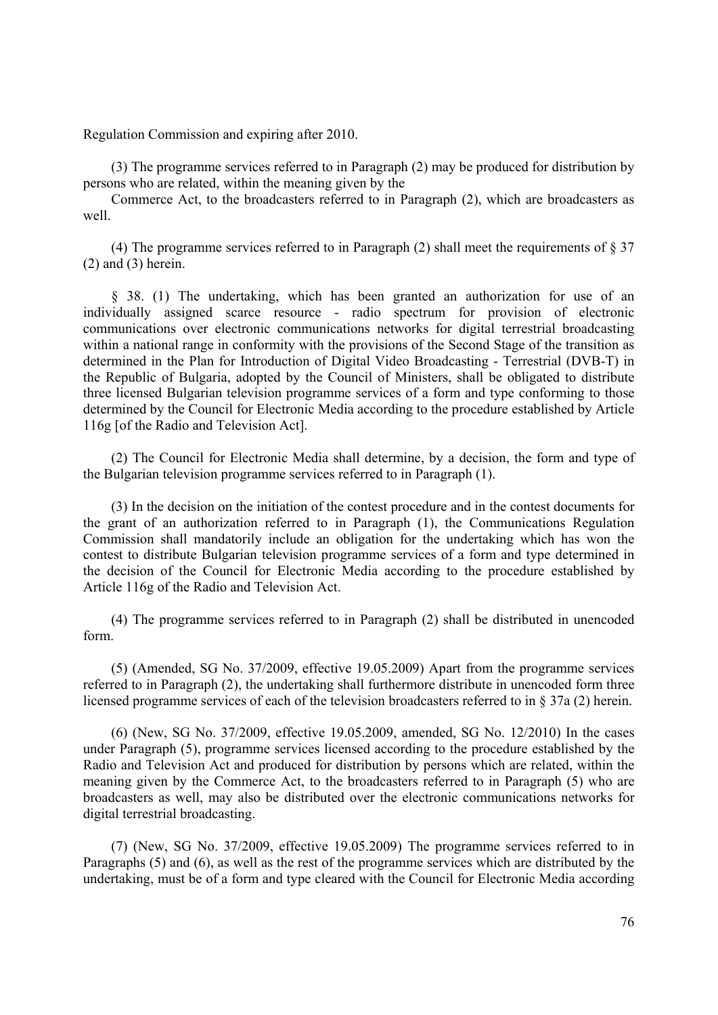Regulation Commission and expiring after 2010.

(3) The programme services referred to in Paragraph (2) may be produced for distribution by persons who are related, within the meaning given by the

Commerce Act, to the broadcasters referred to in Paragraph (2), which are broadcasters as well.

(4) The programme services referred to in Paragraph (2) shall meet the requirements of  $\S 37$ (2) and (3) herein.

§ 38. (1) The undertaking, which has been granted an authorization for use of an individually assigned scarce resource - radio spectrum for provision of electronic communications over electronic communications networks for digital terrestrial broadcasting within a national range in conformity with the provisions of the Second Stage of the transition as determined in the Plan for Introduction of Digital Video Broadcasting - Terrestrial (DVB-T) in the Republic of Bulgaria, adopted by the Council of Ministers, shall be obligated to distribute three licensed Bulgarian television programme services of a form and type conforming to those determined by the Council for Electronic Media according to the procedure established by Article 116g [of the Radio and Television Act].

(2) The Council for Electronic Media shall determine, by a decision, the form and type of the Bulgarian television programme services referred to in Paragraph (1).

(3) In the decision on the initiation of the contest procedure and in the contest documents for the grant of an authorization referred to in Paragraph (1), the Communications Regulation Commission shall mandatorily include an obligation for the undertaking which has won the contest to distribute Bulgarian television programme services of a form and type determined in the decision of the Council for Electronic Media according to the procedure established by Article 116g of the Radio and Television Act.

(4) The programme services referred to in Paragraph (2) shall be distributed in unencoded form.

(5) (Amended, SG No. 37/2009, effective 19.05.2009) Apart from the programme services referred to in Paragraph (2), the undertaking shall furthermore distribute in unencoded form three licensed programme services of each of the television broadcasters referred to in § 37a (2) herein.

(6) (New, SG No. 37/2009, effective 19.05.2009, amended, SG No. 12/2010) In the cases under Paragraph (5), programme services licensed according to the procedure established by the Radio and Television Act and produced for distribution by persons which are related, within the meaning given by the Commerce Act, to the broadcasters referred to in Paragraph (5) who are broadcasters as well, may also be distributed over the electronic communications networks for digital terrestrial broadcasting.

(7) (New, SG No. 37/2009, effective 19.05.2009) The programme services referred to in Paragraphs (5) and (6), as well as the rest of the programme services which are distributed by the undertaking, must be of a form and type cleared with the Council for Electronic Media according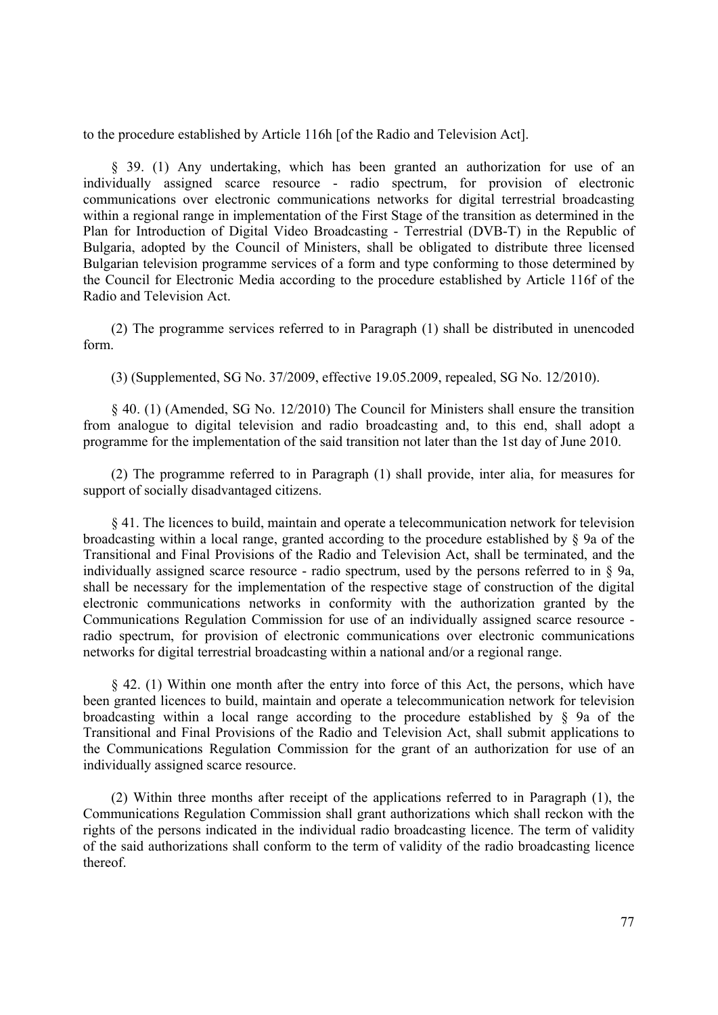to the procedure established by Article 116h [of the Radio and Television Act].

§ 39. (1) Any undertaking, which has been granted an authorization for use of an individually assigned scarce resource - radio spectrum, for provision of electronic communications over electronic communications networks for digital terrestrial broadcasting within a regional range in implementation of the First Stage of the transition as determined in the Plan for Introduction of Digital Video Broadcasting - Terrestrial (DVB-T) in the Republic of Bulgaria, adopted by the Council of Ministers, shall be obligated to distribute three licensed Bulgarian television programme services of a form and type conforming to those determined by the Council for Electronic Media according to the procedure established by Article 116f of the Radio and Television Act.

(2) The programme services referred to in Paragraph (1) shall be distributed in unencoded form.

(3) (Supplemented, SG No. 37/2009, effective 19.05.2009, repealed, SG No. 12/2010).

§ 40. (1) (Amended, SG No. 12/2010) The Council for Ministers shall ensure the transition from analogue to digital television and radio broadcasting and, to this end, shall adopt a programme for the implementation of the said transition not later than the 1st day of June 2010.

(2) The programme referred to in Paragraph (1) shall provide, inter alia, for measures for support of socially disadvantaged citizens.

§ 41. The licences to build, maintain and operate a telecommunication network for television broadcasting within a local range, granted according to the procedure established by § 9a of the Transitional and Final Provisions of the Radio and Television Act, shall be terminated, and the individually assigned scarce resource - radio spectrum, used by the persons referred to in  $\S$  9a, shall be necessary for the implementation of the respective stage of construction of the digital electronic communications networks in conformity with the authorization granted by the Communications Regulation Commission for use of an individually assigned scarce resource radio spectrum, for provision of electronic communications over electronic communications networks for digital terrestrial broadcasting within a national and/or a regional range.

§ 42. (1) Within one month after the entry into force of this Act, the persons, which have been granted licences to build, maintain and operate a telecommunication network for television broadcasting within a local range according to the procedure established by § 9a of the Transitional and Final Provisions of the Radio and Television Act, shall submit applications to the Communications Regulation Commission for the grant of an authorization for use of an individually assigned scarce resource.

(2) Within three months after receipt of the applications referred to in Paragraph (1), the Communications Regulation Commission shall grant authorizations which shall reckon with the rights of the persons indicated in the individual radio broadcasting licence. The term of validity of the said authorizations shall conform to the term of validity of the radio broadcasting licence thereof.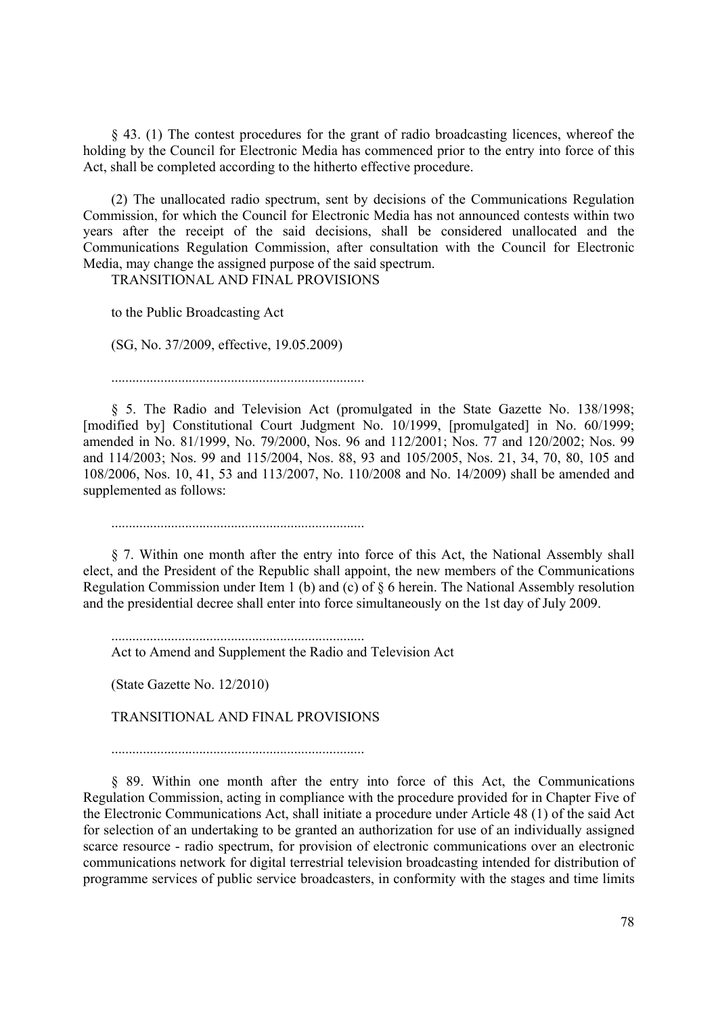§ 43. (1) The contest procedures for the grant of radio broadcasting licences, whereof the holding by the Council for Electronic Media has commenced prior to the entry into force of this Act, shall be completed according to the hitherto effective procedure.

(2) The unallocated radio spectrum, sent by decisions of the Communications Regulation Commission, for which the Council for Electronic Media has not announced contests within two years after the receipt of the said decisions, shall be considered unallocated and the Communications Regulation Commission, after consultation with the Council for Electronic Media, may change the assigned purpose of the said spectrum.

TRANSITIONAL AND FINAL PROVISIONS

to the Public Broadcasting Act

(SG, No. 37/2009, effective, 19.05.2009)

........................................................................

§ 5. The Radio and Television Act (promulgated in the State Gazette No. 138/1998; [modified by] Constitutional Court Judgment No. 10/1999, [promulgated] in No. 60/1999; amended in No. 81/1999, No. 79/2000, Nos. 96 and 112/2001; Nos. 77 and 120/2002; Nos. 99 and 114/2003; Nos. 99 and 115/2004, Nos. 88, 93 and 105/2005, Nos. 21, 34, 70, 80, 105 and 108/2006, Nos. 10, 41, 53 and 113/2007, No. 110/2008 and No. 14/2009) shall be amended and supplemented as follows:

........................................................................

§ 7. Within one month after the entry into force of this Act, the National Assembly shall elect, and the President of the Republic shall appoint, the new members of the Communications Regulation Commission under Item 1 (b) and (c) of § 6 herein. The National Assembly resolution and the presidential decree shall enter into force simultaneously on the 1st day of July 2009.

........................................................................ Act to Amend and Supplement the Radio and Television Act

(State Gazette No. 12/2010)

TRANSITIONAL AND FINAL PROVISIONS

........................................................................

§ 89. Within one month after the entry into force of this Act, the Communications Regulation Commission, acting in compliance with the procedure provided for in Chapter Five of the Electronic Communications Act, shall initiate a procedure under Article 48 (1) of the said Act for selection of an undertaking to be granted an authorization for use of an individually assigned scarce resource - radio spectrum, for provision of electronic communications over an electronic communications network for digital terrestrial television broadcasting intended for distribution of programme services of public service broadcasters, in conformity with the stages and time limits